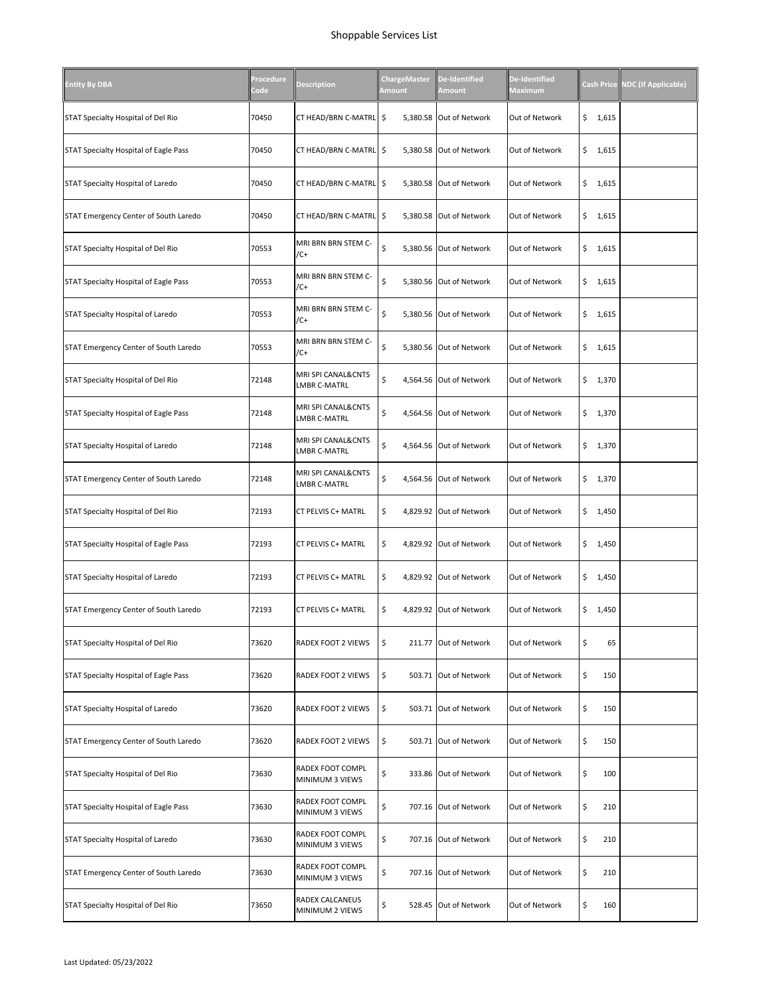| <b>Entity By DBA</b>                  | Procedure<br>Code | <b>Description</b>                        | <b>ChargeMaster</b><br>Amount | De-Identified<br><b>Amount</b> | De-Identified<br><b>Maximum</b> | <b>Cash Price</b> | <b>NDC</b> (If Applicable) |
|---------------------------------------|-------------------|-------------------------------------------|-------------------------------|--------------------------------|---------------------------------|-------------------|----------------------------|
| STAT Specialty Hospital of Del Rio    | 70450             | CT HEAD/BRN C-MATRL \$                    |                               | 5,380.58 Out of Network        | Out of Network                  | \$<br>1,615       |                            |
| STAT Specialty Hospital of Eagle Pass | 70450             | CT HEAD/BRN C-MATRL   \$                  |                               | 5,380.58 Out of Network        | Out of Network                  | \$1,615           |                            |
| STAT Specialty Hospital of Laredo     | 70450             | CT HEAD/BRN C-MATRL \$                    |                               | 5,380.58 Out of Network        | Out of Network                  | \$<br>1,615       |                            |
| STAT Emergency Center of South Laredo | 70450             | CT HEAD/BRN C-MATRL   \$                  |                               | 5,380.58 Out of Network        | Out of Network                  | \$<br>1,615       |                            |
| STAT Specialty Hospital of Del Rio    | 70553             | MRI BRN BRN STEM C-<br>/C+                | \$                            | 5,380.56 Out of Network        | Out of Network                  | \$<br>1,615       |                            |
| STAT Specialty Hospital of Eagle Pass | 70553             | MRI BRN BRN STEM C-<br>/C+                | \$                            | 5,380.56 Out of Network        | Out of Network                  | \$<br>1,615       |                            |
| STAT Specialty Hospital of Laredo     | 70553             | MRI BRN BRN STEM C-<br>$/C+$              | \$                            | 5,380.56 Out of Network        | Out of Network                  | \$<br>1,615       |                            |
| STAT Emergency Center of South Laredo | 70553             | MRI BRN BRN STEM C-<br>/C+                | \$                            | 5,380.56 Out of Network        | Out of Network                  | \$1,615           |                            |
| STAT Specialty Hospital of Del Rio    | 72148             | MRI SPI CANAL&CNTS<br>LMBR C-MATRL        | \$                            | 4,564.56 Out of Network        | Out of Network                  | \$<br>1,370       |                            |
| STAT Specialty Hospital of Eagle Pass | 72148             | MRI SPI CANAL&CNTS<br><b>LMBR C-MATRL</b> | \$                            | 4,564.56 Out of Network        | Out of Network                  | \$<br>1,370       |                            |
| STAT Specialty Hospital of Laredo     | 72148             | MRI SPI CANAL&CNTS<br>LMBR C-MATRL        | \$                            | 4,564.56 Out of Network        | Out of Network                  | \$1,370           |                            |
| STAT Emergency Center of South Laredo | 72148             | MRI SPI CANAL&CNTS<br>LMBR C-MATRL        | \$                            | 4,564.56 Out of Network        | Out of Network                  | \$<br>1,370       |                            |
| STAT Specialty Hospital of Del Rio    | 72193             | CT PELVIS C+ MATRL                        | \$                            | 4,829.92 Out of Network        | Out of Network                  | \$<br>1,450       |                            |
| STAT Specialty Hospital of Eagle Pass | 72193             | CT PELVIS C+ MATRL                        | \$                            | 4,829.92 Out of Network        | Out of Network                  | \$1,450           |                            |
| STAT Specialty Hospital of Laredo     | 72193             | CT PELVIS C+ MATRL                        | \$                            | 4,829.92 Out of Network        | Out of Network                  | \$<br>1,450       |                            |
| STAT Emergency Center of South Laredo | 72193             | CT PELVIS C+ MATRL                        | \$                            | 4,829.92 Out of Network        | Out of Network                  | \$<br>1,450       |                            |
| STAT Specialty Hospital of Del Rio    | 73620             | RADEX FOOT 2 VIEWS                        | \$                            | 211.77 Out of Network          | Out of Network                  | \$<br>65          |                            |
| STAT Specialty Hospital of Eagle Pass | 73620             | RADEX FOOT 2 VIEWS                        | \$                            | 503.71 Out of Network          | Out of Network                  | \$<br>150         |                            |
| STAT Specialty Hospital of Laredo     | 73620             | RADEX FOOT 2 VIEWS                        | \$                            | 503.71 Out of Network          | Out of Network                  | \$<br>150         |                            |
| STAT Emergency Center of South Laredo | 73620             | RADEX FOOT 2 VIEWS                        | \$                            | 503.71 Out of Network          | Out of Network                  | \$<br>150         |                            |
| STAT Specialty Hospital of Del Rio    | 73630             | RADEX FOOT COMPL<br>MINIMUM 3 VIEWS       | \$                            | 333.86 Out of Network          | Out of Network                  | \$<br>100         |                            |
| STAT Specialty Hospital of Eagle Pass | 73630             | RADEX FOOT COMPL<br>MINIMUM 3 VIEWS       | \$                            | 707.16 Out of Network          | Out of Network                  | \$<br>210         |                            |
| STAT Specialty Hospital of Laredo     | 73630             | RADEX FOOT COMPL<br>MINIMUM 3 VIEWS       | \$                            | 707.16 Out of Network          | Out of Network                  | \$<br>210         |                            |
| STAT Emergency Center of South Laredo | 73630             | RADEX FOOT COMPL<br>MINIMUM 3 VIEWS       | \$                            | 707.16 Out of Network          | Out of Network                  | \$<br>210         |                            |
| STAT Specialty Hospital of Del Rio    | 73650             | RADEX CALCANEUS<br>MINIMUM 2 VIEWS        | \$                            | 528.45 Out of Network          | Out of Network                  | \$<br>160         |                            |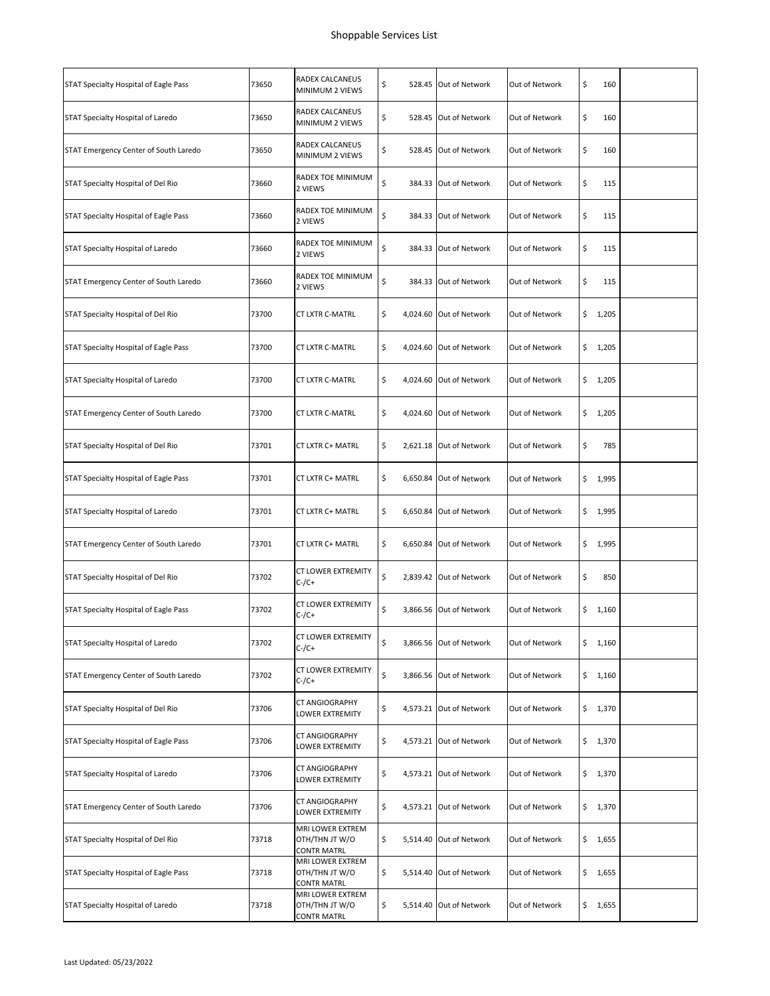| STAT Specialty Hospital of Eagle Pass | 73650 | RADEX CALCANEUS<br>MINIMUM 2 VIEWS                       | \$  | 528.45 Out of Network   | Out of Network | \$<br>160    |  |
|---------------------------------------|-------|----------------------------------------------------------|-----|-------------------------|----------------|--------------|--|
| STAT Specialty Hospital of Laredo     | 73650 | RADEX CALCANEUS<br>MINIMUM 2 VIEWS                       | \$  | 528.45 Out of Network   | Out of Network | \$<br>160    |  |
| STAT Emergency Center of South Laredo | 73650 | RADEX CALCANEUS<br>MINIMUM 2 VIEWS                       | \$  | 528.45 Out of Network   | Out of Network | \$<br>160    |  |
| STAT Specialty Hospital of Del Rio    | 73660 | RADEX TOE MINIMUM<br>2 VIEWS                             | \$  | 384.33 Out of Network   | Out of Network | \$<br>115    |  |
| STAT Specialty Hospital of Eagle Pass | 73660 | RADEX TOE MINIMUM<br>2 VIEWS                             | \$  | 384.33 Out of Network   | Out of Network | \$<br>115    |  |
| STAT Specialty Hospital of Laredo     | 73660 | RADEX TOE MINIMUM<br>2 VIEWS                             | \$  | 384.33 Out of Network   | Out of Network | \$<br>115    |  |
| STAT Emergency Center of South Laredo | 73660 | RADEX TOE MINIMUM<br>2 VIEWS                             | \$  | 384.33 Out of Network   | Out of Network | \$<br>115    |  |
| STAT Specialty Hospital of Del Rio    | 73700 | CT LXTR C-MATRL                                          | \$  | 4,024.60 Out of Network | Out of Network | \$<br>1,205  |  |
| STAT Specialty Hospital of Eagle Pass | 73700 | <b>CT LXTR C-MATRL</b>                                   | \$. | 4,024.60 Out of Network | Out of Network | \$<br>1,205  |  |
| STAT Specialty Hospital of Laredo     | 73700 | <b>CT LXTR C-MATRL</b>                                   | \$  | 4,024.60 Out of Network | Out of Network | \$<br>1,205  |  |
| STAT Emergency Center of South Laredo | 73700 | CT LXTR C-MATRL                                          | \$  | 4,024.60 Out of Network | Out of Network | \$<br>1,205  |  |
| STAT Specialty Hospital of Del Rio    | 73701 | CT LXTR C+ MATRL                                         | \$  | 2,621.18 Out of Network | Out of Network | \$<br>785    |  |
| STAT Specialty Hospital of Eagle Pass | 73701 | CT LXTR C+ MATRL                                         | \$  | 6,650.84 Out of Network | Out of Network | \$<br>1,995  |  |
| STAT Specialty Hospital of Laredo     | 73701 | CT LXTR C+ MATRL                                         | \$  | 6,650.84 Out of Network | Out of Network | \$<br>1,995  |  |
| STAT Emergency Center of South Laredo | 73701 | CT LXTR C+ MATRL                                         | \$  | 6,650.84 Out of Network | Out of Network | \$1,995      |  |
| STAT Specialty Hospital of Del Rio    | 73702 | CT LOWER EXTREMITY<br>$C$ -/ $C$ +                       | \$  | 2,839.42 Out of Network | Out of Network | \$<br>850    |  |
| STAT Specialty Hospital of Eagle Pass | 73702 | CT LOWER EXTREMITY<br>$C$ -/ $C$ +                       | \$  | 3,866.56 Out of Network | Out of Network | \$<br>1,160  |  |
| STAT Specialty Hospital of Laredo     | 73702 | CT LOWER EXTREMITY<br>$C$ -/ $C+$                        | \$  | 3,866.56 Out of Network | Out of Network | \$<br>1,160  |  |
| STAT Emergency Center of South Laredo | 73702 | CT LOWER EXTREMITY<br>$C$ -/ $C+$                        | \$  | 3,866.56 Out of Network | Out of Network | \$<br>1,160  |  |
| STAT Specialty Hospital of Del Rio    | 73706 | CT ANGIOGRAPHY<br>LOWER EXTREMITY                        | \$  | 4,573.21 Out of Network | Out of Network | \$.<br>1,370 |  |
| STAT Specialty Hospital of Eagle Pass | 73706 | CT ANGIOGRAPHY<br>LOWER EXTREMITY                        | \$  | 4,573.21 Out of Network | Out of Network | \$<br>1,370  |  |
| STAT Specialty Hospital of Laredo     | 73706 | CT ANGIOGRAPHY<br>LOWER EXTREMITY                        | \$  | 4,573.21 Out of Network | Out of Network | \$<br>1,370  |  |
| STAT Emergency Center of South Laredo | 73706 | CT ANGIOGRAPHY<br>LOWER EXTREMITY                        | \$  | 4,573.21 Out of Network | Out of Network | \$1,370      |  |
| STAT Specialty Hospital of Del Rio    | 73718 | MRI LOWER EXTREM<br>OTH/THN JT W/O<br><b>CONTR MATRL</b> | \$  | 5,514.40 Out of Network | Out of Network | \$<br>1,655  |  |
| STAT Specialty Hospital of Eagle Pass | 73718 | MRI LOWER EXTREM<br>OTH/THN JT W/O<br><b>CONTR MATRL</b> | \$  | 5,514.40 Out of Network | Out of Network | \$<br>1,655  |  |
| STAT Specialty Hospital of Laredo     | 73718 | MRI LOWER EXTREM<br>OTH/THN JT W/O<br>CONTR MATRL        | \$  | 5,514.40 Out of Network | Out of Network | \$<br>1,655  |  |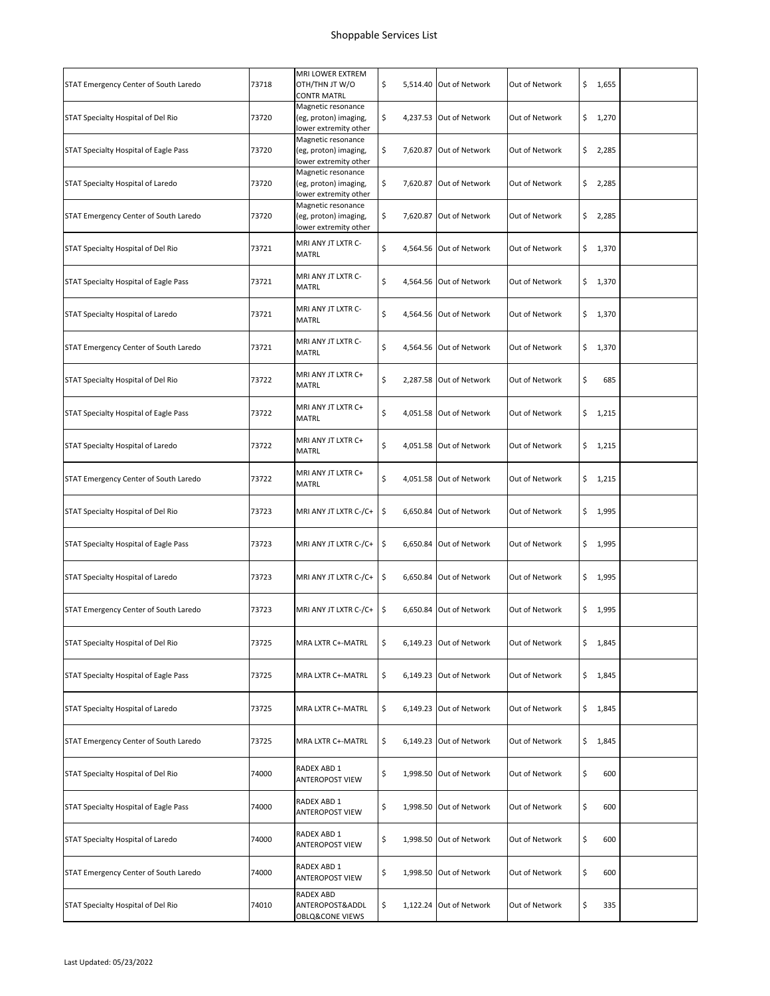| STAT Emergency Center of South Laredo | 73718 | MRI LOWER EXTREM<br>OTH/THN JT W/O<br><b>CONTR MATRL</b>             | \$ | 5,514.40 Out of Network | Out of Network | \$<br>1,655 |  |
|---------------------------------------|-------|----------------------------------------------------------------------|----|-------------------------|----------------|-------------|--|
| STAT Specialty Hospital of Del Rio    | 73720 | Magnetic resonance<br>(eg, proton) imaging,<br>lower extremity other | \$ | 4,237.53 Out of Network | Out of Network | \$<br>1,270 |  |
| STAT Specialty Hospital of Eagle Pass | 73720 | Magnetic resonance<br>(eg, proton) imaging,<br>lower extremity other | \$ | 7,620.87 Out of Network | Out of Network | \$<br>2,285 |  |
| STAT Specialty Hospital of Laredo     | 73720 | Magnetic resonance<br>(eg, proton) imaging,<br>lower extremity other | \$ | 7,620.87 Out of Network | Out of Network | \$<br>2,285 |  |
| STAT Emergency Center of South Laredo | 73720 | Magnetic resonance<br>(eg, proton) imaging,<br>lower extremity other | \$ | 7,620.87 Out of Network | Out of Network | \$<br>2,285 |  |
| STAT Specialty Hospital of Del Rio    | 73721 | MRI ANY JT LXTR C-<br><b>MATRL</b>                                   | \$ | 4,564.56 Out of Network | Out of Network | \$1,370     |  |
| STAT Specialty Hospital of Eagle Pass | 73721 | MRI ANY JT LXTR C-<br>MATRL                                          | \$ | 4,564.56 Out of Network | Out of Network | \$<br>1,370 |  |
| STAT Specialty Hospital of Laredo     | 73721 | MRI ANY JT LXTR C-<br>MATRL                                          | \$ | 4,564.56 Out of Network | Out of Network | \$<br>1,370 |  |
| STAT Emergency Center of South Laredo | 73721 | MRI ANY JT LXTR C-<br><b>MATRL</b>                                   | \$ | 4,564.56 Out of Network | Out of Network | \$1,370     |  |
| STAT Specialty Hospital of Del Rio    | 73722 | MRI ANY JT LXTR C+<br>MATRL                                          | \$ | 2,287.58 Out of Network | Out of Network | \$<br>685   |  |
| STAT Specialty Hospital of Eagle Pass | 73722 | MRI ANY JT LXTR C+<br><b>MATRL</b>                                   | \$ | 4,051.58 Out of Network | Out of Network | \$<br>1,215 |  |
| STAT Specialty Hospital of Laredo     | 73722 | MRI ANY JT LXTR C+<br><b>MATRL</b>                                   | \$ | 4,051.58 Out of Network | Out of Network | \$<br>1,215 |  |
| STAT Emergency Center of South Laredo | 73722 | MRI ANY JT LXTR C+<br><b>MATRL</b>                                   | \$ | 4,051.58 Out of Network | Out of Network | \$<br>1,215 |  |
| STAT Specialty Hospital of Del Rio    | 73723 | MRI ANY JT LXTR C-/C+                                                | \$ | 6,650.84 Out of Network | Out of Network | \$1,995     |  |
| STAT Specialty Hospital of Eagle Pass | 73723 | MRI ANY JT LXTR C-/C+                                                | \$ | 6,650.84 Out of Network | Out of Network | \$1,995     |  |
| STAT Specialty Hospital of Laredo     | 73723 | MRI ANY JT LXTR C-/C+                                                | \$ | 6,650.84 Out of Network | Out of Network | \$<br>1,995 |  |
| STAT Emergency Center of South Laredo | 73723 | MRI ANY JT LXTR C-/C+                                                | \$ | 6,650.84 Out of Network | Out of Network | \$<br>1,995 |  |
| STAT Specialty Hospital of Del Rio    | 73725 | MRA LXTR C+-MATRL                                                    | \$ | 6,149.23 Out of Network | Out of Network | \$<br>1,845 |  |
| STAT Specialty Hospital of Eagle Pass | 73725 | MRA LXTR C+-MATRL                                                    | \$ | 6,149.23 Out of Network | Out of Network | \$<br>1,845 |  |
| STAT Specialty Hospital of Laredo     | 73725 | MRA LXTR C+-MATRL                                                    | \$ | 6,149.23 Out of Network | Out of Network | \$<br>1,845 |  |
| STAT Emergency Center of South Laredo | 73725 | MRA LXTR C+-MATRL                                                    | \$ | 6,149.23 Out of Network | Out of Network | \$<br>1,845 |  |
| STAT Specialty Hospital of Del Rio    | 74000 | RADEX ABD 1<br>ANTEROPOST VIEW                                       | \$ | 1,998.50 Out of Network | Out of Network | \$<br>600   |  |
| STAT Specialty Hospital of Eagle Pass | 74000 | RADEX ABD 1<br>ANTEROPOST VIEW                                       | \$ | 1,998.50 Out of Network | Out of Network | \$<br>600   |  |
| STAT Specialty Hospital of Laredo     | 74000 | RADEX ABD 1<br>ANTEROPOST VIEW                                       | \$ | 1,998.50 Out of Network | Out of Network | \$<br>600   |  |
| STAT Emergency Center of South Laredo | 74000 | RADEX ABD 1<br>ANTEROPOST VIEW                                       | \$ | 1,998.50 Out of Network | Out of Network | \$<br>600   |  |
| STAT Specialty Hospital of Del Rio    | 74010 | RADEX ABD<br>ANTEROPOST&ADDL<br>OBLQ&CONE VIEWS                      | \$ | 1,122.24 Out of Network | Out of Network | \$<br>335   |  |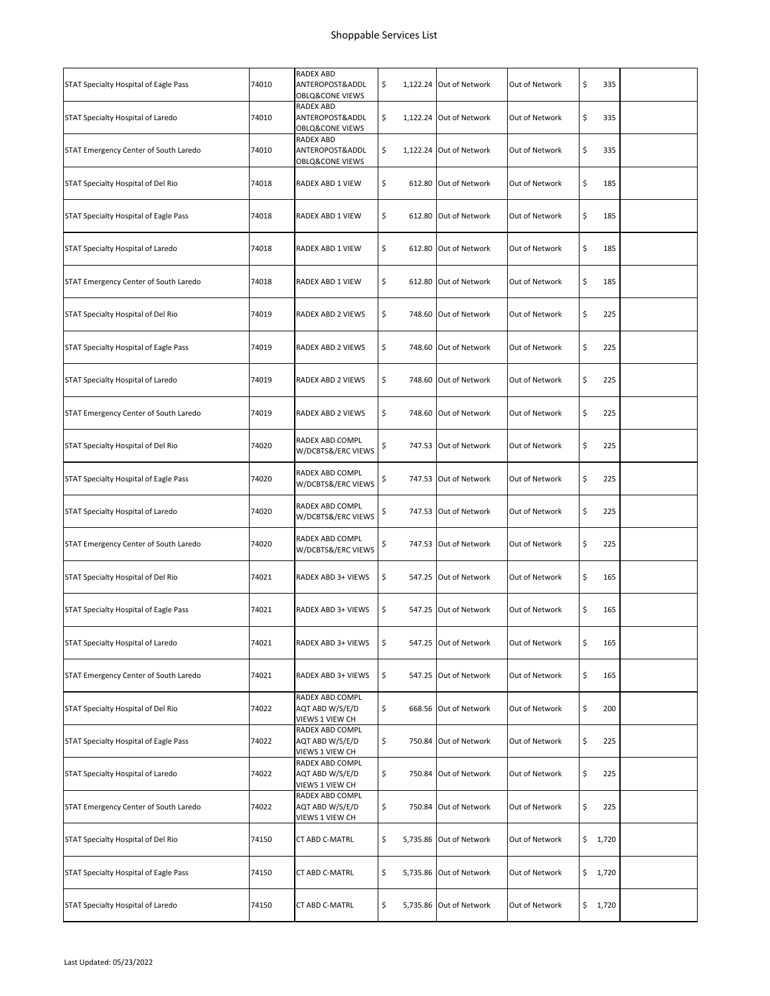| STAT Specialty Hospital of Eagle Pass | 74010 | <b>RADEX ABD</b><br>ANTEROPOST&ADDL<br><b>OBLQ&amp;CONE VIEWS</b> | \$  |        | 1,122.24 Out of Network | Out of Network | \$<br>335   |  |
|---------------------------------------|-------|-------------------------------------------------------------------|-----|--------|-------------------------|----------------|-------------|--|
| STAT Specialty Hospital of Laredo     | 74010 | RADEX ABD<br>ANTEROPOST&ADDL<br><b>OBLQ&amp;CONE VIEWS</b>        | \$  |        | 1,122.24 Out of Network | Out of Network | \$<br>335   |  |
| STAT Emergency Center of South Laredo | 74010 | RADEX ABD<br>ANTEROPOST&ADDL<br>OBLQ&CONE VIEWS                   | \$  |        | 1,122.24 Out of Network | Out of Network | \$<br>335   |  |
| STAT Specialty Hospital of Del Rio    | 74018 | RADEX ABD 1 VIEW                                                  | \$  |        | 612.80 Out of Network   | Out of Network | \$<br>185   |  |
| STAT Specialty Hospital of Eagle Pass | 74018 | RADEX ABD 1 VIEW                                                  | \$  |        | 612.80 Out of Network   | Out of Network | \$<br>185   |  |
| STAT Specialty Hospital of Laredo     | 74018 | RADEX ABD 1 VIEW                                                  | \$  |        | 612.80 Out of Network   | Out of Network | \$<br>185   |  |
| STAT Emergency Center of South Laredo | 74018 | RADEX ABD 1 VIEW                                                  | \$  |        | 612.80 Out of Network   | Out of Network | \$<br>185   |  |
| STAT Specialty Hospital of Del Rio    | 74019 | <b>RADEX ABD 2 VIEWS</b>                                          | \$  |        | 748.60 Out of Network   | Out of Network | \$<br>225   |  |
| STAT Specialty Hospital of Eagle Pass | 74019 | RADEX ABD 2 VIEWS                                                 | \$  |        | 748.60 Out of Network   | Out of Network | \$<br>225   |  |
| STAT Specialty Hospital of Laredo     | 74019 | RADEX ABD 2 VIEWS                                                 | \$  |        | 748.60 Out of Network   | Out of Network | \$<br>225   |  |
| STAT Emergency Center of South Laredo | 74019 | RADEX ABD 2 VIEWS                                                 | \$  |        | 748.60 Out of Network   | Out of Network | \$<br>225   |  |
| STAT Specialty Hospital of Del Rio    | 74020 | RADEX ABD COMPL<br>W/DCBTS&/ERC VIEWS                             | \$  |        | 747.53 Out of Network   | Out of Network | \$<br>225   |  |
| STAT Specialty Hospital of Eagle Pass | 74020 | RADEX ABD COMPL<br>W/DCBTS&/ERC VIEWS                             | \$  |        | 747.53 Out of Network   | Out of Network | \$<br>225   |  |
| STAT Specialty Hospital of Laredo     | 74020 | RADEX ABD COMPL<br>W/DCBTS&/ERC VIEWS                             | \$  |        | 747.53 Out of Network   | Out of Network | \$<br>225   |  |
| STAT Emergency Center of South Laredo | 74020 | RADEX ABD COMPL<br>W/DCBTS&/ERC VIEWS                             | \$  |        | 747.53 Out of Network   | Out of Network | \$<br>225   |  |
| STAT Specialty Hospital of Del Rio    | 74021 | RADEX ABD 3+ VIEWS                                                | \$  |        | 547.25 Out of Network   | Out of Network | \$<br>165   |  |
| STAT Specialty Hospital of Eagle Pass | 74021 | RADEX ABD 3+ VIEWS                                                | \$. |        | 547.25 Out of Network   | Out of Network | \$<br>165   |  |
| STAT Specialty Hospital of Laredo     | 74021 | RADEX ABD 3+ VIEWS                                                | \$  |        | 547.25 Out of Network   | Out of Network | \$<br>165   |  |
| STAT Emergency Center of South Laredo | 74021 | RADEX ABD 3+ VIEWS                                                | \$  |        | 547.25 Out of Network   | Out of Network | \$<br>165   |  |
| STAT Specialty Hospital of Del Rio    | 74022 | RADEX ABD COMPL<br>AQT ABD W/S/E/D<br>VIEWS 1 VIEW CH             | \$  |        | 668.56 Out of Network   | Out of Network | \$<br>200   |  |
| STAT Specialty Hospital of Eagle Pass | 74022 | RADEX ABD COMPL<br>AQT ABD W/S/E/D<br>VIEWS 1 VIEW CH             | \$  |        | 750.84 Out of Network   | Out of Network | \$<br>225   |  |
| STAT Specialty Hospital of Laredo     | 74022 | RADEX ABD COMPL<br>AQT ABD W/S/E/D<br>VIEWS 1 VIEW CH             | \$  |        | 750.84 Out of Network   | Out of Network | \$<br>225   |  |
| STAT Emergency Center of South Laredo | 74022 | RADEX ABD COMPL<br>AQT ABD W/S/E/D<br>VIEWS 1 VIEW CH             | \$  | 750.84 | Out of Network          | Out of Network | \$<br>225   |  |
| STAT Specialty Hospital of Del Rio    | 74150 | CT ABD C-MATRL                                                    | \$  |        | 5,735.86 Out of Network | Out of Network | \$<br>1,720 |  |
| STAT Specialty Hospital of Eagle Pass | 74150 | CT ABD C-MATRL                                                    | \$  |        | 5,735.86 Out of Network | Out of Network | \$<br>1,720 |  |
| STAT Specialty Hospital of Laredo     | 74150 | CT ABD C-MATRL                                                    | \$  |        | 5,735.86 Out of Network | Out of Network | \$1,720     |  |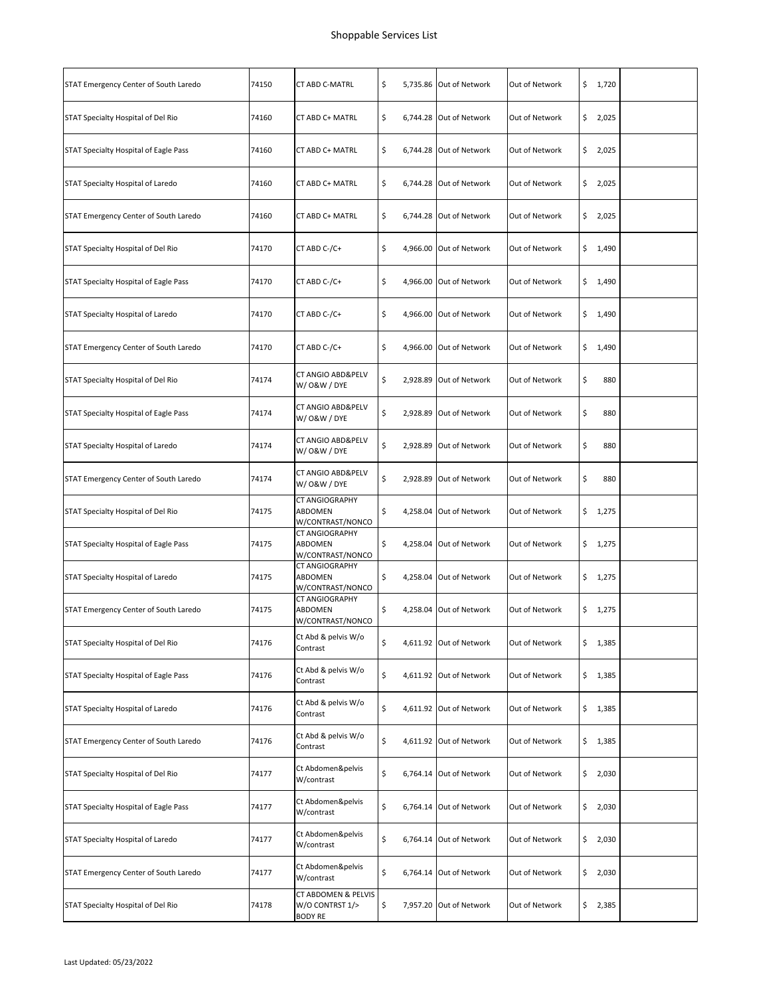| STAT Emergency Center of South Laredo | 74150 | CT ABD C-MATRL                                           | \$  | 5,735.86 Out of Network | Out of Network | \$<br>1,720  |  |
|---------------------------------------|-------|----------------------------------------------------------|-----|-------------------------|----------------|--------------|--|
| STAT Specialty Hospital of Del Rio    | 74160 | CT ABD C+ MATRL                                          | \$  | 6,744.28 Out of Network | Out of Network | \$<br>2,025  |  |
| STAT Specialty Hospital of Eagle Pass | 74160 | CT ABD C+ MATRL                                          | \$  | 6,744.28 Out of Network | Out of Network | \$<br>2,025  |  |
| STAT Specialty Hospital of Laredo     | 74160 | CT ABD C+ MATRL                                          | \$  | 6,744.28 Out of Network | Out of Network | \$<br>2,025  |  |
| STAT Emergency Center of South Laredo | 74160 | CT ABD C+ MATRL                                          | \$  | 6,744.28 Out of Network | Out of Network | \$<br>2,025  |  |
| STAT Specialty Hospital of Del Rio    | 74170 | CT ABD C-/C+                                             | \$  | 4,966.00 Out of Network | Out of Network | \$<br>1,490  |  |
| STAT Specialty Hospital of Eagle Pass | 74170 | CT ABD C-/C+                                             | \$  | 4,966.00 Out of Network | Out of Network | \$1,490      |  |
| STAT Specialty Hospital of Laredo     | 74170 | CT ABD C-/C+                                             | \$  | 4,966.00 Out of Network | Out of Network | \$<br>1,490  |  |
| STAT Emergency Center of South Laredo | 74170 | CT ABD C-/C+                                             | \$  | 4,966.00 Out of Network | Out of Network | \$<br>1,490  |  |
| STAT Specialty Hospital of Del Rio    | 74174 | <b>CT ANGIO ABD&amp;PELV</b><br>W/ 0&W / DYE             | \$  | 2,928.89 Out of Network | Out of Network | \$<br>880    |  |
| STAT Specialty Hospital of Eagle Pass | 74174 | CT ANGIO ABD&PELV<br>W/ 0&W / DYE                        | \$  | 2,928.89 Out of Network | Out of Network | \$<br>880    |  |
| STAT Specialty Hospital of Laredo     | 74174 | CT ANGIO ABD&PELV<br>W/O&W/DYE                           | \$  | 2,928.89 Out of Network | Out of Network | \$<br>880    |  |
| STAT Emergency Center of South Laredo | 74174 | CT ANGIO ABD&PELV<br>W/ 0&W / DYE                        | \$  | 2,928.89 Out of Network | Out of Network | \$<br>880    |  |
| STAT Specialty Hospital of Del Rio    | 74175 | CT ANGIOGRAPHY<br>ABDOMEN<br>W/CONTRAST/NONCO            | \$  | 4,258.04 Out of Network | Out of Network | \$<br>1,275  |  |
| STAT Specialty Hospital of Eagle Pass | 74175 | CT ANGIOGRAPHY<br>ABDOMEN<br>W/CONTRAST/NONCO            | \$. | 4,258.04 Out of Network | Out of Network | \$1,275      |  |
| STAT Specialty Hospital of Laredo     | 74175 | <b>CT ANGIOGRAPHY</b><br>ABDOMEN<br>W/CONTRAST/NONCO     | \$  | 4,258.04 Out of Network | Out of Network | \$<br>1,275  |  |
| STAT Emergency Center of South Laredo | 74175 | CT ANGIOGRAPHY<br><b>ABDOMEN</b><br>W/CONTRAST/NONCO     | \$  | 4,258.04 Out of Network | Out of Network | \$.<br>1,275 |  |
| STAT Specialty Hospital of Del Rio    | 74176 | Ct Abd & pelvis W/o<br>Contrast                          | \$  | 4,611.92 Out of Network | Out of Network | \$<br>1,385  |  |
| STAT Specialty Hospital of Eagle Pass | 74176 | Ct Abd & pelvis W/o<br>Contrast                          | \$  | 4,611.92 Out of Network | Out of Network | \$<br>1,385  |  |
| STAT Specialty Hospital of Laredo     | 74176 | Ct Abd & pelvis W/o<br>Contrast                          | \$  | 4,611.92 Out of Network | Out of Network | \$<br>1,385  |  |
| STAT Emergency Center of South Laredo | 74176 | Ct Abd & pelvis W/o<br>Contrast                          | \$  | 4,611.92 Out of Network | Out of Network | \$<br>1,385  |  |
| STAT Specialty Hospital of Del Rio    | 74177 | Ct Abdomen&pelvis<br>W/contrast                          | \$  | 6,764.14 Out of Network | Out of Network | \$<br>2,030  |  |
| STAT Specialty Hospital of Eagle Pass | 74177 | Ct Abdomen&pelvis<br>W/contrast                          | \$  | 6,764.14 Out of Network | Out of Network | \$<br>2,030  |  |
| STAT Specialty Hospital of Laredo     | 74177 | Ct Abdomen&pelvis<br>W/contrast                          | \$  | 6,764.14 Out of Network | Out of Network | \$<br>2,030  |  |
| STAT Emergency Center of South Laredo | 74177 | Ct Abdomen&pelvis<br>W/contrast                          | \$  | 6,764.14 Out of Network | Out of Network | \$<br>2,030  |  |
| STAT Specialty Hospital of Del Rio    | 74178 | CT ABDOMEN & PELVIS<br>W/O CONTRST 1/><br><b>BODY RE</b> | \$  | 7,957.20 Out of Network | Out of Network | \$<br>2,385  |  |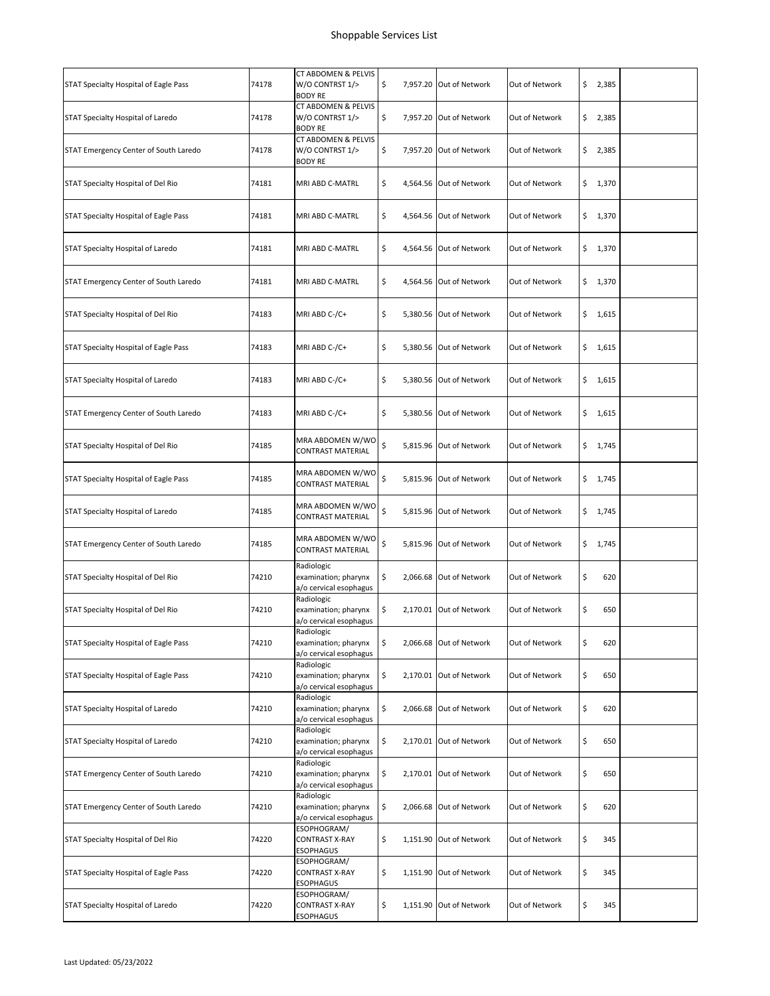| STAT Specialty Hospital of Eagle Pass | 74178 | CT ABDOMEN & PELVIS<br>W/O CONTRST 1/><br><b>BODY RE</b>     | \$ | 7,957.20 Out of Network | Out of Network | \$<br>2,385 |  |
|---------------------------------------|-------|--------------------------------------------------------------|----|-------------------------|----------------|-------------|--|
| STAT Specialty Hospital of Laredo     | 74178 | CT ABDOMEN & PELVIS<br>W/O CONTRST 1/><br><b>BODY RE</b>     | \$ | 7,957.20 Out of Network | Out of Network | \$<br>2,385 |  |
| STAT Emergency Center of South Laredo | 74178 | CT ABDOMEN & PELVIS<br>W/O CONTRST 1/><br><b>BODY RE</b>     | \$ | 7,957.20 Out of Network | Out of Network | \$2,385     |  |
| STAT Specialty Hospital of Del Rio    | 74181 | MRI ABD C-MATRL                                              | \$ | 4,564.56 Out of Network | Out of Network | \$1,370     |  |
| STAT Specialty Hospital of Eagle Pass | 74181 | MRI ABD C-MATRL                                              | \$ | 4,564.56 Out of Network | Out of Network | \$1,370     |  |
| STAT Specialty Hospital of Laredo     | 74181 | MRI ABD C-MATRL                                              | \$ | 4,564.56 Out of Network | Out of Network | \$1,370     |  |
| STAT Emergency Center of South Laredo | 74181 | MRI ABD C-MATRL                                              | \$ | 4,564.56 Out of Network | Out of Network | \$<br>1,370 |  |
| STAT Specialty Hospital of Del Rio    | 74183 | MRI ABD C-/C+                                                | \$ | 5,380.56 Out of Network | Out of Network | \$1,615     |  |
| STAT Specialty Hospital of Eagle Pass | 74183 | MRI ABD C-/C+                                                | \$ | 5,380.56 Out of Network | Out of Network | \$1,615     |  |
| STAT Specialty Hospital of Laredo     | 74183 | MRI ABD C-/C+                                                | \$ | 5,380.56 Out of Network | Out of Network | \$<br>1,615 |  |
| STAT Emergency Center of South Laredo | 74183 | MRI ABD C-/C+                                                | \$ | 5,380.56 Out of Network | Out of Network | \$1,615     |  |
| STAT Specialty Hospital of Del Rio    | 74185 | MRA ABDOMEN W/WO<br><b>CONTRAST MATERIAL</b>                 | \$ | 5,815.96 Out of Network | Out of Network | \$1,745     |  |
| STAT Specialty Hospital of Eagle Pass | 74185 | MRA ABDOMEN W/WO<br>CONTRAST MATERIAL                        | \$ | 5,815.96 Out of Network | Out of Network | \$<br>1,745 |  |
| STAT Specialty Hospital of Laredo     | 74185 | MRA ABDOMEN W/WO<br>CONTRAST MATERIAL                        | \$ | 5,815.96 Out of Network | Out of Network | \$1,745     |  |
| STAT Emergency Center of South Laredo | 74185 | MRA ABDOMEN W/WO<br>CONTRAST MATERIAL                        | \$ | 5,815.96 Out of Network | Out of Network | \$1,745     |  |
| STAT Specialty Hospital of Del Rio    | 74210 | Radiologic<br>examination; pharynx<br>a/o cervical esophagus | \$ | 2,066.68 Out of Network | Out of Network | \$<br>620   |  |
| STAT Specialty Hospital of Del Rio    | 74210 | Radiologic<br>examination; pharynx<br>a/o cervical esophagus | \$ | 2,170.01 Out of Network | Out of Network | \$<br>650   |  |
| STAT Specialty Hospital of Eagle Pass | 74210 | Radiologic<br>examination; pharynx<br>a/o cervical esophagus | \$ | 2,066.68 Out of Network | Out of Network | \$<br>620   |  |
| STAT Specialty Hospital of Eagle Pass | 74210 | Radiologic<br>examination; pharynx<br>a/o cervical esophagus | \$ | 2,170.01 Out of Network | Out of Network | \$<br>650   |  |
| STAT Specialty Hospital of Laredo     | 74210 | Radiologic<br>examination; pharynx<br>a/o cervical esophagus | \$ | 2,066.68 Out of Network | Out of Network | \$<br>620   |  |
| STAT Specialty Hospital of Laredo     | 74210 | Radiologic<br>examination; pharynx<br>a/o cervical esophagus | \$ | 2,170.01 Out of Network | Out of Network | \$<br>650   |  |
| STAT Emergency Center of South Laredo | 74210 | Radiologic<br>examination; pharynx<br>a/o cervical esophagus | \$ | 2,170.01 Out of Network | Out of Network | \$<br>650   |  |
| STAT Emergency Center of South Laredo | 74210 | Radiologic<br>examination; pharynx<br>a/o cervical esophagus | \$ | 2,066.68 Out of Network | Out of Network | \$<br>620   |  |
| STAT Specialty Hospital of Del Rio    | 74220 | ESOPHOGRAM/<br><b>CONTRAST X-RAY</b><br><b>ESOPHAGUS</b>     | \$ | 1,151.90 Out of Network | Out of Network | \$<br>345   |  |
| STAT Specialty Hospital of Eagle Pass | 74220 | ESOPHOGRAM/<br>CONTRAST X-RAY<br><b>ESOPHAGUS</b>            | \$ | 1,151.90 Out of Network | Out of Network | \$<br>345   |  |
| STAT Specialty Hospital of Laredo     | 74220 | ESOPHOGRAM/<br><b>CONTRAST X-RAY</b><br><b>ESOPHAGUS</b>     | \$ | 1,151.90 Out of Network | Out of Network | \$<br>345   |  |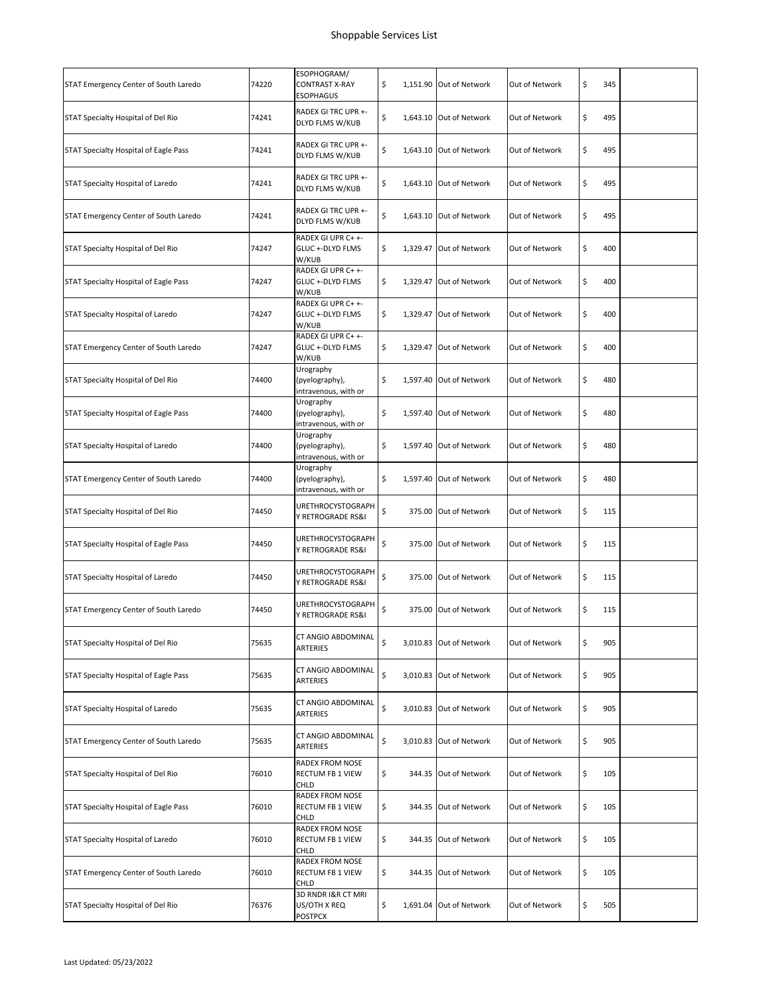| STAT Emergency Center of South Laredo | 74220 | ESOPHOGRAM/<br><b>CONTRAST X-RAY</b><br><b>ESOPHAGUS</b> | \$ | 1,151.90 Out of Network | Out of Network | \$<br>345 |  |
|---------------------------------------|-------|----------------------------------------------------------|----|-------------------------|----------------|-----------|--|
| STAT Specialty Hospital of Del Rio    | 74241 | RADEX GI TRC UPR +-<br>DLYD FLMS W/KUB                   | \$ | 1,643.10 Out of Network | Out of Network | \$<br>495 |  |
| STAT Specialty Hospital of Eagle Pass | 74241 | RADEX GI TRC UPR +-<br>DLYD FLMS W/KUB                   | \$ | 1,643.10 Out of Network | Out of Network | \$<br>495 |  |
| STAT Specialty Hospital of Laredo     | 74241 | RADEX GI TRC UPR +-<br>DLYD FLMS W/KUB                   | \$ | 1,643.10 Out of Network | Out of Network | \$<br>495 |  |
| STAT Emergency Center of South Laredo | 74241 | RADEX GI TRC UPR +-<br>DLYD FLMS W/KUB                   | \$ | 1,643.10 Out of Network | Out of Network | \$<br>495 |  |
| STAT Specialty Hospital of Del Rio    | 74247 | RADEX GI UPR C+ +-<br>GLUC +-DLYD FLMS<br>W/KUB          | \$ | 1,329.47 Out of Network | Out of Network | \$<br>400 |  |
| STAT Specialty Hospital of Eagle Pass | 74247 | RADEX GI UPR C+ +-<br>GLUC +-DLYD FLMS<br>W/KUB          | \$ | 1,329.47 Out of Network | Out of Network | \$<br>400 |  |
| STAT Specialty Hospital of Laredo     | 74247 | RADEX GI UPR C+ +-<br>GLUC +-DLYD FLMS<br>W/KUB          | \$ | 1.329.47 Out of Network | Out of Network | \$<br>400 |  |
| STAT Emergency Center of South Laredo | 74247 | RADEX GI UPR C+ +-<br>GLUC +-DLYD FLMS<br>W/KUB          | \$ | 1,329.47 Out of Network | Out of Network | \$<br>400 |  |
| STAT Specialty Hospital of Del Rio    | 74400 | Urography<br>(pyelography),<br>intravenous, with or      | \$ | 1,597.40 Out of Network | Out of Network | \$<br>480 |  |
| STAT Specialty Hospital of Eagle Pass | 74400 | Urography<br>(pyelography),<br>intravenous, with or      | \$ | 1,597.40 Out of Network | Out of Network | \$<br>480 |  |
| STAT Specialty Hospital of Laredo     | 74400 | Urography<br>(pyelography),<br>intravenous, with or      | \$ | 1,597.40 Out of Network | Out of Network | \$<br>480 |  |
| STAT Emergency Center of South Laredo | 74400 | Urography<br>(pyelography),<br>intravenous, with or      | \$ | 1,597.40 Out of Network | Out of Network | \$<br>480 |  |
| STAT Specialty Hospital of Del Rio    | 74450 | <b>URETHROCYSTOGRAPH</b><br>Y RETROGRADE RS&I            | \$ | 375.00 Out of Network   | Out of Network | \$<br>115 |  |
| STAT Specialty Hospital of Eagle Pass | 74450 | URETHROCYSTOGRAPH<br>Y RETROGRADE RS&I                   | \$ | 375.00 Out of Network   | Out of Network | \$<br>115 |  |
| STAT Specialty Hospital of Laredo     | 74450 | URETHROCYSTOGRAPH<br>Y RETROGRADE RS&I                   | \$ | 375.00 Out of Network   | Out of Network | \$<br>115 |  |
| STAT Emergency Center of South Laredo | 74450 | <b>URETHROCYSTOGRAPH</b><br>Y RETROGRADE RS&I            | \$ | 375.00 Out of Network   | Out of Network | \$<br>115 |  |
| STAT Specialty Hospital of Del Rio    | 75635 | CT ANGIO ABDOMINAL<br>ARTERIES                           | \$ | 3,010.83 Out of Network | Out of Network | \$<br>905 |  |
| STAT Specialty Hospital of Eagle Pass | 75635 | CT ANGIO ABDOMINAL<br>ARTERIES                           | \$ | 3,010.83 Out of Network | Out of Network | \$<br>905 |  |
| STAT Specialty Hospital of Laredo     | 75635 | CT ANGIO ABDOMINAL<br>ARTERIES                           | \$ | 3,010.83 Out of Network | Out of Network | \$<br>905 |  |
| STAT Emergency Center of South Laredo | 75635 | CT ANGIO ABDOMINAL<br>ARTERIES                           | \$ | 3,010.83 Out of Network | Out of Network | \$<br>905 |  |
| STAT Specialty Hospital of Del Rio    | 76010 | RADEX FROM NOSE<br>RECTUM FB 1 VIEW<br>CHLD              | \$ | 344.35 Out of Network   | Out of Network | \$<br>105 |  |
| STAT Specialty Hospital of Eagle Pass | 76010 | RADEX FROM NOSE<br>RECTUM FB 1 VIEW<br>CHLD              | \$ | 344.35 Out of Network   | Out of Network | \$<br>105 |  |
| STAT Specialty Hospital of Laredo     | 76010 | RADEX FROM NOSE<br>RECTUM FB 1 VIEW<br>CHLD              | \$ | 344.35 Out of Network   | Out of Network | \$<br>105 |  |
| STAT Emergency Center of South Laredo | 76010 | RADEX FROM NOSE<br>RECTUM FB 1 VIEW<br>CHLD              | \$ | 344.35 Out of Network   | Out of Network | \$<br>105 |  |
| STAT Specialty Hospital of Del Rio    | 76376 | 3D RNDR I&R CT MRI<br>US/OTH X REQ<br>POSTPCX            | \$ | 1,691.04 Out of Network | Out of Network | \$<br>505 |  |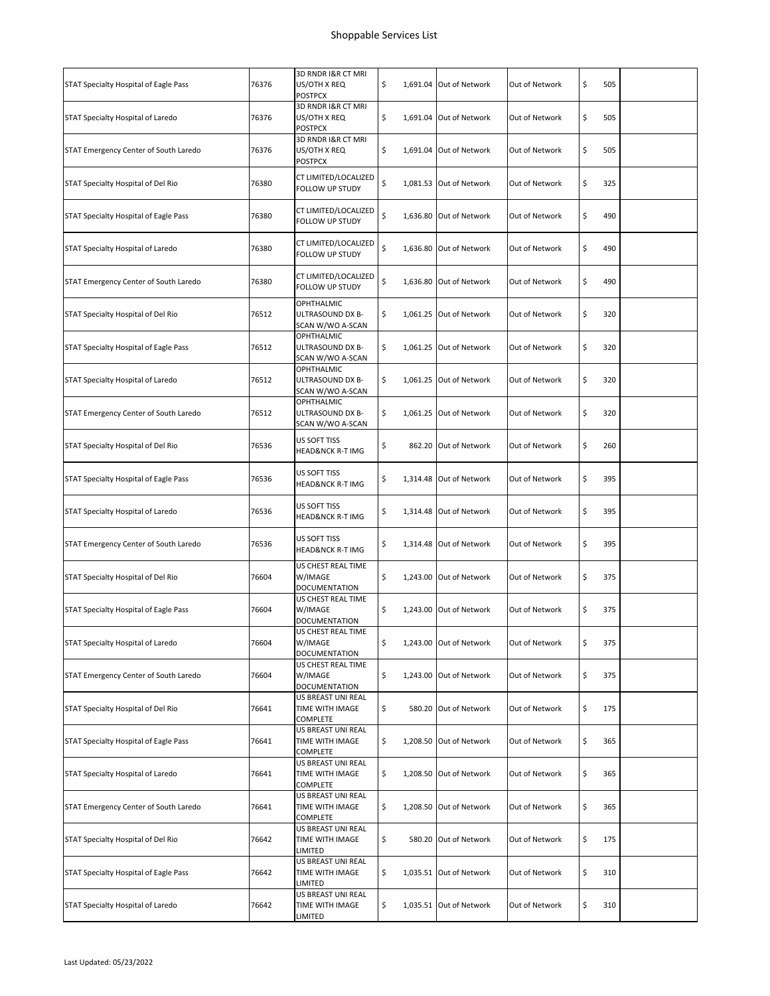| STAT Specialty Hospital of Eagle Pass | 76376 | 3D RNDR I&R CT MRI<br>US/OTH X REQ<br><b>POSTPCX</b>  | \$ | 1,691.04 Out of Network | Out of Network | \$<br>505 |  |
|---------------------------------------|-------|-------------------------------------------------------|----|-------------------------|----------------|-----------|--|
| STAT Specialty Hospital of Laredo     | 76376 | 3D RNDR I&R CT MRI<br>US/OTH X REQ<br><b>POSTPCX</b>  | \$ | 1,691.04 Out of Network | Out of Network | \$<br>505 |  |
| STAT Emergency Center of South Laredo | 76376 | 3D RNDR I&R CT MRI<br>US/OTH X REQ<br><b>POSTPCX</b>  | \$ | 1,691.04 Out of Network | Out of Network | \$<br>505 |  |
| STAT Specialty Hospital of Del Rio    | 76380 | CT LIMITED/LOCALIZED<br>FOLLOW UP STUDY               | \$ | 1,081.53 Out of Network | Out of Network | \$<br>325 |  |
| STAT Specialty Hospital of Eagle Pass | 76380 | CT LIMITED/LOCALIZED<br>FOLLOW UP STUDY               | \$ | 1,636.80 Out of Network | Out of Network | \$<br>490 |  |
| STAT Specialty Hospital of Laredo     | 76380 | CT LIMITED/LOCALIZED<br>FOLLOW UP STUDY               | \$ | 1,636.80 Out of Network | Out of Network | \$<br>490 |  |
| STAT Emergency Center of South Laredo | 76380 | CT LIMITED/LOCALIZED<br>FOLLOW UP STUDY               | \$ | 1,636.80 Out of Network | Out of Network | \$<br>490 |  |
| STAT Specialty Hospital of Del Rio    | 76512 | OPHTHALMIC<br>ULTRASOUND DX B-<br>SCAN W/WO A-SCAN    | \$ | 1,061.25 Out of Network | Out of Network | \$<br>320 |  |
| STAT Specialty Hospital of Eagle Pass | 76512 | OPHTHALMIC<br>ULTRASOUND DX B-<br>SCAN W/WO A-SCAN    | \$ | 1,061.25 Out of Network | Out of Network | \$<br>320 |  |
| STAT Specialty Hospital of Laredo     | 76512 | OPHTHALMIC<br>ULTRASOUND DX B-<br>SCAN W/WO A-SCAN    | \$ | 1,061.25 Out of Network | Out of Network | \$<br>320 |  |
| STAT Emergency Center of South Laredo | 76512 | OPHTHALMIC<br>ULTRASOUND DX B-<br>SCAN W/WO A-SCAN    | \$ | 1,061.25 Out of Network | Out of Network | \$<br>320 |  |
| STAT Specialty Hospital of Del Rio    | 76536 | US SOFT TISS<br>HEAD&NCK R-T IMG                      | \$ | 862.20 Out of Network   | Out of Network | \$<br>260 |  |
| STAT Specialty Hospital of Eagle Pass | 76536 | US SOFT TISS<br><b>HEAD&amp;NCK R-T IMG</b>           | \$ | 1,314.48 Out of Network | Out of Network | \$<br>395 |  |
| STAT Specialty Hospital of Laredo     | 76536 | US SOFT TISS<br>HEAD&NCK R-T IMG                      | \$ | 1,314.48 Out of Network | Out of Network | \$<br>395 |  |
| STAT Emergency Center of South Laredo | 76536 | US SOFT TISS<br>HEAD&NCK R-T IMG                      | \$ | 1,314.48 Out of Network | Out of Network | \$<br>395 |  |
| STAT Specialty Hospital of Del Rio    | 76604 | US CHEST REAL TIME<br>W/IMAGE<br>DOCUMENTATION        | \$ | 1,243.00 Out of Network | Out of Network | \$<br>375 |  |
| STAT Specialty Hospital of Eagle Pass | 76604 | US CHEST REAL TIME<br>W/IMAGE<br><b>DOCUMENTATION</b> | \$ | 1,243.00 Out of Network | Out of Network | \$<br>375 |  |
| STAT Specialty Hospital of Laredo     | 76604 | US CHEST REAL TIME<br>W/IMAGE<br>DOCUMENTATION        | \$ | 1,243.00 Out of Network | Out of Network | \$<br>375 |  |
| STAT Emergency Center of South Laredo | 76604 | US CHEST REAL TIME<br>W/IMAGE<br>DOCUMENTATION        | \$ | 1,243.00 Out of Network | Out of Network | \$<br>375 |  |
| STAT Specialty Hospital of Del Rio    | 76641 | US BREAST UNI REAL<br>TIME WITH IMAGE<br>COMPLETE     | \$ | 580.20 Out of Network   | Out of Network | \$<br>175 |  |
| STAT Specialty Hospital of Eagle Pass | 76641 | US BREAST UNI REAL<br>TIME WITH IMAGE<br>COMPLETE     | \$ | 1,208.50 Out of Network | Out of Network | \$<br>365 |  |
| STAT Specialty Hospital of Laredo     | 76641 | US BREAST UNI REAL<br>TIME WITH IMAGE<br>COMPLETE     | \$ | 1,208.50 Out of Network | Out of Network | \$<br>365 |  |
| STAT Emergency Center of South Laredo | 76641 | US BREAST UNI REAL<br>TIME WITH IMAGE<br>COMPLETE     | \$ | 1,208.50 Out of Network | Out of Network | \$<br>365 |  |
| STAT Specialty Hospital of Del Rio    | 76642 | US BREAST UNI REAL<br>TIME WITH IMAGE<br>limited      | \$ | 580.20 Out of Network   | Out of Network | \$<br>175 |  |
| STAT Specialty Hospital of Eagle Pass | 76642 | US BREAST UNI REAL<br>TIME WITH IMAGE<br>LIMITED      | \$ | 1,035.51 Out of Network | Out of Network | \$<br>310 |  |
| STAT Specialty Hospital of Laredo     | 76642 | US BREAST UNI REAL<br>TIME WITH IMAGE<br>limited      | \$ | 1,035.51 Out of Network | Out of Network | \$<br>310 |  |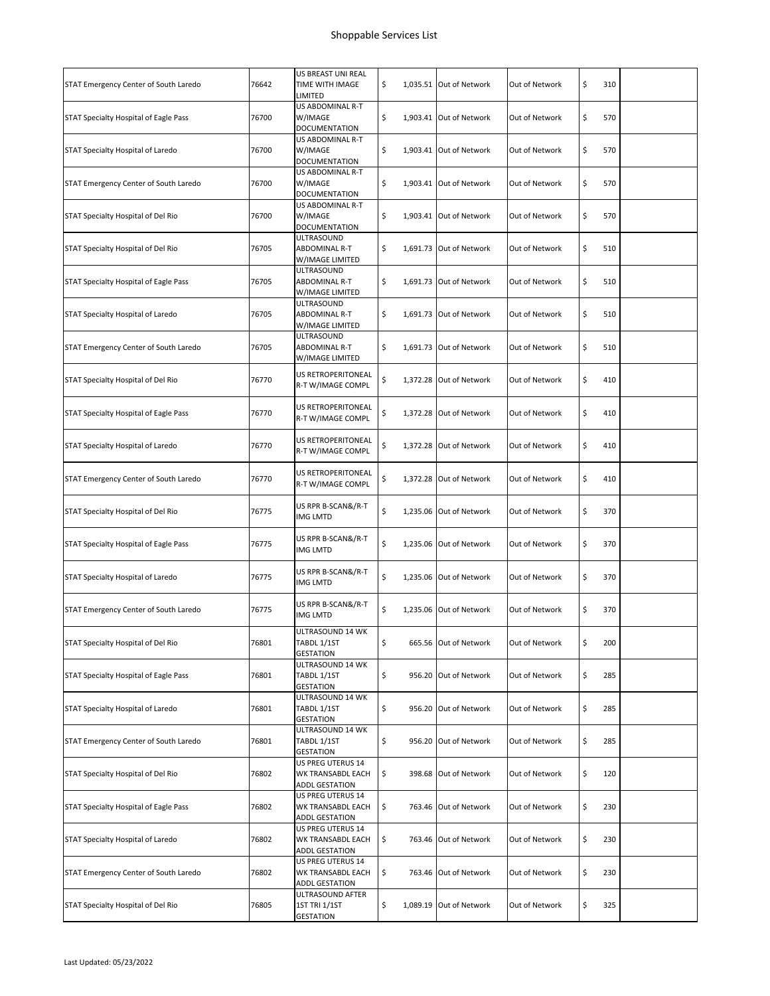| STAT Emergency Center of South Laredo        | 76642 | US BREAST UNI REAL<br>TIME WITH IMAGE<br>LIMITED                | \$           | 1,035.51 Out of Network | Out of Network | \$<br>310 |  |
|----------------------------------------------|-------|-----------------------------------------------------------------|--------------|-------------------------|----------------|-----------|--|
| STAT Specialty Hospital of Eagle Pass        | 76700 | US ABDOMINAL R-T<br>W/IMAGE<br>DOCUMENTATION                    | \$           | 1,903.41 Out of Network | Out of Network | \$<br>570 |  |
| <b>STAT Specialty Hospital of Laredo</b>     | 76700 | US ABDOMINAL R-T<br>W/IMAGE<br><b>DOCUMENTATION</b>             | \$           | 1.903.41 Out of Network | Out of Network | \$<br>570 |  |
| STAT Emergency Center of South Laredo        | 76700 | US ABDOMINAL R-T<br>W/IMAGE<br>DOCUMENTATION                    | \$           | 1,903.41 Out of Network | Out of Network | \$<br>570 |  |
| STAT Specialty Hospital of Del Rio           | 76700 | US ABDOMINAL R-T<br>W/IMAGE<br>DOCUMENTATION                    | \$           | 1,903.41 Out of Network | Out of Network | \$<br>570 |  |
| STAT Specialty Hospital of Del Rio           | 76705 | ULTRASOUND<br>ABDOMINAL R-T<br>W/IMAGE LIMITED                  | \$           | 1,691.73 Out of Network | Out of Network | \$<br>510 |  |
| STAT Specialty Hospital of Eagle Pass        | 76705 | ULTRASOUND<br>ABDOMINAL R-T<br>W/IMAGE LIMITED                  | \$           | 1,691.73 Out of Network | Out of Network | \$<br>510 |  |
| STAT Specialty Hospital of Laredo            | 76705 | ULTRASOUND<br>ABDOMINAL R-T<br>W/IMAGE LIMITED                  | \$           | 1,691.73 Out of Network | Out of Network | \$<br>510 |  |
| STAT Emergency Center of South Laredo        | 76705 | ULTRASOUND<br>ABDOMINAL R-T<br>W/IMAGE LIMITED                  | \$           | 1,691.73 Out of Network | Out of Network | \$<br>510 |  |
| STAT Specialty Hospital of Del Rio           | 76770 | US RETROPERITONEAL<br>R-T W/IMAGE COMPL                         | \$           | 1,372.28 Out of Network | Out of Network | \$<br>410 |  |
| STAT Specialty Hospital of Eagle Pass        | 76770 | US RETROPERITONEAL<br>R-T W/IMAGE COMPL                         | \$           | 1,372.28 Out of Network | Out of Network | \$<br>410 |  |
| STAT Specialty Hospital of Laredo            | 76770 | US RETROPERITONEAL<br>R-T W/IMAGE COMPL                         | \$           | 1,372.28 Out of Network | Out of Network | \$<br>410 |  |
| STAT Emergency Center of South Laredo        | 76770 | US RETROPERITONEAL<br>R-T W/IMAGE COMPL                         | \$           | 1,372.28 Out of Network | Out of Network | \$<br>410 |  |
| STAT Specialty Hospital of Del Rio           | 76775 | US RPR B-SCAN&/R-T<br>IMG LMTD                                  | \$           | 1,235.06 Out of Network | Out of Network | \$<br>370 |  |
| STAT Specialty Hospital of Eagle Pass        | 76775 | US RPR B-SCAN&/R-T<br>IMG LMTD                                  | \$           | 1,235.06 Out of Network | Out of Network | \$<br>370 |  |
| STAT Specialty Hospital of Laredo            | 76775 | US RPR B-SCAN&/R-T<br>IMG LMTD                                  | \$           | 1,235.06 Out of Network | Out of Network | \$<br>370 |  |
| STAT Emergency Center of South Laredo        | 76775 | US RPR B-SCAN&/R-T<br>IMG LMTD                                  | \$           | 1.235.06 Out of Network | Out of Network | \$<br>370 |  |
| STAT Specialty Hospital of Del Rio           | 76801 | ULTRASOUND 14 WK<br>TABDL 1/1ST<br><b>GESTATION</b>             | \$           | 665.56 Out of Network   | Out of Network | \$<br>200 |  |
| <b>STAT Specialty Hospital of Eagle Pass</b> | 76801 | ULTRASOUND 14 WK<br>TABDL 1/1ST<br><b>GESTATION</b>             | \$           | 956.20 Out of Network   | Out of Network | \$<br>285 |  |
| STAT Specialty Hospital of Laredo            | 76801 | ULTRASOUND 14 WK<br>TABDL 1/1ST<br><b>GESTATION</b>             | \$           | 956.20 Out of Network   | Out of Network | \$<br>285 |  |
| STAT Emergency Center of South Laredo        | 76801 | ULTRASOUND 14 WK<br>TABDL 1/1ST<br><b>GESTATION</b>             | \$           | 956.20 Out of Network   | Out of Network | \$<br>285 |  |
| STAT Specialty Hospital of Del Rio           | 76802 | US PREG UTERUS 14<br>WK TRANSABDL EACH<br>ADDL GESTATION        | \$           | 398.68 Out of Network   | Out of Network | \$<br>120 |  |
| STAT Specialty Hospital of Eagle Pass        | 76802 | US PREG UTERUS 14<br>WK TRANSABDL EACH<br>ADDL GESTATION        | \$<br>763.46 | Out of Network          | Out of Network | \$<br>230 |  |
| STAT Specialty Hospital of Laredo            | 76802 | US PREG UTERUS 14<br>WK TRANSABDL EACH<br>ADDL GESTATION        | \$           | 763.46 Out of Network   | Out of Network | \$<br>230 |  |
| STAT Emergency Center of South Laredo        | 76802 | US PREG UTERUS 14<br>WK TRANSABDL EACH<br><b>ADDL GESTATION</b> | \$           | 763.46 Out of Network   | Out of Network | \$<br>230 |  |
| STAT Specialty Hospital of Del Rio           | 76805 | ULTRASOUND AFTER<br>1ST TRI 1/1ST<br>GESTATION                  | \$           | 1,089.19 Out of Network | Out of Network | \$<br>325 |  |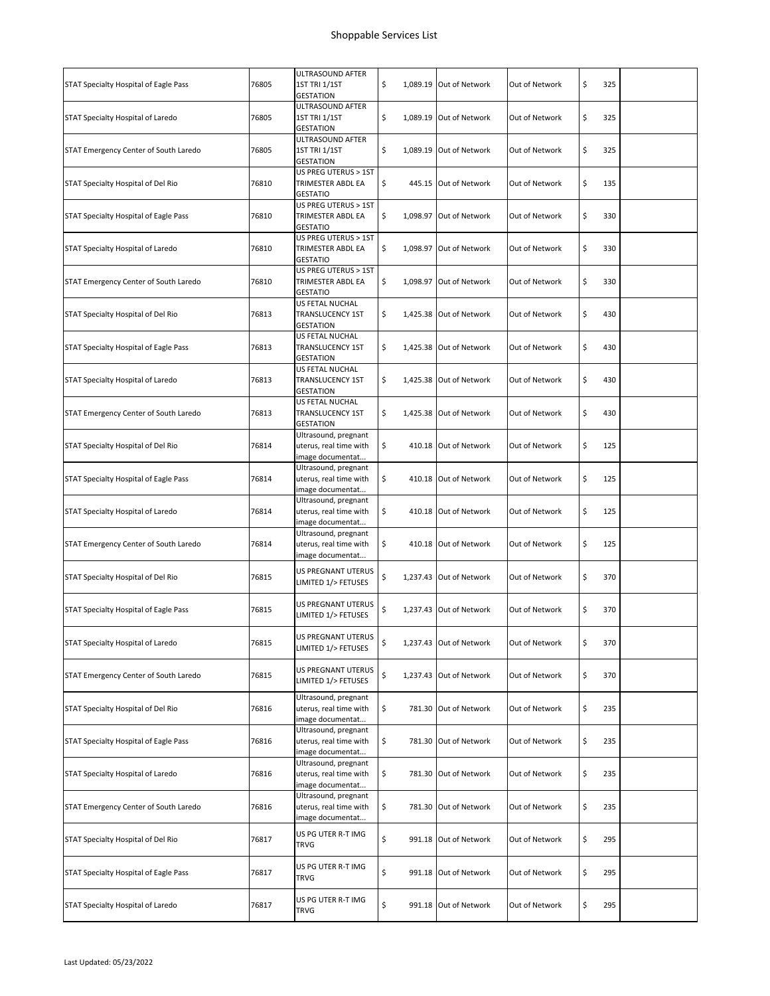|                                       |       | ULTRASOUND AFTER                                                   |    |                         |                |           |  |
|---------------------------------------|-------|--------------------------------------------------------------------|----|-------------------------|----------------|-----------|--|
| STAT Specialty Hospital of Eagle Pass | 76805 | 1ST TRI 1/1ST<br><b>GESTATION</b>                                  | \$ | 1,089.19 Out of Network | Out of Network | \$<br>325 |  |
| STAT Specialty Hospital of Laredo     | 76805 | ULTRASOUND AFTER<br>1ST TRI 1/1ST<br><b>GESTATION</b>              | \$ | 1,089.19 Out of Network | Out of Network | \$<br>325 |  |
| STAT Emergency Center of South Laredo | 76805 | ULTRASOUND AFTER<br><b>1ST TRI 1/1ST</b><br><b>GESTATION</b>       | \$ | 1,089.19 Out of Network | Out of Network | \$<br>325 |  |
| STAT Specialty Hospital of Del Rio    | 76810 | US PREG UTERUS > 1ST<br>TRIMESTER ABDL EA<br><b>GESTATIO</b>       | \$ | 445.15 Out of Network   | Out of Network | \$<br>135 |  |
| STAT Specialty Hospital of Eagle Pass | 76810 | US PREG UTERUS > 1ST<br>TRIMESTER ABDL EA<br><b>GESTATIO</b>       | \$ | 1,098.97 Out of Network | Out of Network | \$<br>330 |  |
| STAT Specialty Hospital of Laredo     | 76810 | US PREG UTERUS > 1ST<br>TRIMESTER ABDL EA<br><b>GESTATIO</b>       | \$ | 1,098.97 Out of Network | Out of Network | \$<br>330 |  |
| STAT Emergency Center of South Laredo | 76810 | US PREG UTERUS > 1ST<br>TRIMESTER ABDL EA<br><b>GESTATIO</b>       | \$ | 1,098.97 Out of Network | Out of Network | \$<br>330 |  |
| STAT Specialty Hospital of Del Rio    | 76813 | US FETAL NUCHAL<br>TRANSLUCENCY 1ST<br><b>GESTATION</b>            | \$ | 1.425.38 Out of Network | Out of Network | \$<br>430 |  |
| STAT Specialty Hospital of Eagle Pass | 76813 | US FETAL NUCHAL<br>TRANSLUCENCY 1ST<br><b>GESTATION</b>            | \$ | 1,425.38 Out of Network | Out of Network | \$<br>430 |  |
| STAT Specialty Hospital of Laredo     | 76813 | <b>US FETAL NUCHAL</b><br>TRANSLUCENCY 1ST<br><b>GESTATION</b>     | \$ | 1,425.38 Out of Network | Out of Network | \$<br>430 |  |
| STAT Emergency Center of South Laredo | 76813 | US FETAL NUCHAL<br>TRANSLUCENCY 1ST<br><b>GESTATION</b>            | \$ | 1,425.38 Out of Network | Out of Network | \$<br>430 |  |
| STAT Specialty Hospital of Del Rio    | 76814 | Ultrasound, pregnant<br>uterus, real time with<br>image documentat | \$ | 410.18 Out of Network   | Out of Network | \$<br>125 |  |
| STAT Specialty Hospital of Eagle Pass | 76814 | Ultrasound, pregnant<br>uterus, real time with<br>image documentat | \$ | 410.18 Out of Network   | Out of Network | \$<br>125 |  |
| STAT Specialty Hospital of Laredo     | 76814 | Ultrasound, pregnant<br>uterus, real time with<br>image documentat | \$ | 410.18 Out of Network   | Out of Network | \$<br>125 |  |
| STAT Emergency Center of South Laredo | 76814 | Ultrasound, pregnant<br>uterus, real time with<br>image documentat | \$ | 410.18 Out of Network   | Out of Network | \$<br>125 |  |
| STAT Specialty Hospital of Del Rio    | 76815 | <b>US PREGNANT UTERUS</b><br>LIMITED 1/> FETUSES                   | \$ | 1,237.43 Out of Network | Out of Network | \$<br>370 |  |
| STAT Specialty Hospital of Eagle Pass | 76815 | US PREGNANT UTERUS<br>LIMITED 1/> FETUSES                          | \$ | 1,237.43 Out of Network | Out of Network | \$<br>370 |  |
| STAT Specialty Hospital of Laredo     | 76815 | US PREGNANT UTERUS<br>LIMITED 1/> FETUSES                          | \$ | 1,237.43 Out of Network | Out of Network | \$<br>370 |  |
| STAT Emergency Center of South Laredo | 76815 | US PREGNANT UTERUS<br>LIMITED 1/> FETUSES                          | \$ | 1,237.43 Out of Network | Out of Network | \$<br>370 |  |
| STAT Specialty Hospital of Del Rio    | 76816 | Ultrasound, pregnant<br>uterus, real time with<br>image documentat | \$ | 781.30 Out of Network   | Out of Network | \$<br>235 |  |
| STAT Specialty Hospital of Eagle Pass | 76816 | Ultrasound, pregnant<br>uterus, real time with<br>image documentat | \$ | 781.30 Out of Network   | Out of Network | \$<br>235 |  |
| STAT Specialty Hospital of Laredo     | 76816 | Ultrasound, pregnant<br>uterus, real time with<br>image documentat | \$ | 781.30 Out of Network   | Out of Network | \$<br>235 |  |
| STAT Emergency Center of South Laredo | 76816 | Ultrasound, pregnant<br>uterus, real time with<br>image documentat | \$ | 781.30 Out of Network   | Out of Network | \$<br>235 |  |
| STAT Specialty Hospital of Del Rio    | 76817 | US PG UTER R-T IMG<br>TRVG                                         | \$ | 991.18 Out of Network   | Out of Network | \$<br>295 |  |
| STAT Specialty Hospital of Eagle Pass | 76817 | US PG UTER R-T IMG<br><b>TRVG</b>                                  | \$ | 991.18 Out of Network   | Out of Network | \$<br>295 |  |
| STAT Specialty Hospital of Laredo     | 76817 | US PG UTER R-T IMG<br><b>TRVG</b>                                  | \$ | 991.18 Out of Network   | Out of Network | \$<br>295 |  |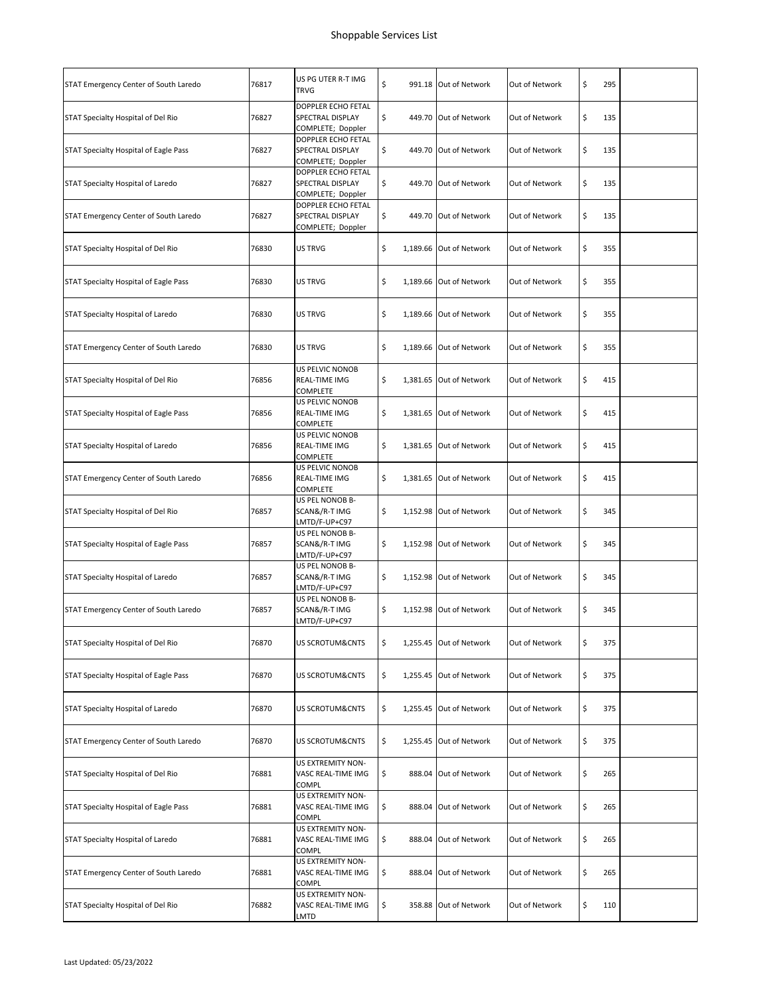| STAT Emergency Center of South Laredo | 76817 | US PG UTER R-T IMG<br>TRVG                                  | \$  |          | 991.18 Out of Network   | Out of Network | \$<br>295 |  |
|---------------------------------------|-------|-------------------------------------------------------------|-----|----------|-------------------------|----------------|-----------|--|
| STAT Specialty Hospital of Del Rio    | 76827 | DOPPLER ECHO FETAL<br>SPECTRAL DISPLAY<br>COMPLETE; Doppler | \$  |          | 449.70 Out of Network   | Out of Network | \$<br>135 |  |
| STAT Specialty Hospital of Eagle Pass | 76827 | DOPPLER ECHO FETAL<br>SPECTRAL DISPLAY<br>COMPLETE; Doppler | \$  |          | 449.70 Out of Network   | Out of Network | \$<br>135 |  |
| STAT Specialty Hospital of Laredo     | 76827 | DOPPLER ECHO FETAL<br>SPECTRAL DISPLAY<br>COMPLETE; Doppler | \$  |          | 449.70 Out of Network   | Out of Network | \$<br>135 |  |
| STAT Emergency Center of South Laredo | 76827 | DOPPLER ECHO FETAL<br>SPECTRAL DISPLAY<br>COMPLETE; Doppler | \$  |          | 449.70 Out of Network   | Out of Network | \$<br>135 |  |
| STAT Specialty Hospital of Del Rio    | 76830 | US TRVG                                                     | \$  |          | 1,189.66 Out of Network | Out of Network | \$<br>355 |  |
| STAT Specialty Hospital of Eagle Pass | 76830 | <b>US TRVG</b>                                              | \$  |          | 1,189.66 Out of Network | Out of Network | \$<br>355 |  |
| STAT Specialty Hospital of Laredo     | 76830 | US TRVG                                                     | \$  |          | 1,189.66 Out of Network | Out of Network | \$<br>355 |  |
| STAT Emergency Center of South Laredo | 76830 | <b>US TRVG</b>                                              | \$  |          | 1,189.66 Out of Network | Out of Network | \$<br>355 |  |
| STAT Specialty Hospital of Del Rio    | 76856 | US PELVIC NONOB<br>REAL-TIME IMG<br>COMPLETE                | \$  |          | 1,381.65 Out of Network | Out of Network | \$<br>415 |  |
| STAT Specialty Hospital of Eagle Pass | 76856 | US PELVIC NONOB<br>REAL-TIME IMG<br>COMPLETE                | \$  |          | 1,381.65 Out of Network | Out of Network | \$<br>415 |  |
| STAT Specialty Hospital of Laredo     | 76856 | US PELVIC NONOB<br>REAL-TIME IMG<br>COMPLETE                | \$  |          | 1,381.65 Out of Network | Out of Network | \$<br>415 |  |
| STAT Emergency Center of South Laredo | 76856 | US PELVIC NONOB<br>REAL-TIME IMG<br>COMPLETE                | \$  |          | 1,381.65 Out of Network | Out of Network | \$<br>415 |  |
| STAT Specialty Hospital of Del Rio    | 76857 | US PEL NONOB B-<br>SCAN&/R-T IMG<br>LMTD/F-UP+C97           | \$  |          | 1,152.98 Out of Network | Out of Network | \$<br>345 |  |
| STAT Specialty Hospital of Eagle Pass | 76857 | US PEL NONOB B-<br>SCAN&/R-T IMG<br>LMTD/F-UP+C97           | \$. |          | 1,152.98 Out of Network | Out of Network | \$<br>345 |  |
| STAT Specialty Hospital of Laredo     | 76857 | US PEL NONOB B-<br>SCAN&/R-T IMG<br>LMTD/F-UP+C97           | \$  |          | 1,152.98 Out of Network | Out of Network | \$<br>345 |  |
| STAT Emergency Center of South Laredo | 76857 | US PEL NONOB B-<br>SCAN&/R-T IMG<br>LMTD/F-UP+C97           | \$  |          | 1,152.98 Out of Network | Out of Network | \$<br>345 |  |
| STAT Specialty Hospital of Del Rio    | 76870 | US SCROTUM&CNTS                                             | \$  |          | 1,255.45 Out of Network | Out of Network | \$<br>375 |  |
| STAT Specialty Hospital of Eagle Pass | 76870 | US SCROTUM&CNTS                                             | \$  |          | 1,255.45 Out of Network | Out of Network | \$<br>375 |  |
| STAT Specialty Hospital of Laredo     | 76870 | US SCROTUM&CNTS                                             | \$  |          | 1,255.45 Out of Network | Out of Network | \$<br>375 |  |
| STAT Emergency Center of South Laredo | 76870 | US SCROTUM&CNTS                                             | \$  | 1,255.45 | Out of Network          | Out of Network | \$<br>375 |  |
| STAT Specialty Hospital of Del Rio    | 76881 | US EXTREMITY NON-<br>VASC REAL-TIME IMG<br>COMPL            | \$  |          | 888.04 Out of Network   | Out of Network | \$<br>265 |  |
| STAT Specialty Hospital of Eagle Pass | 76881 | US EXTREMITY NON-<br>VASC REAL-TIME IMG<br>COMPL            | \$  |          | 888.04 Out of Network   | Out of Network | \$<br>265 |  |
| STAT Specialty Hospital of Laredo     | 76881 | US EXTREMITY NON-<br>VASC REAL-TIME IMG<br>COMPL            | \$  |          | 888.04 Out of Network   | Out of Network | \$<br>265 |  |
| STAT Emergency Center of South Laredo | 76881 | US EXTREMITY NON-<br>VASC REAL-TIME IMG<br>COMPL            | \$  |          | 888.04 Out of Network   | Out of Network | \$<br>265 |  |
| STAT Specialty Hospital of Del Rio    | 76882 | US EXTREMITY NON-<br>VASC REAL-TIME IMG<br>LMTD             | \$  |          | 358.88 Out of Network   | Out of Network | \$<br>110 |  |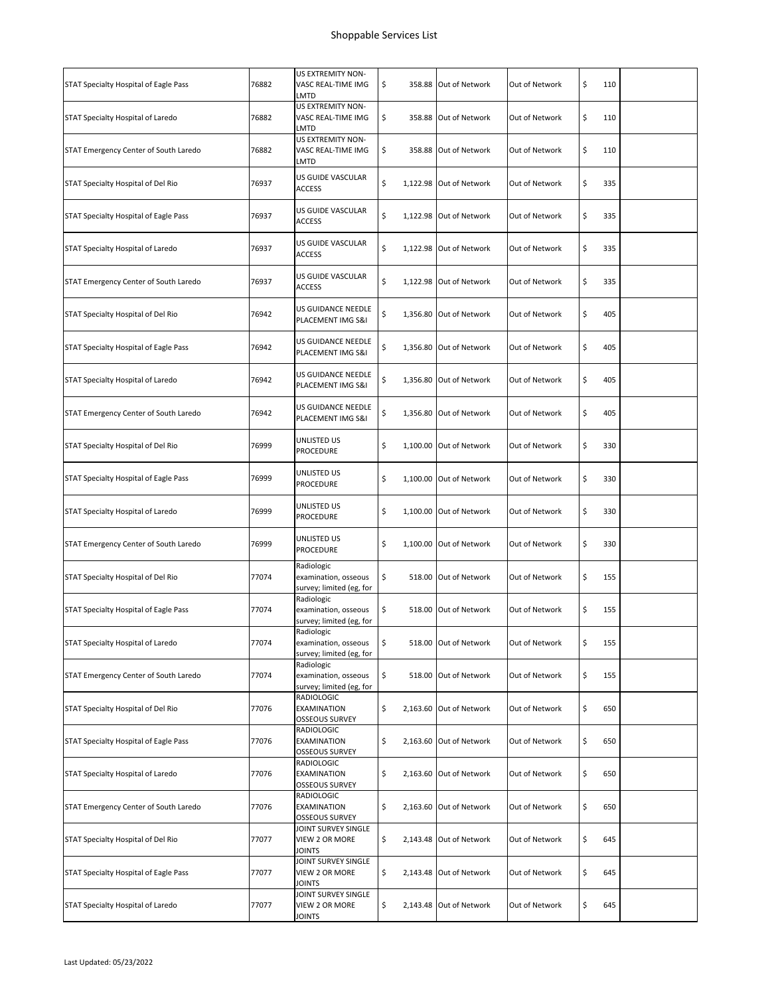| 76882 | US EXTREMITY NON-<br>VASC REAL-TIME IMG<br>LMTD                | \$. | 358.88 Out of Network | Out of Network                                                                                                                                                                                                                                                                                                                                                                                                                                                                                                                                                                                                                                                                      | \$<br>110 |                                                                                                                                                                             |
|-------|----------------------------------------------------------------|-----|-----------------------|-------------------------------------------------------------------------------------------------------------------------------------------------------------------------------------------------------------------------------------------------------------------------------------------------------------------------------------------------------------------------------------------------------------------------------------------------------------------------------------------------------------------------------------------------------------------------------------------------------------------------------------------------------------------------------------|-----------|-----------------------------------------------------------------------------------------------------------------------------------------------------------------------------|
|       |                                                                |     |                       |                                                                                                                                                                                                                                                                                                                                                                                                                                                                                                                                                                                                                                                                                     |           |                                                                                                                                                                             |
| 76882 | US EXTREMITY NON-<br>VASC REAL-TIME IMG<br>LMTD                | \$  |                       | Out of Network                                                                                                                                                                                                                                                                                                                                                                                                                                                                                                                                                                                                                                                                      | \$        |                                                                                                                                                                             |
| 76882 | US EXTREMITY NON-<br>VASC REAL-TIME IMG<br>LMTD                | \$  |                       | Out of Network                                                                                                                                                                                                                                                                                                                                                                                                                                                                                                                                                                                                                                                                      | \$        |                                                                                                                                                                             |
| 76937 | US GUIDE VASCULAR<br><b>ACCESS</b>                             | \$  |                       | Out of Network                                                                                                                                                                                                                                                                                                                                                                                                                                                                                                                                                                                                                                                                      | \$        |                                                                                                                                                                             |
| 76937 | US GUIDE VASCULAR<br><b>ACCESS</b>                             | \$  |                       | Out of Network                                                                                                                                                                                                                                                                                                                                                                                                                                                                                                                                                                                                                                                                      | \$        |                                                                                                                                                                             |
| 76937 | US GUIDE VASCULAR<br><b>ACCESS</b>                             | \$  |                       | Out of Network                                                                                                                                                                                                                                                                                                                                                                                                                                                                                                                                                                                                                                                                      | \$        |                                                                                                                                                                             |
| 76937 | US GUIDE VASCULAR<br>ACCESS                                    | \$  |                       | Out of Network                                                                                                                                                                                                                                                                                                                                                                                                                                                                                                                                                                                                                                                                      | \$        |                                                                                                                                                                             |
| 76942 | US GUIDANCE NEEDLE<br>PLACEMENT IMG S&I                        | \$  |                       | Out of Network                                                                                                                                                                                                                                                                                                                                                                                                                                                                                                                                                                                                                                                                      | \$        |                                                                                                                                                                             |
| 76942 | US GUIDANCE NEEDLE<br>PLACEMENT IMG S&I                        | \$  |                       | Out of Network                                                                                                                                                                                                                                                                                                                                                                                                                                                                                                                                                                                                                                                                      | \$        |                                                                                                                                                                             |
| 76942 | US GUIDANCE NEEDLE<br>PLACEMENT IMG S&I                        | \$  |                       | Out of Network                                                                                                                                                                                                                                                                                                                                                                                                                                                                                                                                                                                                                                                                      | \$        |                                                                                                                                                                             |
| 76942 | US GUIDANCE NEEDLE<br>PLACEMENT IMG S&I                        | \$  |                       | Out of Network                                                                                                                                                                                                                                                                                                                                                                                                                                                                                                                                                                                                                                                                      | \$        |                                                                                                                                                                             |
| 76999 | UNLISTED US<br><b>PROCEDURE</b>                                | \$  |                       | Out of Network                                                                                                                                                                                                                                                                                                                                                                                                                                                                                                                                                                                                                                                                      | \$        |                                                                                                                                                                             |
| 76999 | UNLISTED US<br>PROCEDURE                                       | \$  |                       | Out of Network                                                                                                                                                                                                                                                                                                                                                                                                                                                                                                                                                                                                                                                                      | \$        |                                                                                                                                                                             |
| 76999 | UNLISTED US<br>PROCEDURE                                       | \$  |                       | Out of Network                                                                                                                                                                                                                                                                                                                                                                                                                                                                                                                                                                                                                                                                      | \$        |                                                                                                                                                                             |
| 76999 | UNLISTED US<br>PROCEDURE                                       | \$  |                       | Out of Network                                                                                                                                                                                                                                                                                                                                                                                                                                                                                                                                                                                                                                                                      | \$        |                                                                                                                                                                             |
| 77074 | Radiologic<br>examination, osseous<br>survey; limited (eg, for | \$  |                       | Out of Network                                                                                                                                                                                                                                                                                                                                                                                                                                                                                                                                                                                                                                                                      | \$        |                                                                                                                                                                             |
| 77074 | Radiologic<br>examination, osseous<br>survey; limited (eg, for | \$  |                       | Out of Network                                                                                                                                                                                                                                                                                                                                                                                                                                                                                                                                                                                                                                                                      | \$        |                                                                                                                                                                             |
| 77074 | Radiologic<br>examination, osseous<br>survey; limited (eg, for | \$  |                       | Out of Network                                                                                                                                                                                                                                                                                                                                                                                                                                                                                                                                                                                                                                                                      | \$        |                                                                                                                                                                             |
| 77074 | Radiologic<br>examination, osseous<br>survey; limited (eg, for | \$  |                       | Out of Network                                                                                                                                                                                                                                                                                                                                                                                                                                                                                                                                                                                                                                                                      | \$        |                                                                                                                                                                             |
| 77076 | RADIOLOGIC<br><b>EXAMINATION</b><br>OSSEOUS SURVEY             | \$  |                       | Out of Network                                                                                                                                                                                                                                                                                                                                                                                                                                                                                                                                                                                                                                                                      | \$        |                                                                                                                                                                             |
| 77076 | RADIOLOGIC<br>EXAMINATION<br><b>OSSEOUS SURVEY</b>             | \$  |                       | Out of Network                                                                                                                                                                                                                                                                                                                                                                                                                                                                                                                                                                                                                                                                      | \$        |                                                                                                                                                                             |
| 77076 | RADIOLOGIC<br>EXAMINATION<br><b>OSSEOUS SURVEY</b>             | \$  |                       | Out of Network                                                                                                                                                                                                                                                                                                                                                                                                                                                                                                                                                                                                                                                                      | \$        |                                                                                                                                                                             |
| 77076 | RADIOLOGIC<br><b>EXAMINATION</b><br><b>OSSEOUS SURVEY</b>      | \$  |                       | Out of Network                                                                                                                                                                                                                                                                                                                                                                                                                                                                                                                                                                                                                                                                      | \$        |                                                                                                                                                                             |
| 77077 | JOINT SURVEY SINGLE<br>VIEW 2 OR MORE<br><b>JOINTS</b>         | \$  |                       | Out of Network                                                                                                                                                                                                                                                                                                                                                                                                                                                                                                                                                                                                                                                                      | \$        |                                                                                                                                                                             |
| 77077 | JOINT SURVEY SINGLE<br>VIEW 2 OR MORE<br>JOINTS                | \$  |                       | Out of Network                                                                                                                                                                                                                                                                                                                                                                                                                                                                                                                                                                                                                                                                      | \$        |                                                                                                                                                                             |
| 77077 | JOINT SURVEY SINGLE<br>VIEW 2 OR MORE<br>JOINTS                | \$  |                       | Out of Network                                                                                                                                                                                                                                                                                                                                                                                                                                                                                                                                                                                                                                                                      | \$        |                                                                                                                                                                             |
|       |                                                                |     |                       | 358.88 Out of Network<br>358.88 Out of Network<br>1,122.98 Out of Network<br>1,122.98 Out of Network<br>1,122.98 Out of Network<br>1,122.98 Out of Network<br>1,356.80 Out of Network<br>1,356.80 Out of Network<br>1,356.80 Out of Network<br>1,356.80 Out of Network<br>1,100.00 Out of Network<br>1,100.00 Out of Network<br>1,100.00 Out of Network<br>1,100.00 Out of Network<br>518.00 Out of Network<br>518.00 Out of Network<br>518.00 Out of Network<br>518.00 Out of Network<br>2,163.60 Out of Network<br>2,163.60 Out of Network<br>2,163.60 Out of Network<br>2,163.60 Out of Network<br>2,143.48 Out of Network<br>2,143.48 Out of Network<br>2,143.48 Out of Network |           | 110<br>110<br>335<br>335<br>335<br>335<br>405<br>405<br>405<br>405<br>330<br>330<br>330<br>330<br>155<br>155<br>155<br>155<br>650<br>650<br>650<br>650<br>645<br>645<br>645 |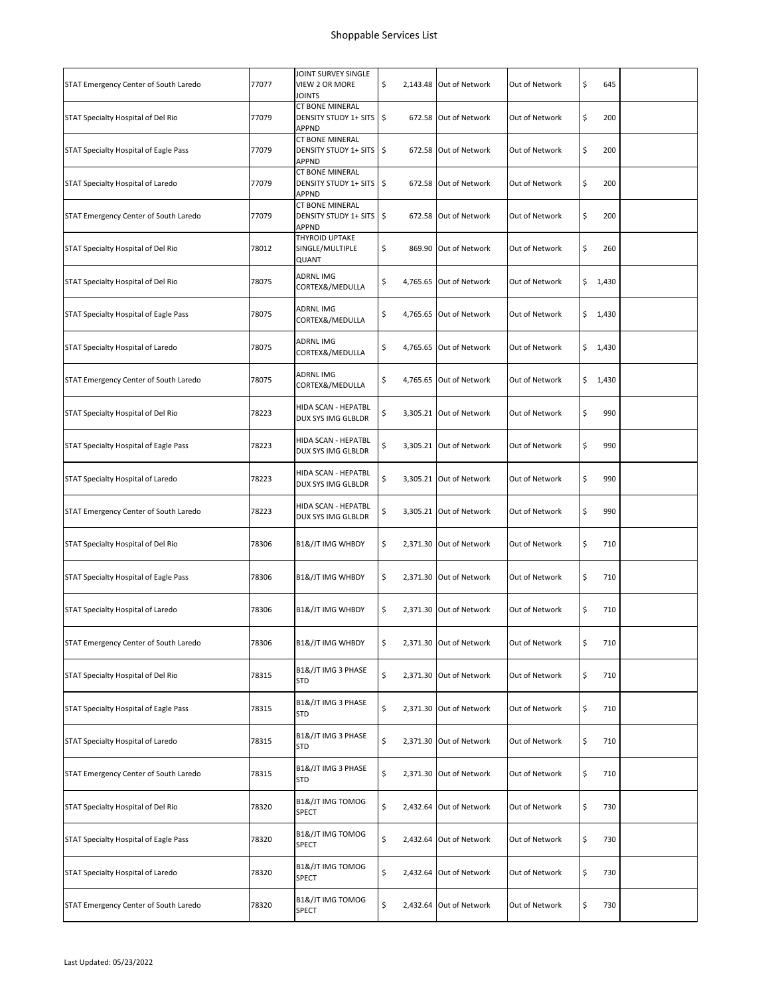| STAT Emergency Center of South Laredo | 77077 | JOINT SURVEY SINGLE<br>VIEW 2 OR MORE<br>JOINTS                        | \$  | 2,143.48 Out of Network | Out of Network | \$<br>645   |  |
|---------------------------------------|-------|------------------------------------------------------------------------|-----|-------------------------|----------------|-------------|--|
| STAT Specialty Hospital of Del Rio    | 77079 | <b>CT BONE MINERAL</b><br><b>DENSITY STUDY 1+ SITS</b><br>APPND        | ∣\$ | 672.58 Out of Network   | Out of Network | \$<br>200   |  |
| STAT Specialty Hospital of Eagle Pass | 77079 | <b>CT BONE MINERAL</b><br><b>DENSITY STUDY 1+ SITS</b><br><b>APPND</b> | \$  | 672.58 Out of Network   | Out of Network | \$<br>200   |  |
| STAT Specialty Hospital of Laredo     | 77079 | CT BONE MINERAL<br><b>DENSITY STUDY 1+ SITS</b><br>APPND               | \$  | 672.58 Out of Network   | Out of Network | \$<br>200   |  |
| STAT Emergency Center of South Laredo | 77079 | CT BONE MINERAL<br><b>DENSITY STUDY 1+ SITS</b><br><b>APPND</b>        | ∣\$ | 672.58 Out of Network   | Out of Network | \$<br>200   |  |
| STAT Specialty Hospital of Del Rio    | 78012 | THYROID UPTAKE<br>SINGLE/MULTIPLE<br>QUANT                             | \$  | 869.90 Out of Network   | Out of Network | \$<br>260   |  |
| STAT Specialty Hospital of Del Rio    | 78075 | <b>ADRNLIMG</b><br>CORTEX&/MEDULLA                                     | \$  | 4,765.65 Out of Network | Out of Network | \$<br>1,430 |  |
| STAT Specialty Hospital of Eagle Pass | 78075 | ADRNL IMG<br>CORTEX&/MEDULLA                                           | \$  | 4,765.65 Out of Network | Out of Network | \$1,430     |  |
| STAT Specialty Hospital of Laredo     | 78075 | ADRNL IMG<br>CORTEX&/MEDULLA                                           | \$  | 4,765.65 Out of Network | Out of Network | \$<br>1,430 |  |
| STAT Emergency Center of South Laredo | 78075 | <b>ADRNLIMG</b><br>CORTEX&/MEDULLA                                     | \$  | 4,765.65 Out of Network | Out of Network | \$<br>1,430 |  |
| STAT Specialty Hospital of Del Rio    | 78223 | HIDA SCAN - HEPATBL<br>DUX SYS IMG GLBLDR                              | \$  | 3,305.21 Out of Network | Out of Network | \$<br>990   |  |
| STAT Specialty Hospital of Eagle Pass | 78223 | HIDA SCAN - HEPATBL<br>DUX SYS IMG GLBLDR                              | \$  | 3,305.21 Out of Network | Out of Network | \$<br>990   |  |
| STAT Specialty Hospital of Laredo     | 78223 | HIDA SCAN - HEPATBL<br>DUX SYS IMG GLBLDR                              | \$  | 3,305.21 Out of Network | Out of Network | \$<br>990   |  |
| STAT Emergency Center of South Laredo | 78223 | HIDA SCAN - HEPATBL<br>DUX SYS IMG GLBLDR                              | \$  | 3,305.21 Out of Network | Out of Network | \$<br>990   |  |
| STAT Specialty Hospital of Del Rio    | 78306 | <b>B1&amp;/JT IMG WHBDY</b>                                            | \$  | 2,371.30 Out of Network | Out of Network | \$<br>710   |  |
| STAT Specialty Hospital of Eagle Pass | 78306 | <b>B1&amp;/JT IMG WHBDY</b>                                            | \$  | 2,371.30 Out of Network | Out of Network | \$<br>710   |  |
| STAT Specialty Hospital of Laredo     | 78306 | <b>B1&amp;/JT IMG WHBDY</b>                                            | \$. | 2,371.30 Out of Network | Out of Network | \$<br>710   |  |
| STAT Emergency Center of South Laredo | 78306 | <b>B1&amp;/JT IMG WHBDY</b>                                            | \$  | 2,371.30 Out of Network | Out of Network | \$<br>710   |  |
| STAT Specialty Hospital of Del Rio    | 78315 | B1&/JT IMG 3 PHASE<br><b>STD</b>                                       | \$  | 2,371.30 Out of Network | Out of Network | \$<br>710   |  |
| STAT Specialty Hospital of Eagle Pass | 78315 | B1&/JT IMG 3 PHASE<br>STD                                              | \$  | 2,371.30 Out of Network | Out of Network | \$<br>710   |  |
| STAT Specialty Hospital of Laredo     | 78315 | B1&/JT IMG 3 PHASE<br><b>STD</b>                                       | \$  | 2,371.30 Out of Network | Out of Network | \$<br>710   |  |
| STAT Emergency Center of South Laredo | 78315 | B1&/JT IMG 3 PHASE<br><b>STD</b>                                       | \$  | 2,371.30 Out of Network | Out of Network | \$<br>710   |  |
| STAT Specialty Hospital of Del Rio    | 78320 | B1&/JT IMG TOMOG<br>SPECT                                              | \$  | 2,432.64 Out of Network | Out of Network | \$<br>730   |  |
| STAT Specialty Hospital of Eagle Pass | 78320 | B1&/JT IMG TOMOG<br>SPECT                                              | \$  | 2,432.64 Out of Network | Out of Network | \$<br>730   |  |
| STAT Specialty Hospital of Laredo     | 78320 | B1&/JT IMG TOMOG<br><b>SPECT</b>                                       | \$  | 2,432.64 Out of Network | Out of Network | \$<br>730   |  |
| STAT Emergency Center of South Laredo | 78320 | B1&/JT IMG TOMOG<br>SPECT                                              | \$  | 2,432.64 Out of Network | Out of Network | \$<br>730   |  |
|                                       |       |                                                                        |     |                         |                |             |  |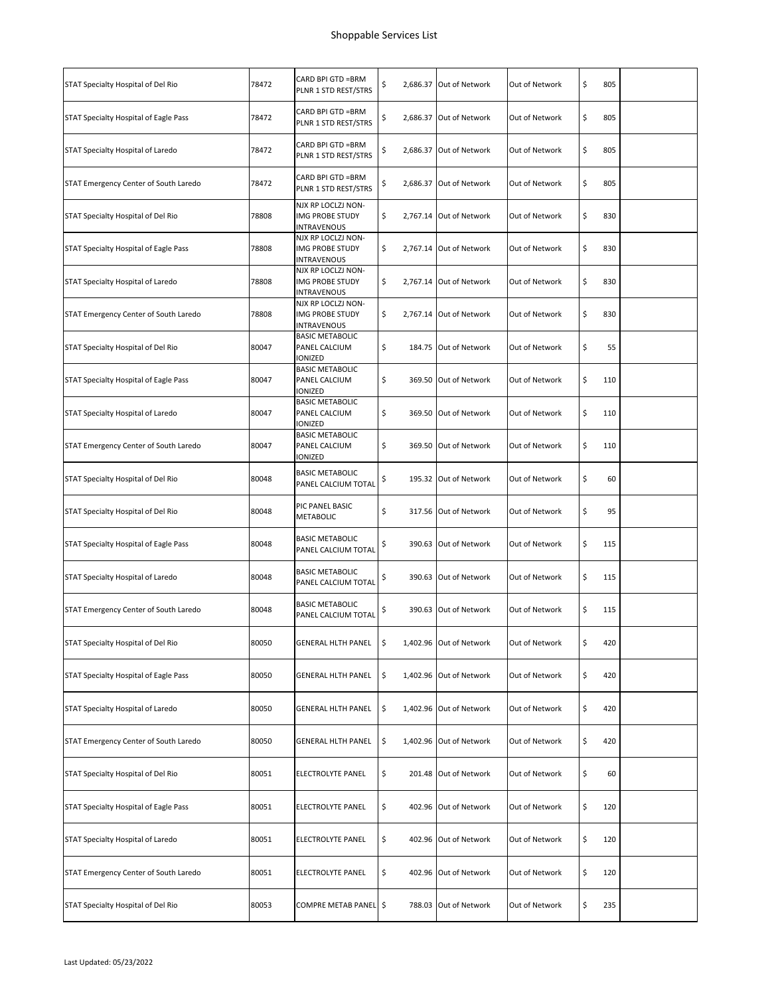| STAT Specialty Hospital of Del Rio    | 78472 | CARD BPI GTD = BRM<br>PLNR 1 STD REST/STRS                  | \$ | 2,686.37 Out of Network | Out of Network | \$<br>805 |  |
|---------------------------------------|-------|-------------------------------------------------------------|----|-------------------------|----------------|-----------|--|
| STAT Specialty Hospital of Eagle Pass | 78472 | CARD BPI GTD = BRM<br>PLNR 1 STD REST/STRS                  | \$ | 2,686.37 Out of Network | Out of Network | \$<br>805 |  |
| STAT Specialty Hospital of Laredo     | 78472 | CARD BPI GTD =BRM<br>PLNR 1 STD REST/STRS                   | \$ | 2,686.37 Out of Network | Out of Network | \$<br>805 |  |
| STAT Emergency Center of South Laredo | 78472 | CARD BPI GTD = BRM<br>PLNR 1 STD REST/STRS                  | \$ | 2,686.37 Out of Network | Out of Network | \$<br>805 |  |
| STAT Specialty Hospital of Del Rio    | 78808 | NJX RP LOCLZJ NON-<br>IMG PROBE STUDY<br><b>INTRAVENOUS</b> | \$ | 2,767.14 Out of Network | Out of Network | \$<br>830 |  |
| STAT Specialty Hospital of Eagle Pass | 78808 | NJX RP LOCLZJ NON-<br>IMG PROBE STUDY<br>INTRAVENOUS        | \$ | 2,767.14 Out of Network | Out of Network | \$<br>830 |  |
| STAT Specialty Hospital of Laredo     | 78808 | NJX RP LOCLZJ NON-<br>IMG PROBE STUDY<br><b>INTRAVENOUS</b> | \$ | 2,767.14 Out of Network | Out of Network | \$<br>830 |  |
| STAT Emergency Center of South Laredo | 78808 | NJX RP LOCLZJ NON-<br>IMG PROBE STUDY<br>INTRAVENOUS        | \$ | 2,767.14 Out of Network | Out of Network | \$<br>830 |  |
| STAT Specialty Hospital of Del Rio    | 80047 | <b>BASIC METABOLIC</b><br>PANEL CALCIUM<br>IONIZED          | \$ | 184.75 Out of Network   | Out of Network | \$<br>55  |  |
| STAT Specialty Hospital of Eagle Pass | 80047 | <b>BASIC METABOLIC</b><br>PANEL CALCIUM<br>IONIZED          | \$ | 369.50 Out of Network   | Out of Network | \$<br>110 |  |
| STAT Specialty Hospital of Laredo     | 80047 | <b>BASIC METABOLIC</b><br>PANEL CALCIUM<br>IONIZED          | \$ | 369.50 Out of Network   | Out of Network | \$<br>110 |  |
| STAT Emergency Center of South Laredo | 80047 | <b>BASIC METABOLIC</b><br>PANEL CALCIUM<br>IONIZED          | \$ | 369.50 Out of Network   | Out of Network | \$<br>110 |  |
| STAT Specialty Hospital of Del Rio    | 80048 | <b>BASIC METABOLIC</b><br>PANEL CALCIUM TOTAL               | \$ | 195.32 Out of Network   | Out of Network | \$<br>60  |  |
| STAT Specialty Hospital of Del Rio    | 80048 | PIC PANEL BASIC<br><b>METABOLIC</b>                         | \$ | 317.56 Out of Network   | Out of Network | \$<br>95  |  |
| STAT Specialty Hospital of Eagle Pass | 80048 | <b>BASIC METABOLIC</b><br>PANEL CALCIUM TOTAL               | \$ | 390.63 Out of Network   | Out of Network | \$<br>115 |  |
| STAT Specialty Hospital of Laredo     | 80048 | <b>BASIC METABOLIC</b><br>PANEL CALCIUM TOTAL               | \$ | 390.63 Out of Network   | Out of Network | \$<br>115 |  |
| STAT Emergency Center of South Laredo | 80048 | <b>BASIC METABOLIC</b><br>PANEL CALCIUM TOTAL               | \$ | 390.63 Out of Network   | Out of Network | \$<br>115 |  |
| STAT Specialty Hospital of Del Rio    | 80050 | <b>GENERAL HLTH PANEL</b>                                   | \$ | 1,402.96 Out of Network | Out of Network | \$<br>420 |  |
| STAT Specialty Hospital of Eagle Pass | 80050 | <b>GENERAL HLTH PANEL</b>                                   | \$ | 1,402.96 Out of Network | Out of Network | \$<br>420 |  |
| STAT Specialty Hospital of Laredo     | 80050 | <b>GENERAL HLTH PANEL</b>                                   | \$ | 1,402.96 Out of Network | Out of Network | \$<br>420 |  |
| STAT Emergency Center of South Laredo | 80050 | <b>GENERAL HLTH PANEL</b>                                   | \$ | 1,402.96 Out of Network | Out of Network | \$<br>420 |  |
| STAT Specialty Hospital of Del Rio    | 80051 | ELECTROLYTE PANEL                                           | \$ | 201.48 Out of Network   | Out of Network | \$<br>60  |  |
| STAT Specialty Hospital of Eagle Pass | 80051 | ELECTROLYTE PANEL                                           | \$ | 402.96 Out of Network   | Out of Network | \$<br>120 |  |
| STAT Specialty Hospital of Laredo     | 80051 | ELECTROLYTE PANEL                                           | \$ | 402.96 Out of Network   | Out of Network | \$<br>120 |  |
| STAT Emergency Center of South Laredo | 80051 | ELECTROLYTE PANEL                                           | \$ | 402.96 Out of Network   | Out of Network | \$<br>120 |  |
| STAT Specialty Hospital of Del Rio    | 80053 | COMPRE METAB PANEL \$                                       |    | 788.03 Out of Network   | Out of Network | \$<br>235 |  |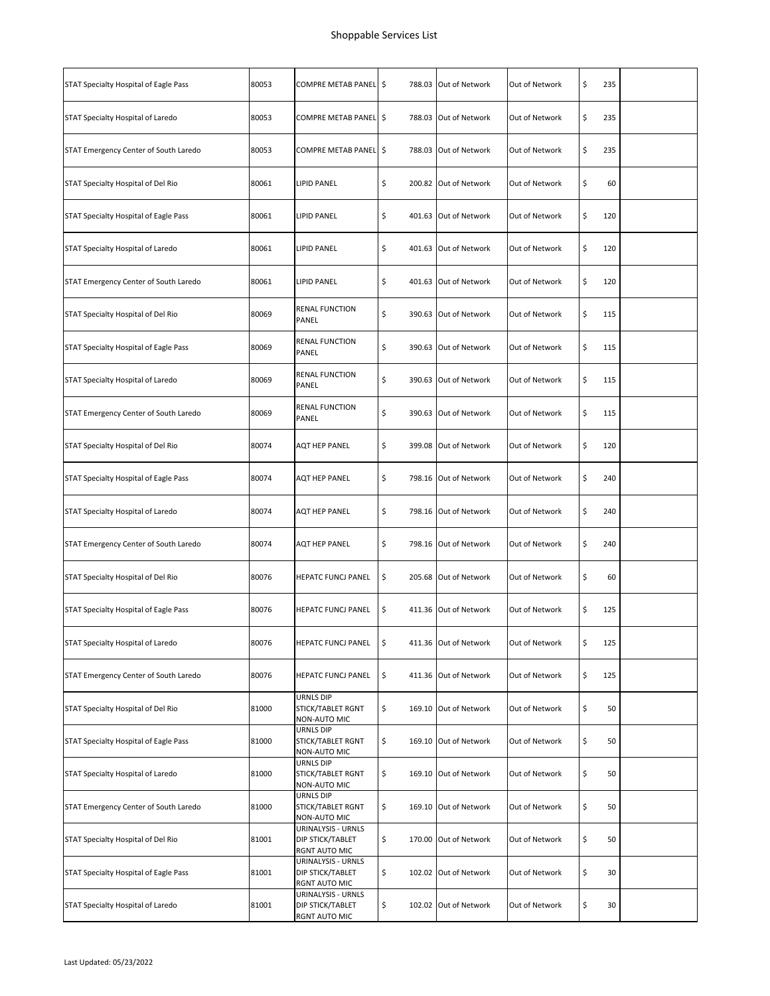| STAT Specialty Hospital of Eagle Pass | 80053 | COMPRE METAB PANEL \$                                   | 788.03 Out of Network       | Out of Network | \$<br>235 |  |
|---------------------------------------|-------|---------------------------------------------------------|-----------------------------|----------------|-----------|--|
| STAT Specialty Hospital of Laredo     | 80053 | COMPRE METAB PANEL \$                                   | 788.03 Out of Network       | Out of Network | \$<br>235 |  |
| STAT Emergency Center of South Laredo | 80053 | COMPRE METAB PANEL \$                                   | 788.03 Out of Network       | Out of Network | \$<br>235 |  |
| STAT Specialty Hospital of Del Rio    | 80061 | <b>LIPID PANEL</b>                                      | \$<br>200.82 Out of Network | Out of Network | \$<br>60  |  |
| STAT Specialty Hospital of Eagle Pass | 80061 | LIPID PANEL                                             | \$<br>401.63 Out of Network | Out of Network | \$<br>120 |  |
| STAT Specialty Hospital of Laredo     | 80061 | <b>LIPID PANEL</b>                                      | \$<br>401.63 Out of Network | Out of Network | \$<br>120 |  |
| STAT Emergency Center of South Laredo | 80061 | <b>LIPID PANEL</b>                                      | \$<br>401.63 Out of Network | Out of Network | \$<br>120 |  |
| STAT Specialty Hospital of Del Rio    | 80069 | RENAL FUNCTION<br>PANEL                                 | \$<br>390.63 Out of Network | Out of Network | \$<br>115 |  |
| STAT Specialty Hospital of Eagle Pass | 80069 | RENAL FUNCTION<br>PANEL                                 | \$<br>390.63 Out of Network | Out of Network | \$<br>115 |  |
| STAT Specialty Hospital of Laredo     | 80069 | RENAL FUNCTION<br>PANEL                                 | \$<br>390.63 Out of Network | Out of Network | \$<br>115 |  |
| STAT Emergency Center of South Laredo | 80069 | RENAL FUNCTION<br>PANEL                                 | \$<br>390.63 Out of Network | Out of Network | \$<br>115 |  |
| STAT Specialty Hospital of Del Rio    | 80074 | AQT HEP PANEL                                           | \$<br>399.08 Out of Network | Out of Network | \$<br>120 |  |
| STAT Specialty Hospital of Eagle Pass | 80074 | AQT HEP PANEL                                           | \$<br>798.16 Out of Network | Out of Network | \$<br>240 |  |
| STAT Specialty Hospital of Laredo     | 80074 | AQT HEP PANEL                                           | \$<br>798.16 Out of Network | Out of Network | \$<br>240 |  |
| STAT Emergency Center of South Laredo | 80074 | AQT HEP PANEL                                           | \$<br>798.16 Out of Network | Out of Network | \$<br>240 |  |
| STAT Specialty Hospital of Del Rio    | 80076 | <b>HEPATC FUNCJ PANEL</b>                               | \$<br>205.68 Out of Network | Out of Network | \$<br>60  |  |
| STAT Specialty Hospital of Eagle Pass | 80076 | <b>HEPATC FUNCJ PANEL</b>                               | \$<br>411.36 Out of Network | Out of Network | \$<br>125 |  |
| STAT Specialty Hospital of Laredo     | 80076 | HEPATC FUNCJ PANEL                                      | \$<br>411.36 Out of Network | Out of Network | \$<br>125 |  |
| STAT Emergency Center of South Laredo | 80076 | HEPATC FUNCJ PANEL                                      | \$<br>411.36 Out of Network | Out of Network | \$<br>125 |  |
| STAT Specialty Hospital of Del Rio    | 81000 | URNLS DIP<br>STICK/TABLET RGNT<br>NON-AUTO MIC          | \$<br>169.10 Out of Network | Out of Network | \$<br>50  |  |
| STAT Specialty Hospital of Eagle Pass | 81000 | URNLS DIP<br>STICK/TABLET RGNT<br>NON-AUTO MIC          | \$<br>169.10 Out of Network | Out of Network | \$<br>50  |  |
| STAT Specialty Hospital of Laredo     | 81000 | <b>URNLS DIP</b><br>STICK/TABLET RGNT<br>NON-AUTO MIC   | \$<br>169.10 Out of Network | Out of Network | \$<br>50  |  |
| STAT Emergency Center of South Laredo | 81000 | URNLS DIP<br>STICK/TABLET RGNT<br>NON-AUTO MIC          | \$<br>169.10 Out of Network | Out of Network | \$<br>50  |  |
| STAT Specialty Hospital of Del Rio    | 81001 | URINALYSIS - URNLS<br>DIP STICK/TABLET<br>RGNT AUTO MIC | \$<br>170.00 Out of Network | Out of Network | \$<br>50  |  |
| STAT Specialty Hospital of Eagle Pass | 81001 | URINALYSIS - URNLS<br>DIP STICK/TABLET<br>RGNT AUTO MIC | \$<br>102.02 Out of Network | Out of Network | \$<br>30  |  |
| STAT Specialty Hospital of Laredo     | 81001 | URINALYSIS - URNLS<br>DIP STICK/TABLET<br>RGNT AUTO MIC | \$<br>102.02 Out of Network | Out of Network | \$<br>30  |  |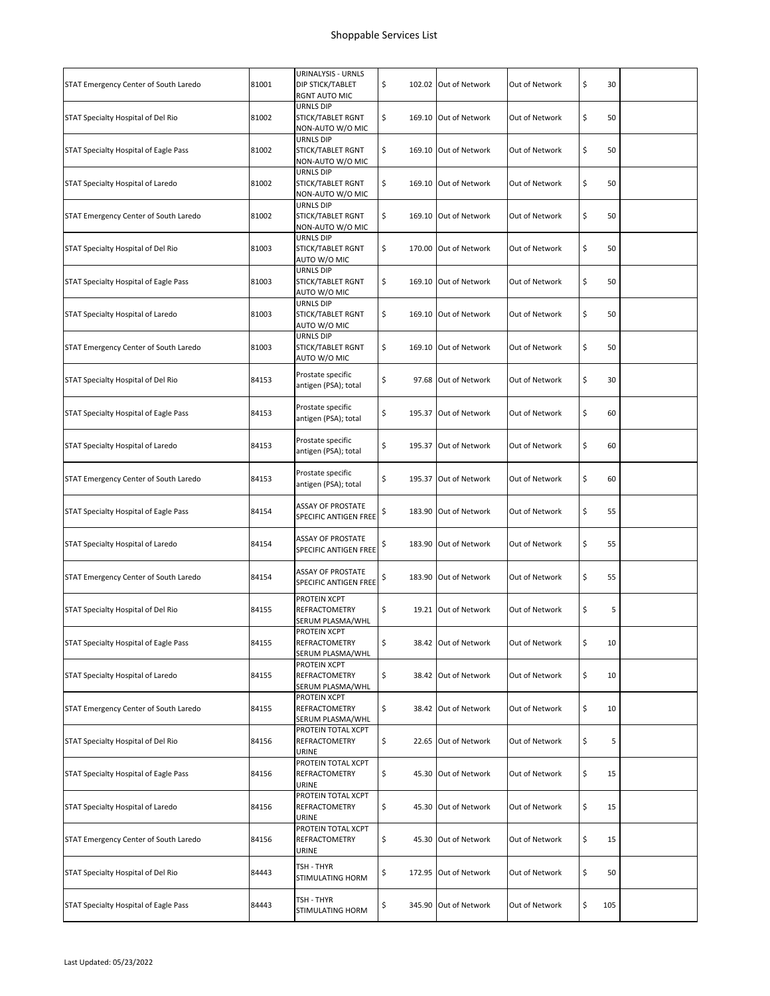|                                       |       | URINALYSIS - URNLS                                       |                             |                |           |  |
|---------------------------------------|-------|----------------------------------------------------------|-----------------------------|----------------|-----------|--|
| STAT Emergency Center of South Laredo | 81001 | DIP STICK/TABLET<br>RGNT AUTO MIC                        | \$<br>102.02 Out of Network | Out of Network | \$<br>30  |  |
| STAT Specialty Hospital of Del Rio    | 81002 | URNLS DIP<br>STICK/TABLET RGNT<br>NON-AUTO W/O MIC       | \$<br>169.10 Out of Network | Out of Network | \$<br>50  |  |
| STAT Specialty Hospital of Eagle Pass | 81002 | URNLS DIP<br>STICK/TABLET RGNT<br>NON-AUTO W/O MIC       | \$<br>169.10 Out of Network | Out of Network | \$<br>50  |  |
| STAT Specialty Hospital of Laredo     | 81002 | URNLS DIP<br>STICK/TABLET RGNT<br>NON-AUTO W/O MIC       | \$<br>169.10 Out of Network | Out of Network | \$<br>50  |  |
| STAT Emergency Center of South Laredo | 81002 | URNLS DIP<br>STICK/TABLET RGNT<br>NON-AUTO W/O MIC       | \$<br>169.10 Out of Network | Out of Network | \$<br>50  |  |
| STAT Specialty Hospital of Del Rio    | 81003 | URNLS DIP<br>STICK/TABLET RGNT<br>AUTO W/O MIC           | \$<br>170.00 Out of Network | Out of Network | \$<br>50  |  |
| STAT Specialty Hospital of Eagle Pass | 81003 | URNLS DIP<br>STICK/TABLET RGNT<br>AUTO W/O MIC           | \$<br>169.10 Out of Network | Out of Network | \$<br>50  |  |
| STAT Specialty Hospital of Laredo     | 81003 | URNLS DIP<br>STICK/TABLET RGNT<br>AUTO W/O MIC           | \$<br>169.10 Out of Network | Out of Network | \$<br>50  |  |
| STAT Emergency Center of South Laredo | 81003 | URNLS DIP<br>STICK/TABLET RGNT<br>AUTO W/O MIC           | \$<br>169.10 Out of Network | Out of Network | \$<br>50  |  |
| STAT Specialty Hospital of Del Rio    | 84153 | Prostate specific<br>antigen (PSA); total                | \$<br>97.68 Out of Network  | Out of Network | \$<br>30  |  |
| STAT Specialty Hospital of Eagle Pass | 84153 | Prostate specific<br>antigen (PSA); total                | \$<br>195.37 Out of Network | Out of Network | \$<br>60  |  |
| STAT Specialty Hospital of Laredo     | 84153 | Prostate specific<br>antigen (PSA); total                | \$<br>195.37 Out of Network | Out of Network | \$<br>60  |  |
| STAT Emergency Center of South Laredo | 84153 | Prostate specific<br>antigen (PSA); total                | \$<br>195.37 Out of Network | Out of Network | \$<br>60  |  |
| STAT Specialty Hospital of Eagle Pass | 84154 | <b>ASSAY OF PROSTATE</b><br>SPECIFIC ANTIGEN FREE        | \$<br>183.90 Out of Network | Out of Network | \$<br>55  |  |
| STAT Specialty Hospital of Laredo     | 84154 | <b>ASSAY OF PROSTATE</b><br>SPECIFIC ANTIGEN FREE        | \$<br>183.90 Out of Network | Out of Network | \$<br>55  |  |
| STAT Emergency Center of South Laredo | 84154 | <b>ASSAY OF PROSTATE</b><br>SPECIFIC ANTIGEN FREE        | \$<br>183.90 Out of Network | Out of Network | \$<br>55  |  |
| STAT Specialty Hospital of Del Rio    | 84155 | PROTEIN XCPT<br><b>REFRACTOMETRY</b><br>SERUM PLASMA/WHL | \$<br>19.21 Out of Network  | Out of Network | \$<br>5   |  |
| STAT Specialty Hospital of Eagle Pass | 84155 | PROTEIN XCPT<br>REFRACTOMETRY<br>SERUM PLASMA/WHL        | \$<br>38.42 Out of Network  | Out of Network | \$<br>10  |  |
| STAT Specialty Hospital of Laredo     | 84155 | PROTEIN XCPT<br>REFRACTOMETRY<br>SERUM PLASMA/WHL        | \$<br>38.42 Out of Network  | Out of Network | \$<br>10  |  |
| STAT Emergency Center of South Laredo | 84155 | PROTEIN XCPT<br>REFRACTOMETRY<br>SERUM PLASMA/WHL        | \$<br>38.42 Out of Network  | Out of Network | \$<br>10  |  |
| STAT Specialty Hospital of Del Rio    | 84156 | PROTEIN TOTAL XCPT<br>REFRACTOMETRY<br>URINE             | \$<br>22.65 Out of Network  | Out of Network | \$<br>5   |  |
| STAT Specialty Hospital of Eagle Pass | 84156 | PROTEIN TOTAL XCPT<br>REFRACTOMETRY<br>URINE             | \$<br>45.30 Out of Network  | Out of Network | \$<br>15  |  |
| STAT Specialty Hospital of Laredo     | 84156 | PROTEIN TOTAL XCPT<br>REFRACTOMETRY<br>URINE             | \$<br>45.30 Out of Network  | Out of Network | \$<br>15  |  |
| STAT Emergency Center of South Laredo | 84156 | PROTEIN TOTAL XCPT<br>REFRACTOMETRY<br>URINE             | \$<br>45.30 Out of Network  | Out of Network | \$<br>15  |  |
| STAT Specialty Hospital of Del Rio    | 84443 | TSH - THYR<br>STIMULATING HORM                           | \$<br>172.95 Out of Network | Out of Network | \$<br>50  |  |
| STAT Specialty Hospital of Eagle Pass | 84443 | TSH - THYR<br>STIMULATING HORM                           | \$<br>345.90 Out of Network | Out of Network | \$<br>105 |  |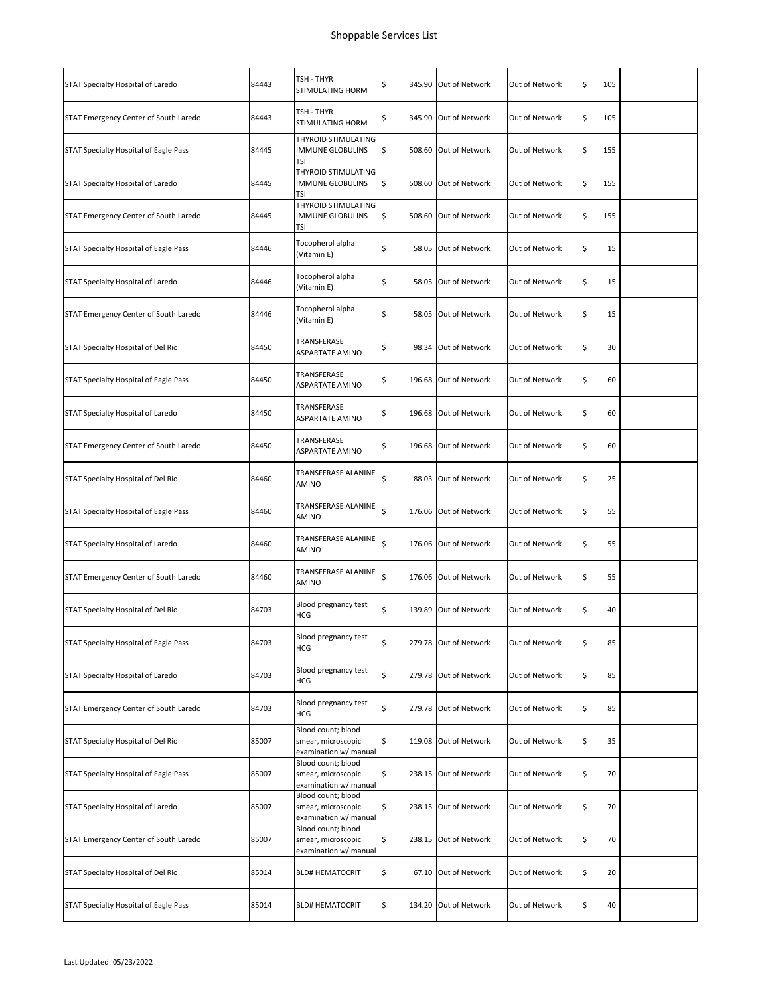| STAT Specialty Hospital of Laredo     | 84443 | TSH - THYR<br>STIMULATING HORM                                    | \$<br>345.90 Out of Network | Out of Network | \$<br>105 |  |
|---------------------------------------|-------|-------------------------------------------------------------------|-----------------------------|----------------|-----------|--|
| STAT Emergency Center of South Laredo | 84443 | TSH - THYR<br>STIMULATING HORM                                    | \$<br>345.90 Out of Network | Out of Network | \$<br>105 |  |
| STAT Specialty Hospital of Eagle Pass | 84445 | THYROID STIMULATING<br><b>IMMUNE GLOBULINS</b><br><b>TSI</b>      | \$<br>508.60 Out of Network | Out of Network | \$<br>155 |  |
| STAT Specialty Hospital of Laredo     | 84445 | THYROID STIMULATING<br><b>IMMUNE GLOBULINS</b><br>TSI             | \$<br>508.60 Out of Network | Out of Network | \$<br>155 |  |
| STAT Emergency Center of South Laredo | 84445 | THYROID STIMULATING<br><b>IMMUNE GLOBULINS</b><br><b>TSI</b>      | \$<br>508.60 Out of Network | Out of Network | \$<br>155 |  |
| STAT Specialty Hospital of Eagle Pass | 84446 | Tocopherol alpha<br>(Vitamin E)                                   | \$<br>58.05 Out of Network  | Out of Network | \$<br>15  |  |
| STAT Specialty Hospital of Laredo     | 84446 | Tocopherol alpha<br>(Vitamin E)                                   | \$<br>58.05 Out of Network  | Out of Network | \$<br>15  |  |
| STAT Emergency Center of South Laredo | 84446 | Tocopherol alpha<br>(Vitamin E)                                   | \$<br>58.05 Out of Network  | Out of Network | \$<br>15  |  |
| STAT Specialty Hospital of Del Rio    | 84450 | TRANSFERASE<br>ASPARTATE AMINO                                    | \$<br>98.34 Out of Network  | Out of Network | \$<br>30  |  |
| STAT Specialty Hospital of Eagle Pass | 84450 | TRANSFERASE<br>ASPARTATE AMINO                                    | \$<br>196.68 Out of Network | Out of Network | \$<br>60  |  |
| STAT Specialty Hospital of Laredo     | 84450 | TRANSFERASE<br><b>ASPARTATE AMINO</b>                             | \$<br>196.68 Out of Network | Out of Network | \$<br>60  |  |
| STAT Emergency Center of South Laredo | 84450 | TRANSFERASE<br>ASPARTATE AMINO                                    | \$<br>196.68 Out of Network | Out of Network | \$<br>60  |  |
| STAT Specialty Hospital of Del Rio    | 84460 | TRANSFERASE ALANINE<br>AMINO                                      | \$<br>88.03 Out of Network  | Out of Network | \$<br>25  |  |
| STAT Specialty Hospital of Eagle Pass | 84460 | TRANSFERASE ALANINE<br>AMINO                                      | \$<br>176.06 Out of Network | Out of Network | \$<br>55  |  |
| STAT Specialty Hospital of Laredo     | 84460 | TRANSFERASE ALANINE<br>AMINO                                      | \$<br>176.06 Out of Network | Out of Network | \$<br>55  |  |
| STAT Emergency Center of South Laredo | 84460 | TRANSFERASE ALANINE<br>AMINO                                      | \$<br>176.06 Out of Network | Out of Network | \$<br>55  |  |
| STAT Specialty Hospital of Del Rio    | 84703 | Blood pregnancy test<br>HCG                                       | \$<br>139.89 Out of Network | Out of Network | \$<br>40  |  |
| STAT Specialty Hospital of Eagle Pass | 84703 | Blood pregnancy test<br>HCG                                       | \$<br>279.78 Out of Network | Out of Network | \$<br>85  |  |
| STAT Specialty Hospital of Laredo     | 84703 | Blood pregnancy test<br>HCG                                       | \$<br>279.78 Out of Network | Out of Network | \$<br>85  |  |
| STAT Emergency Center of South Laredo | 84703 | Blood pregnancy test<br>HCG                                       | \$<br>279.78 Out of Network | Out of Network | \$<br>85  |  |
| STAT Specialty Hospital of Del Rio    | 85007 | Blood count; blood<br>smear, microscopic<br>examination w/ manual | \$<br>119.08 Out of Network | Out of Network | \$<br>35  |  |
| STAT Specialty Hospital of Eagle Pass | 85007 | Blood count; blood<br>smear, microscopic<br>examination w/ manual | \$<br>238.15 Out of Network | Out of Network | \$<br>70  |  |
| STAT Specialty Hospital of Laredo     | 85007 | Blood count; blood<br>smear, microscopic<br>examination w/ manual | \$<br>238.15 Out of Network | Out of Network | \$<br>70  |  |
| STAT Emergency Center of South Laredo | 85007 | Blood count; blood<br>smear, microscopic<br>examination w/ manual | \$<br>238.15 Out of Network | Out of Network | \$<br>70  |  |
| STAT Specialty Hospital of Del Rio    | 85014 | <b>BLD# HEMATOCRIT</b>                                            | \$<br>67.10 Out of Network  | Out of Network | \$<br>20  |  |
| STAT Specialty Hospital of Eagle Pass | 85014 | <b>BLD# HEMATOCRIT</b>                                            | \$<br>134.20 Out of Network | Out of Network | \$<br>40  |  |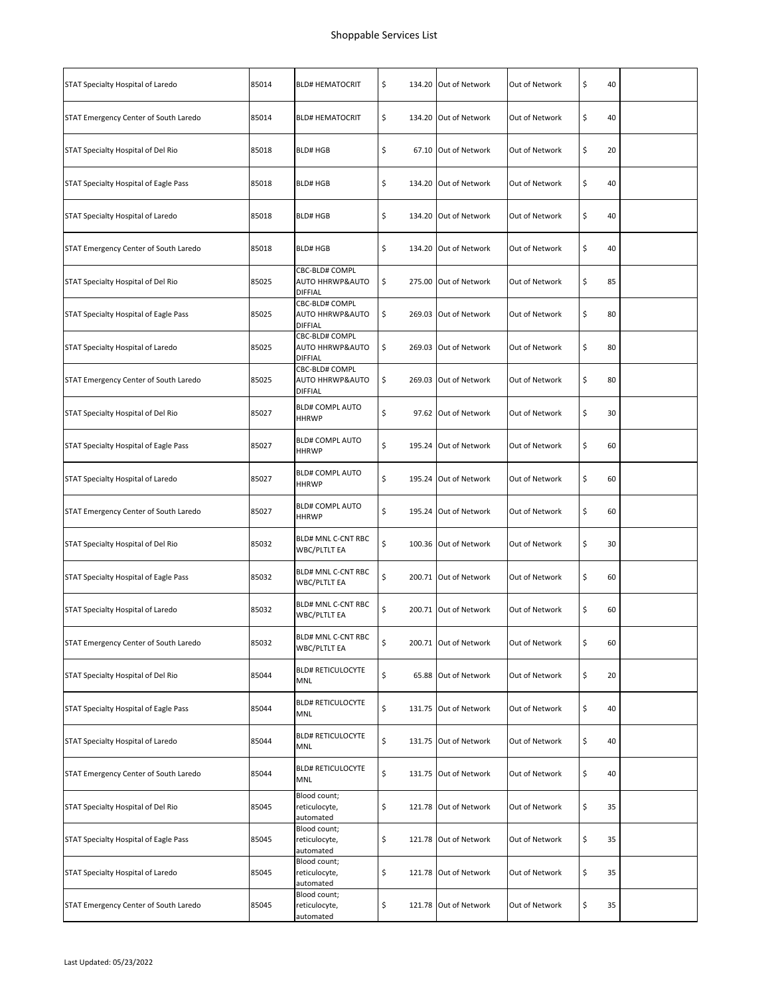| STAT Specialty Hospital of Laredo     | 85014 | <b>BLD# HEMATOCRIT</b>                              | \$<br>134.20 Out of Network | Out of Network | \$<br>40 |  |
|---------------------------------------|-------|-----------------------------------------------------|-----------------------------|----------------|----------|--|
| STAT Emergency Center of South Laredo | 85014 | <b>BLD# HEMATOCRIT</b>                              | \$<br>134.20 Out of Network | Out of Network | \$<br>40 |  |
| STAT Specialty Hospital of Del Rio    | 85018 | <b>BLD# HGB</b>                                     | \$<br>67.10 Out of Network  | Out of Network | \$<br>20 |  |
| STAT Specialty Hospital of Eagle Pass | 85018 | <b>BLD# HGB</b>                                     | \$<br>134.20 Out of Network | Out of Network | \$<br>40 |  |
| STAT Specialty Hospital of Laredo     | 85018 | <b>BLD# HGB</b>                                     | \$<br>134.20 Out of Network | Out of Network | \$<br>40 |  |
| STAT Emergency Center of South Laredo | 85018 | <b>BLD# HGB</b>                                     | \$<br>134.20 Out of Network | Out of Network | \$<br>40 |  |
| STAT Specialty Hospital of Del Rio    | 85025 | CBC-BLD# COMPL<br>AUTO HHRWP&AUTO<br><b>DIFFIAL</b> | \$<br>275.00 Out of Network | Out of Network | \$<br>85 |  |
| STAT Specialty Hospital of Eagle Pass | 85025 | CBC-BLD# COMPL<br>AUTO HHRWP&AUTO<br><b>DIFFIAL</b> | \$<br>269.03 Out of Network | Out of Network | \$<br>80 |  |
| STAT Specialty Hospital of Laredo     | 85025 | CBC-BLD# COMPL<br>AUTO HHRWP&AUTO<br><b>DIFFIAL</b> | \$<br>269.03 Out of Network | Out of Network | \$<br>80 |  |
| STAT Emergency Center of South Laredo | 85025 | CBC-BLD# COMPL<br>AUTO HHRWP&AUTO<br><b>DIFFIAL</b> | \$<br>269.03 Out of Network | Out of Network | \$<br>80 |  |
| STAT Specialty Hospital of Del Rio    | 85027 | <b>BLD# COMPL AUTO</b><br><b>HHRWP</b>              | \$<br>97.62 Out of Network  | Out of Network | \$<br>30 |  |
| STAT Specialty Hospital of Eagle Pass | 85027 | <b>BLD# COMPL AUTO</b><br><b>HHRWP</b>              | \$<br>195.24 Out of Network | Out of Network | \$<br>60 |  |
| STAT Specialty Hospital of Laredo     | 85027 | <b>BLD# COMPL AUTO</b><br><b>HHRWP</b>              | \$<br>195.24 Out of Network | Out of Network | \$<br>60 |  |
| STAT Emergency Center of South Laredo | 85027 | <b>BLD# COMPL AUTO</b><br><b>HHRWP</b>              | \$<br>195.24 Out of Network | Out of Network | \$<br>60 |  |
| STAT Specialty Hospital of Del Rio    | 85032 | BLD# MNL C-CNT RBC<br>WBC/PLTLT EA                  | \$<br>100.36 Out of Network | Out of Network | \$<br>30 |  |
| STAT Specialty Hospital of Eagle Pass | 85032 | <b>BLD# MNL C-CNT RBC</b><br>WBC/PLTLT EA           | \$<br>200.71 Out of Network | Out of Network | \$<br>60 |  |
| STAT Specialty Hospital of Laredo     | 85032 | BLD# MNL C-CNT RBC<br>WBC/PLTLT EA                  | \$<br>200.71 Out of Network | Out of Network | \$<br>60 |  |
| STAT Emergency Center of South Laredo | 85032 | BLD# MNL C-CNT RBC<br>WBC/PLTLT EA                  | \$<br>200.71 Out of Network | Out of Network | \$<br>60 |  |
| STAT Specialty Hospital of Del Rio    | 85044 | <b>BLD# RETICULOCYTE</b><br>MNL                     | \$<br>65.88 Out of Network  | Out of Network | \$<br>20 |  |
| STAT Specialty Hospital of Eagle Pass | 85044 | <b>BLD# RETICULOCYTE</b><br>MNL                     | \$<br>131.75 Out of Network | Out of Network | \$<br>40 |  |
| STAT Specialty Hospital of Laredo     | 85044 | <b>BLD# RETICULOCYTE</b><br>MNL                     | \$<br>131.75 Out of Network | Out of Network | \$<br>40 |  |
| STAT Emergency Center of South Laredo | 85044 | <b>BLD# RETICULOCYTE</b><br>MNL                     | \$<br>131.75 Out of Network | Out of Network | \$<br>40 |  |
| STAT Specialty Hospital of Del Rio    | 85045 | Blood count;<br>reticulocyte,<br>automated          | \$<br>121.78 Out of Network | Out of Network | \$<br>35 |  |
| STAT Specialty Hospital of Eagle Pass | 85045 | Blood count;<br>reticulocyte,<br>automated          | \$<br>121.78 Out of Network | Out of Network | \$<br>35 |  |
| STAT Specialty Hospital of Laredo     | 85045 | Blood count;<br>reticulocyte,<br>automated          | \$<br>121.78 Out of Network | Out of Network | \$<br>35 |  |
| STAT Emergency Center of South Laredo | 85045 | Blood count;<br>reticulocyte,<br>automated          | \$<br>121.78 Out of Network | Out of Network | \$<br>35 |  |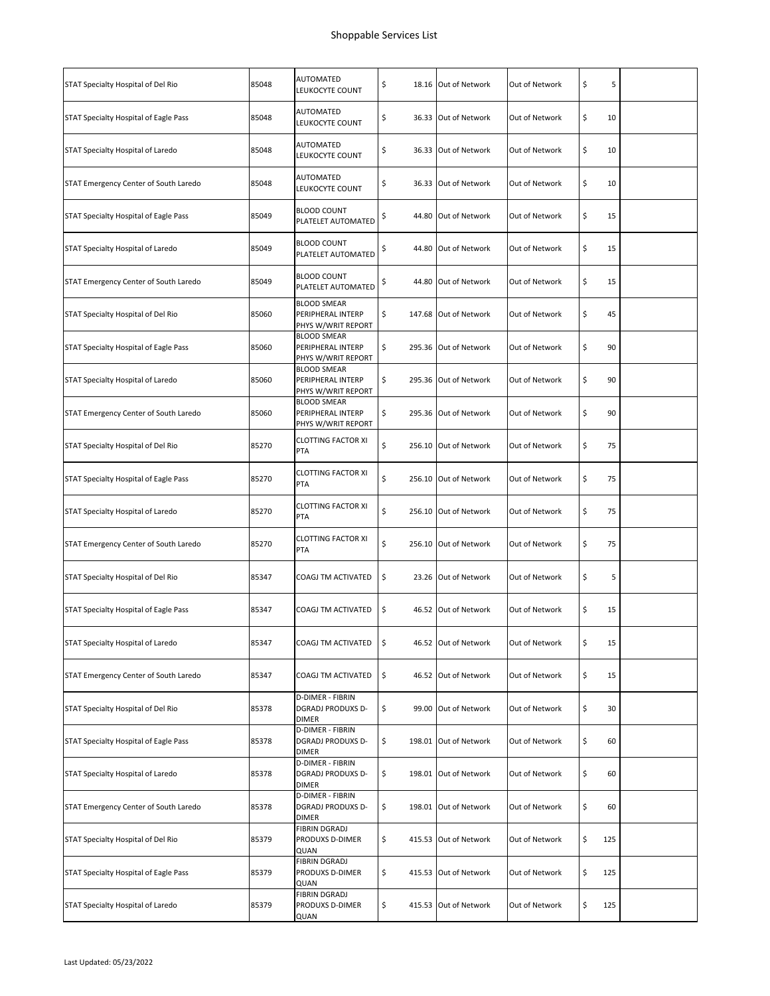| STAT Specialty Hospital of Del Rio    | 85048 | AUTOMATED<br>LEUKOCYTE COUNT                                  | \$<br>18.16 Out of Network  | Out of Network | \$<br>5   |  |
|---------------------------------------|-------|---------------------------------------------------------------|-----------------------------|----------------|-----------|--|
| STAT Specialty Hospital of Eagle Pass | 85048 | AUTOMATED<br>LEUKOCYTE COUNT                                  | \$<br>36.33 Out of Network  | Out of Network | \$<br>10  |  |
| STAT Specialty Hospital of Laredo     | 85048 | AUTOMATED<br>LEUKOCYTE COUNT                                  | \$<br>36.33 Out of Network  | Out of Network | \$<br>10  |  |
| STAT Emergency Center of South Laredo | 85048 | AUTOMATED<br>LEUKOCYTE COUNT                                  | \$<br>36.33 Out of Network  | Out of Network | \$<br>10  |  |
| STAT Specialty Hospital of Eagle Pass | 85049 | <b>BLOOD COUNT</b><br>PLATELET AUTOMATED                      | \$<br>44.80 Out of Network  | Out of Network | \$<br>15  |  |
| STAT Specialty Hospital of Laredo     | 85049 | <b>BLOOD COUNT</b><br>PLATELET AUTOMATED                      | \$<br>44.80 Out of Network  | Out of Network | \$<br>15  |  |
| STAT Emergency Center of South Laredo | 85049 | <b>BLOOD COUNT</b><br>PLATELET AUTOMATED                      | \$<br>44.80 Out of Network  | Out of Network | \$<br>15  |  |
| STAT Specialty Hospital of Del Rio    | 85060 | <b>BLOOD SMEAR</b><br>PERIPHERAL INTERP<br>PHYS W/WRIT REPORT | \$<br>147.68 Out of Network | Out of Network | \$<br>45  |  |
| STAT Specialty Hospital of Eagle Pass | 85060 | <b>BLOOD SMEAR</b><br>PERIPHERAL INTERP<br>PHYS W/WRIT REPORT | \$<br>295.36 Out of Network | Out of Network | \$<br>90  |  |
| STAT Specialty Hospital of Laredo     | 85060 | <b>BLOOD SMEAR</b><br>PERIPHERAL INTERP<br>PHYS W/WRIT REPORT | \$<br>295.36 Out of Network | Out of Network | \$<br>90  |  |
| STAT Emergency Center of South Laredo | 85060 | <b>BLOOD SMEAR</b><br>PERIPHERAL INTERP<br>PHYS W/WRIT REPORT | \$<br>295.36 Out of Network | Out of Network | \$<br>90  |  |
| STAT Specialty Hospital of Del Rio    | 85270 | <b>CLOTTING FACTOR XI</b><br><b>PTA</b>                       | \$<br>256.10 Out of Network | Out of Network | \$<br>75  |  |
| STAT Specialty Hospital of Eagle Pass | 85270 | <b>CLOTTING FACTOR XI</b><br>PTA                              | \$<br>256.10 Out of Network | Out of Network | \$<br>75  |  |
| STAT Specialty Hospital of Laredo     | 85270 | <b>CLOTTING FACTOR XI</b><br>PTA                              | \$<br>256.10 Out of Network | Out of Network | \$<br>75  |  |
| STAT Emergency Center of South Laredo | 85270 | <b>CLOTTING FACTOR XI</b><br>PTA                              | \$<br>256.10 Out of Network | Out of Network | \$<br>75  |  |
| STAT Specialty Hospital of Del Rio    | 85347 | COAGJ TM ACTIVATED                                            | \$<br>23.26 Out of Network  | Out of Network | \$<br>5   |  |
| STAT Specialty Hospital of Eagle Pass | 85347 | COAGJ TM ACTIVATED                                            | \$<br>46.52 Out of Network  | Out of Network | \$<br>15  |  |
| STAT Specialty Hospital of Laredo     | 85347 | COAGJ TM ACTIVATED                                            | \$<br>46.52 Out of Network  | Out of Network | \$<br>15  |  |
| STAT Emergency Center of South Laredo | 85347 | COAGJ TM ACTIVATED                                            | \$<br>46.52 Out of Network  | Out of Network | \$<br>15  |  |
| STAT Specialty Hospital of Del Rio    | 85378 | D-DIMER - FIBRIN<br>DGRADJ PRODUXS D-<br><b>DIMER</b>         | \$<br>99.00 Out of Network  | Out of Network | \$<br>30  |  |
| STAT Specialty Hospital of Eagle Pass | 85378 | <b>D-DIMER - FIBRIN</b><br><b>DGRADJ PRODUXS D-</b><br>DIMER  | \$<br>198.01 Out of Network | Out of Network | \$<br>60  |  |
| STAT Specialty Hospital of Laredo     | 85378 | D-DIMER - FIBRIN<br><b>DGRADJ PRODUXS D-</b><br>DIMER         | \$<br>198.01 Out of Network | Out of Network | \$<br>60  |  |
| STAT Emergency Center of South Laredo | 85378 | D-DIMER - FIBRIN<br>DGRADJ PRODUXS D-<br><b>DIMER</b>         | \$<br>198.01 Out of Network | Out of Network | \$<br>60  |  |
| STAT Specialty Hospital of Del Rio    | 85379 | FIBRIN DGRADJ<br>PRODUXS D-DIMER<br>QUAN                      | \$<br>415.53 Out of Network | Out of Network | \$<br>125 |  |
| STAT Specialty Hospital of Eagle Pass | 85379 | <b>FIBRIN DGRADJ</b><br>PRODUXS D-DIMER<br>QUAN               | \$<br>415.53 Out of Network | Out of Network | \$<br>125 |  |
| STAT Specialty Hospital of Laredo     | 85379 | <b>FIBRIN DGRADJ</b><br>PRODUXS D-DIMER<br>QUAN               | \$<br>415.53 Out of Network | Out of Network | \$<br>125 |  |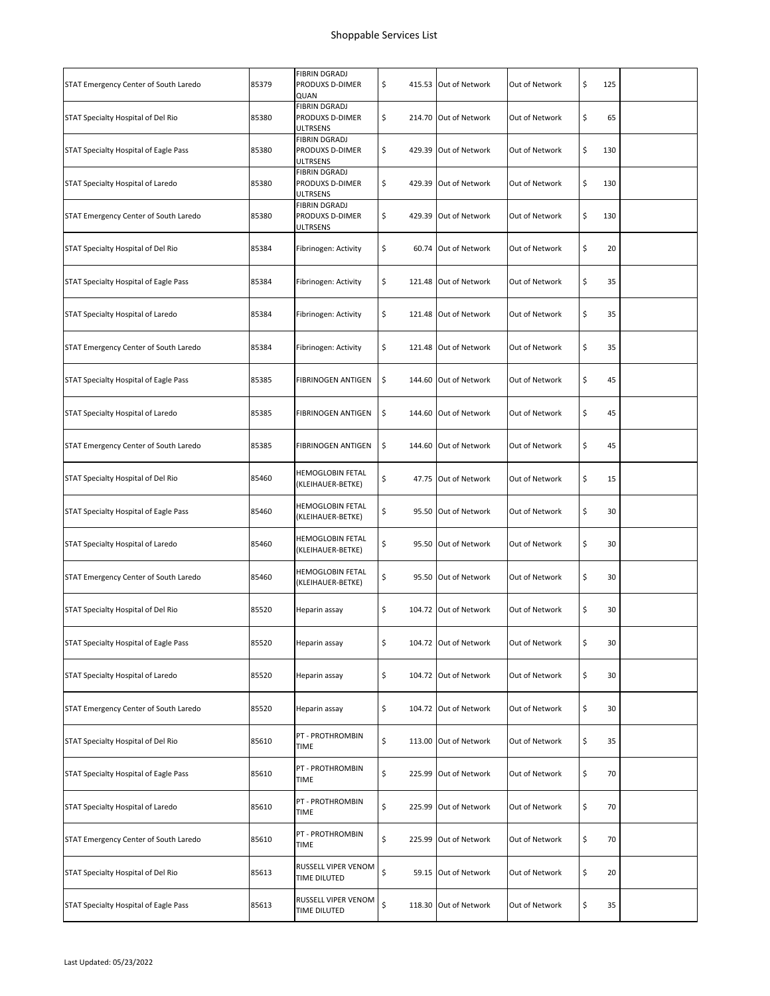| STAT Emergency Center of South Laredo | 85379 | <b>FIBRIN DGRADJ</b><br>PRODUXS D-DIMER<br>QUAN            | \$<br>415.53 Out of Network | Out of Network | \$<br>125 |  |
|---------------------------------------|-------|------------------------------------------------------------|-----------------------------|----------------|-----------|--|
| STAT Specialty Hospital of Del Rio    | 85380 | <b>FIBRIN DGRADJ</b><br>PRODUXS D-DIMER<br><b>ULTRSENS</b> | \$<br>214.70 Out of Network | Out of Network | \$<br>65  |  |
| STAT Specialty Hospital of Eagle Pass | 85380 | <b>FIBRIN DGRADJ</b><br>PRODUXS D-DIMER<br><b>ULTRSENS</b> | \$<br>429.39 Out of Network | Out of Network | \$<br>130 |  |
| STAT Specialty Hospital of Laredo     | 85380 | <b>FIBRIN DGRADJ</b><br>PRODUXS D-DIMER<br>ULTRSENS        | \$<br>429.39 Out of Network | Out of Network | \$<br>130 |  |
| STAT Emergency Center of South Laredo | 85380 | FIBRIN DGRADJ<br>PRODUXS D-DIMER<br><b>ULTRSENS</b>        | \$<br>429.39 Out of Network | Out of Network | \$<br>130 |  |
| STAT Specialty Hospital of Del Rio    | 85384 | Fibrinogen: Activity                                       | \$<br>60.74 Out of Network  | Out of Network | \$<br>20  |  |
| STAT Specialty Hospital of Eagle Pass | 85384 | Fibrinogen: Activity                                       | \$<br>121.48 Out of Network | Out of Network | \$<br>35  |  |
| STAT Specialty Hospital of Laredo     | 85384 | Fibrinogen: Activity                                       | \$<br>121.48 Out of Network | Out of Network | \$<br>35  |  |
| STAT Emergency Center of South Laredo | 85384 | Fibrinogen: Activity                                       | \$<br>121.48 Out of Network | Out of Network | \$<br>35  |  |
| STAT Specialty Hospital of Eagle Pass | 85385 | FIBRINOGEN ANTIGEN                                         | \$<br>144.60 Out of Network | Out of Network | \$<br>45  |  |
| STAT Specialty Hospital of Laredo     | 85385 | FIBRINOGEN ANTIGEN                                         | \$<br>144.60 Out of Network | Out of Network | \$<br>45  |  |
| STAT Emergency Center of South Laredo | 85385 | FIBRINOGEN ANTIGEN                                         | \$<br>144.60 Out of Network | Out of Network | \$<br>45  |  |
| STAT Specialty Hospital of Del Rio    | 85460 | <b>HEMOGLOBIN FETAL</b><br>(KLEIHAUER-BETKE)               | \$<br>47.75 Out of Network  | Out of Network | \$<br>15  |  |
| STAT Specialty Hospital of Eagle Pass | 85460 | HEMOGLOBIN FETAL<br>(KLEIHAUER-BETKE)                      | \$<br>95.50 Out of Network  | Out of Network | \$<br>30  |  |
| STAT Specialty Hospital of Laredo     | 85460 | HEMOGLOBIN FETAL<br>(KLEIHAUER-BETKE)                      | \$<br>95.50 Out of Network  | Out of Network | \$<br>30  |  |
| STAT Emergency Center of South Laredo | 85460 | HEMOGLOBIN FETAL<br>(KLEIHAUER-BETKE)                      | \$<br>95.50 Out of Network  | Out of Network | \$<br>30  |  |
| STAT Specialty Hospital of Del Rio    | 85520 | Heparin assay                                              | \$<br>104.72 Out of Network | Out of Network | \$<br>30  |  |
| STAT Specialty Hospital of Eagle Pass | 85520 | Heparin assay                                              | \$<br>104.72 Out of Network | Out of Network | \$<br>30  |  |
| STAT Specialty Hospital of Laredo     | 85520 | Heparin assay                                              | \$<br>104.72 Out of Network | Out of Network | \$<br>30  |  |
| STAT Emergency Center of South Laredo | 85520 | Heparin assay                                              | \$<br>104.72 Out of Network | Out of Network | \$<br>30  |  |
| STAT Specialty Hospital of Del Rio    | 85610 | PT - PROTHROMBIN<br>TIME                                   | \$<br>113.00 Out of Network | Out of Network | \$<br>35  |  |
| STAT Specialty Hospital of Eagle Pass | 85610 | PT - PROTHROMBIN<br>TIME                                   | \$<br>225.99 Out of Network | Out of Network | \$<br>70  |  |
| STAT Specialty Hospital of Laredo     | 85610 | PT - PROTHROMBIN<br>TIME                                   | \$<br>225.99 Out of Network | Out of Network | \$<br>70  |  |
| STAT Emergency Center of South Laredo | 85610 | PT - PROTHROMBIN<br>TIME                                   | \$<br>225.99 Out of Network | Out of Network | \$<br>70  |  |
| STAT Specialty Hospital of Del Rio    | 85613 | RUSSELL VIPER VENOM<br>TIME DILUTED                        | \$<br>59.15 Out of Network  | Out of Network | \$<br>20  |  |
| STAT Specialty Hospital of Eagle Pass | 85613 | RUSSELL VIPER VENOM<br>TIME DILUTED                        | \$<br>118.30 Out of Network | Out of Network | \$<br>35  |  |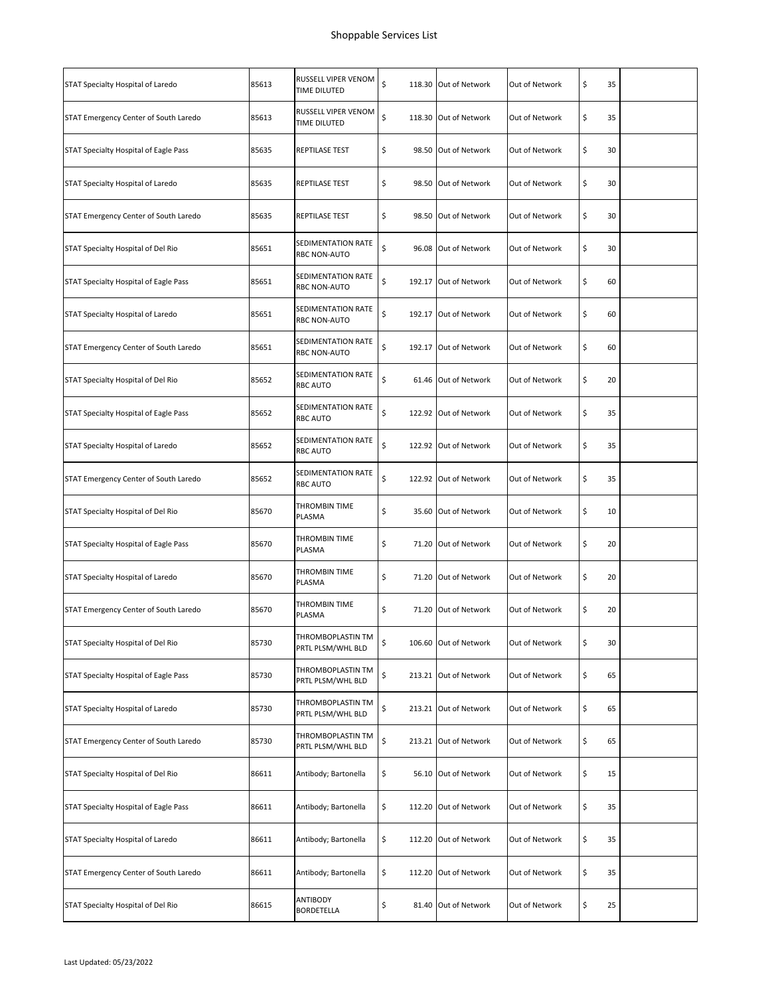| STAT Specialty Hospital of Laredo     | 85613 | RUSSELL VIPER VENOM<br>TIME DILUTED       | \$<br>118.30 Out of Network | Out of Network | \$<br>35 |  |
|---------------------------------------|-------|-------------------------------------------|-----------------------------|----------------|----------|--|
| STAT Emergency Center of South Laredo | 85613 | RUSSELL VIPER VENOM<br>TIME DILUTED       | \$<br>118.30 Out of Network | Out of Network | \$<br>35 |  |
| STAT Specialty Hospital of Eagle Pass | 85635 | REPTILASE TEST                            | \$<br>98.50 Out of Network  | Out of Network | \$<br>30 |  |
| STAT Specialty Hospital of Laredo     | 85635 | REPTILASE TEST                            | \$<br>98.50 Out of Network  | Out of Network | \$<br>30 |  |
| STAT Emergency Center of South Laredo | 85635 | REPTILASE TEST                            | \$<br>98.50 Out of Network  | Out of Network | \$<br>30 |  |
| STAT Specialty Hospital of Del Rio    | 85651 | SEDIMENTATION RATE<br>RBC NON-AUTO        | \$<br>96.08 Out of Network  | Out of Network | \$<br>30 |  |
| STAT Specialty Hospital of Eagle Pass | 85651 | SEDIMENTATION RATE<br>RBC NON-AUTO        | \$<br>192.17 Out of Network | Out of Network | \$<br>60 |  |
| STAT Specialty Hospital of Laredo     | 85651 | SEDIMENTATION RATE<br>RBC NON-AUTO        | \$<br>192.17 Out of Network | Out of Network | \$<br>60 |  |
| STAT Emergency Center of South Laredo | 85651 | SEDIMENTATION RATE<br><b>RBC NON-AUTO</b> | \$<br>192.17 Out of Network | Out of Network | \$<br>60 |  |
| STAT Specialty Hospital of Del Rio    | 85652 | SEDIMENTATION RATE<br><b>RBC AUTO</b>     | \$<br>61.46 Out of Network  | Out of Network | \$<br>20 |  |
| STAT Specialty Hospital of Eagle Pass | 85652 | SEDIMENTATION RATE<br><b>RBC AUTO</b>     | \$<br>122.92 Out of Network | Out of Network | \$<br>35 |  |
| STAT Specialty Hospital of Laredo     | 85652 | SEDIMENTATION RATE<br>RBC AUTO            | \$<br>122.92 Out of Network | Out of Network | \$<br>35 |  |
| STAT Emergency Center of South Laredo | 85652 | SEDIMENTATION RATE<br><b>RBC AUTO</b>     | \$<br>122.92 Out of Network | Out of Network | \$<br>35 |  |
| STAT Specialty Hospital of Del Rio    | 85670 | THROMBIN TIME<br>PLASMA                   | \$<br>35.60 Out of Network  | Out of Network | \$<br>10 |  |
| STAT Specialty Hospital of Eagle Pass | 85670 | THROMBIN TIME<br>PLASMA                   | \$<br>71.20 Out of Network  | Out of Network | \$<br>20 |  |
| STAT Specialty Hospital of Laredo     | 85670 | THROMBIN TIME<br>PLASMA                   | \$<br>71.20 Out of Network  | Out of Network | \$<br>20 |  |
| STAT Emergency Center of South Laredo | 85670 | THROMBIN TIME<br>PLASMA                   | \$<br>71.20 Out of Network  | Out of Network | \$<br>20 |  |
| STAT Specialty Hospital of Del Rio    | 85730 | THROMBOPLASTIN TM<br>PRTL PLSM/WHL BLD    | \$<br>106.60 Out of Network | Out of Network | \$<br>30 |  |
| STAT Specialty Hospital of Eagle Pass | 85730 | THROMBOPLASTIN TM<br>PRTL PLSM/WHL BLD    | \$<br>213.21 Out of Network | Out of Network | \$<br>65 |  |
| STAT Specialty Hospital of Laredo     | 85730 | THROMBOPLASTIN TM<br>PRTL PLSM/WHL BLD    | \$<br>213.21 Out of Network | Out of Network | \$<br>65 |  |
| STAT Emergency Center of South Laredo | 85730 | THROMBOPLASTIN TM<br>PRTL PLSM/WHL BLD    | \$<br>213.21 Out of Network | Out of Network | \$<br>65 |  |
| STAT Specialty Hospital of Del Rio    | 86611 | Antibody; Bartonella                      | \$<br>56.10 Out of Network  | Out of Network | \$<br>15 |  |
| STAT Specialty Hospital of Eagle Pass | 86611 | Antibody; Bartonella                      | \$<br>112.20 Out of Network | Out of Network | \$<br>35 |  |
| STAT Specialty Hospital of Laredo     | 86611 | Antibody; Bartonella                      | \$<br>112.20 Out of Network | Out of Network | \$<br>35 |  |
| STAT Emergency Center of South Laredo | 86611 | Antibody; Bartonella                      | \$<br>112.20 Out of Network | Out of Network | \$<br>35 |  |
| STAT Specialty Hospital of Del Rio    | 86615 | ANTIBODY<br>BORDETELLA                    | \$<br>81.40 Out of Network  | Out of Network | \$<br>25 |  |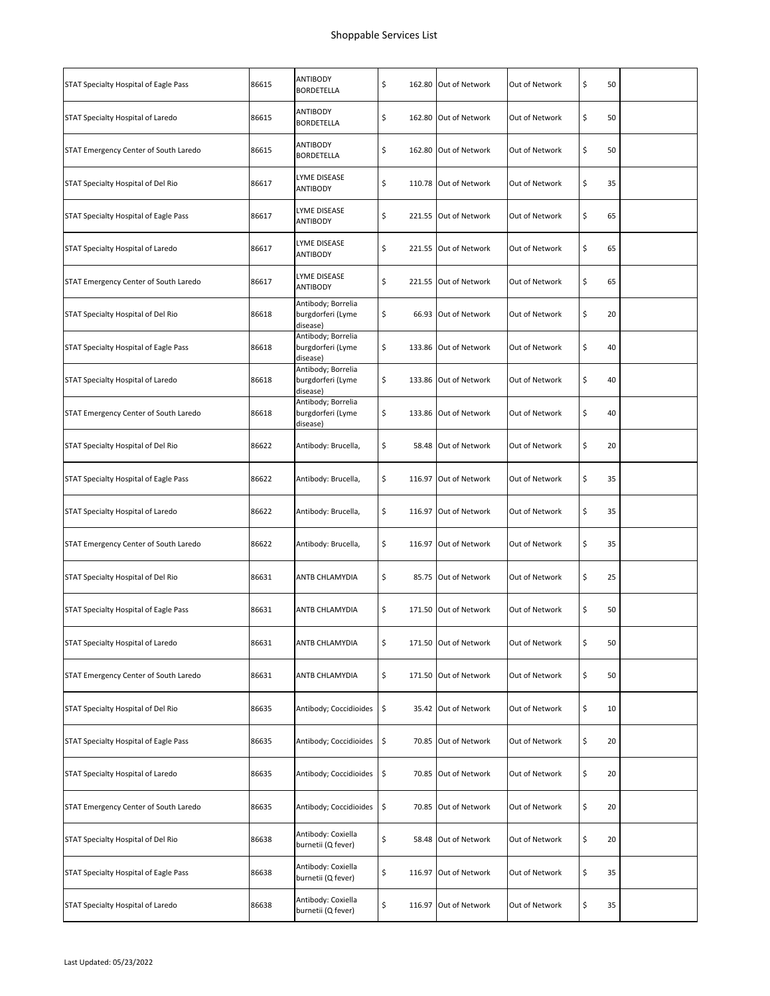| STAT Specialty Hospital of Eagle Pass | 86615 | ANTIBODY<br>BORDETELLA                              | \$          | 162.80 Out of Network | Out of Network | \$<br>50 |  |
|---------------------------------------|-------|-----------------------------------------------------|-------------|-----------------------|----------------|----------|--|
| STAT Specialty Hospital of Laredo     | 86615 | ANTIBODY<br>BORDETELLA                              | \$          | 162.80 Out of Network | Out of Network | \$<br>50 |  |
| STAT Emergency Center of South Laredo | 86615 | ANTIBODY<br>BORDETELLA                              | \$          | 162.80 Out of Network | Out of Network | \$<br>50 |  |
| STAT Specialty Hospital of Del Rio    | 86617 | LYME DISEASE<br>ANTIBODY                            | \$          | 110.78 Out of Network | Out of Network | \$<br>35 |  |
| STAT Specialty Hospital of Eagle Pass | 86617 | LYME DISEASE<br>ANTIBODY                            | \$          | 221.55 Out of Network | Out of Network | \$<br>65 |  |
| STAT Specialty Hospital of Laredo     | 86617 | LYME DISEASE<br>ANTIBODY                            | \$          | 221.55 Out of Network | Out of Network | \$<br>65 |  |
| STAT Emergency Center of South Laredo | 86617 | LYME DISEASE<br>ANTIBODY                            | \$          | 221.55 Out of Network | Out of Network | \$<br>65 |  |
| STAT Specialty Hospital of Del Rio    | 86618 | Antibody; Borrelia<br>burgdorferi (Lyme<br>disease) | \$          | 66.93 Out of Network  | Out of Network | \$<br>20 |  |
| STAT Specialty Hospital of Eagle Pass | 86618 | Antibody; Borrelia<br>burgdorferi (Lyme<br>disease) | \$          | 133.86 Out of Network | Out of Network | \$<br>40 |  |
| STAT Specialty Hospital of Laredo     | 86618 | Antibody; Borrelia<br>burgdorferi (Lyme<br>disease) | \$          | 133.86 Out of Network | Out of Network | \$<br>40 |  |
| STAT Emergency Center of South Laredo | 86618 | Antibody; Borrelia<br>burgdorferi (Lyme<br>disease) | \$          | 133.86 Out of Network | Out of Network | \$<br>40 |  |
| STAT Specialty Hospital of Del Rio    | 86622 | Antibody: Brucella,                                 | \$          | 58.48 Out of Network  | Out of Network | \$<br>20 |  |
| STAT Specialty Hospital of Eagle Pass | 86622 | Antibody: Brucella,                                 | \$          | 116.97 Out of Network | Out of Network | \$<br>35 |  |
| STAT Specialty Hospital of Laredo     | 86622 | Antibody: Brucella,                                 | \$          | 116.97 Out of Network | Out of Network | \$<br>35 |  |
| STAT Emergency Center of South Laredo | 86622 | Antibody: Brucella,                                 | \$          | 116.97 Out of Network | Out of Network | \$<br>35 |  |
| STAT Specialty Hospital of Del Rio    | 86631 | ANTB CHLAMYDIA                                      | \$          | 85.75 Out of Network  | Out of Network | \$<br>25 |  |
| STAT Specialty Hospital of Eagle Pass | 86631 | ANTB CHLAMYDIA                                      | \$          | 171.50 Out of Network | Out of Network | \$<br>50 |  |
| STAT Specialty Hospital of Laredo     | 86631 | ANTB CHLAMYDIA                                      | \$          | 171.50 Out of Network | Out of Network | \$<br>50 |  |
| STAT Emergency Center of South Laredo | 86631 | ANTB CHLAMYDIA                                      | \$          | 171.50 Out of Network | Out of Network | \$<br>50 |  |
| STAT Specialty Hospital of Del Rio    | 86635 | Antibody; Coccidioides                              | \$          | 35.42 Out of Network  | Out of Network | \$<br>10 |  |
| STAT Specialty Hospital of Eagle Pass | 86635 | Antibody; Coccidioides                              | \$          | 70.85 Out of Network  | Out of Network | \$<br>20 |  |
| STAT Specialty Hospital of Laredo     | 86635 | Antibody; Coccidioides                              | \$          | 70.85 Out of Network  | Out of Network | \$<br>20 |  |
| STAT Emergency Center of South Laredo | 86635 | Antibody; Coccidioides                              | \$<br>70.85 | Out of Network        | Out of Network | \$<br>20 |  |
| STAT Specialty Hospital of Del Rio    | 86638 | Antibody: Coxiella<br>burnetii (Q fever)            | \$          | 58.48 Out of Network  | Out of Network | \$<br>20 |  |
| STAT Specialty Hospital of Eagle Pass | 86638 | Antibody: Coxiella<br>burnetii (Q fever)            | \$          | 116.97 Out of Network | Out of Network | \$<br>35 |  |
| STAT Specialty Hospital of Laredo     | 86638 | Antibody: Coxiella<br>burnetii (Q fever)            | \$          | 116.97 Out of Network | Out of Network | \$<br>35 |  |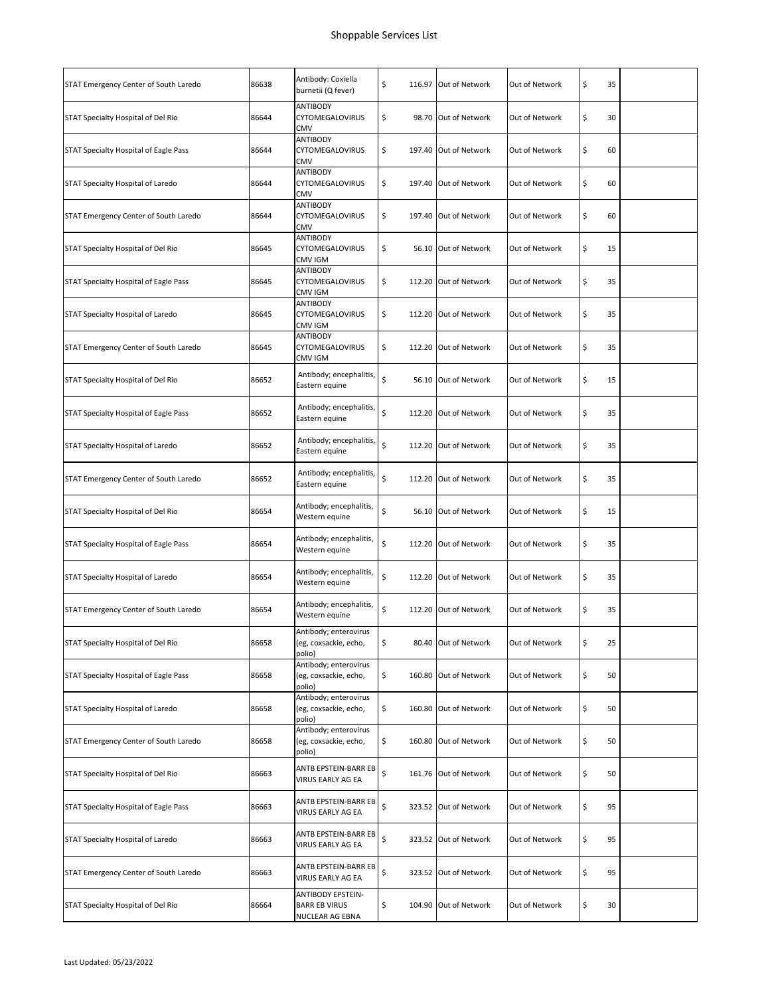| STAT Emergency Center of South Laredo | 86638 | Antibody: Coxiella<br>burnetii (Q fever)                            | \$<br>116.97 Out of Network | Out of Network | \$<br>35 |  |
|---------------------------------------|-------|---------------------------------------------------------------------|-----------------------------|----------------|----------|--|
| STAT Specialty Hospital of Del Rio    | 86644 | <b>ANTIBODY</b><br>CYTOMEGALOVIRUS<br>CMV                           | \$<br>98.70 Out of Network  | Out of Network | \$<br>30 |  |
| STAT Specialty Hospital of Eagle Pass | 86644 | ANTIBODY<br><b>CYTOMEGALOVIRUS</b><br>CMV                           | \$<br>197.40 Out of Network | Out of Network | \$<br>60 |  |
| STAT Specialty Hospital of Laredo     | 86644 | ANTIBODY<br><b>CYTOMEGALOVIRUS</b><br><b>CMV</b>                    | \$<br>197.40 Out of Network | Out of Network | \$<br>60 |  |
| STAT Emergency Center of South Laredo | 86644 | ANTIBODY<br><b>CYTOMEGALOVIRUS</b><br><b>CMV</b>                    | \$<br>197.40 Out of Network | Out of Network | \$<br>60 |  |
| STAT Specialty Hospital of Del Rio    | 86645 | ANTIBODY<br><b>CYTOMEGALOVIRUS</b><br>CMV IGM                       | \$<br>56.10 Out of Network  | Out of Network | \$<br>15 |  |
| STAT Specialty Hospital of Eagle Pass | 86645 | ANTIBODY<br>CYTOMEGALOVIRUS<br>CMV IGM                              | \$<br>112.20 Out of Network | Out of Network | \$<br>35 |  |
| STAT Specialty Hospital of Laredo     | 86645 | ANTIBODY<br><b>CYTOMEGALOVIRUS</b><br>CMV IGM                       | \$<br>112.20 Out of Network | Out of Network | \$<br>35 |  |
| STAT Emergency Center of South Laredo | 86645 | ANTIBODY<br><b>CYTOMEGALOVIRUS</b><br>CMV IGM                       | \$<br>112.20 Out of Network | Out of Network | \$<br>35 |  |
| STAT Specialty Hospital of Del Rio    | 86652 | Antibody; encephalitis,<br>Eastern equine                           | \$<br>56.10 Out of Network  | Out of Network | \$<br>15 |  |
| STAT Specialty Hospital of Eagle Pass | 86652 | Antibody; encephalitis,<br>Eastern equine                           | \$<br>112.20 Out of Network | Out of Network | \$<br>35 |  |
| STAT Specialty Hospital of Laredo     | 86652 | Antibody; encephalitis,<br>Eastern equine                           | \$<br>112.20 Out of Network | Out of Network | \$<br>35 |  |
| STAT Emergency Center of South Laredo | 86652 | Antibody; encephalitis,<br>Eastern equine                           | \$<br>112.20 Out of Network | Out of Network | \$<br>35 |  |
| STAT Specialty Hospital of Del Rio    | 86654 | Antibody; encephalitis,<br>Western equine                           | \$<br>56.10 Out of Network  | Out of Network | \$<br>15 |  |
| STAT Specialty Hospital of Eagle Pass | 86654 | Antibody; encephalitis,<br>Western equine                           | \$<br>112.20 Out of Network | Out of Network | \$<br>35 |  |
| STAT Specialty Hospital of Laredo     | 86654 | Antibody; encephalitis,<br>Western equine                           | \$<br>112.20 Out of Network | Out of Network | \$<br>35 |  |
| STAT Emergency Center of South Laredo | 86654 | Antibody; encephalitis,<br>Western equine                           | \$<br>112.20 Out of Network | Out of Network | \$<br>35 |  |
| STAT Specialty Hospital of Del Rio    | 86658 | Antibody; enterovirus<br>(eg, coxsackie, echo,<br>polio)            | \$<br>80.40 Out of Network  | Out of Network | \$<br>25 |  |
| STAT Specialty Hospital of Eagle Pass | 86658 | Antibody; enterovirus<br>(eg, coxsackie, echo,<br>polio)            | \$<br>160.80 Out of Network | Out of Network | \$<br>50 |  |
| STAT Specialty Hospital of Laredo     | 86658 | Antibody; enterovirus<br>(eg, coxsackie, echo,<br>polio)            | \$<br>160.80 Out of Network | Out of Network | \$<br>50 |  |
| STAT Emergency Center of South Laredo | 86658 | Antibody; enterovirus<br>(eg, coxsackie, echo,<br>polio)            | \$<br>160.80 Out of Network | Out of Network | \$<br>50 |  |
| STAT Specialty Hospital of Del Rio    | 86663 | ANTB EPSTEIN-BARR EB<br>VIRUS EARLY AG EA                           | \$<br>161.76 Out of Network | Out of Network | \$<br>50 |  |
| STAT Specialty Hospital of Eagle Pass | 86663 | ANTB EPSTEIN-BARR EB<br>VIRUS EARLY AG EA                           | \$<br>323.52 Out of Network | Out of Network | \$<br>95 |  |
| STAT Specialty Hospital of Laredo     | 86663 | ANTB EPSTEIN-BARR EB<br>VIRUS EARLY AG EA                           | \$<br>323.52 Out of Network | Out of Network | \$<br>95 |  |
| STAT Emergency Center of South Laredo | 86663 | ANTB EPSTEIN-BARR EB<br>VIRUS EARLY AG EA                           | \$<br>323.52 Out of Network | Out of Network | \$<br>95 |  |
| STAT Specialty Hospital of Del Rio    | 86664 | <b>ANTIBODY EPSTEIN-</b><br><b>BARR EB VIRUS</b><br>NUCLEAR AG EBNA | \$<br>104.90 Out of Network | Out of Network | \$<br>30 |  |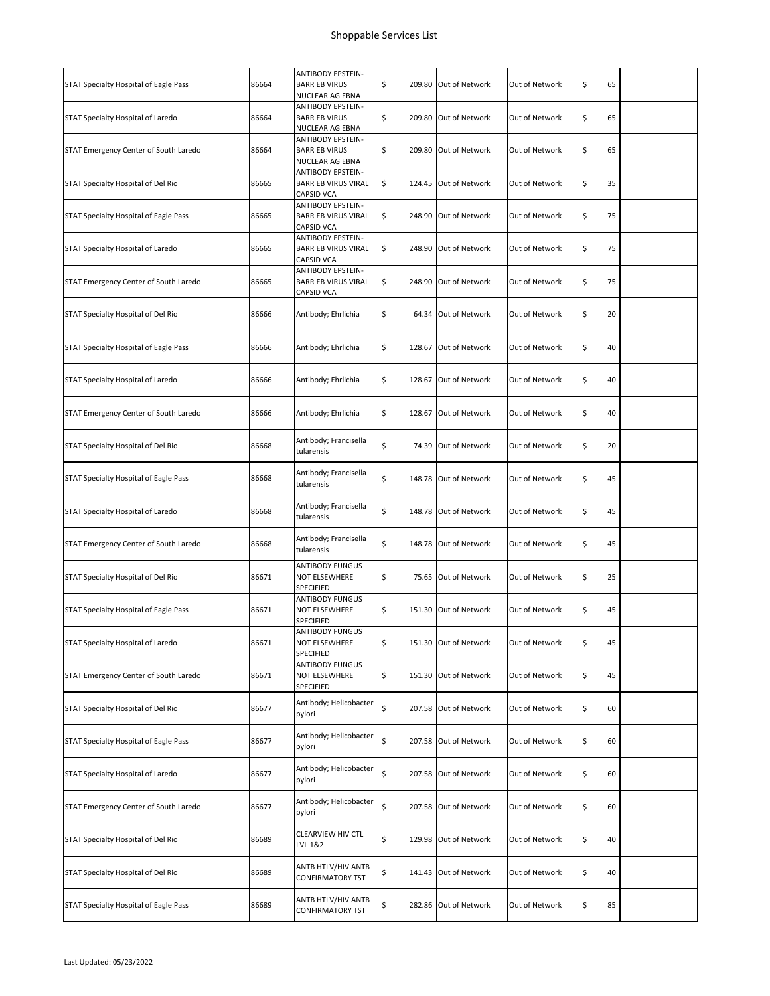| STAT Specialty Hospital of Eagle Pass | 86664 | <b>ANTIBODY EPSTEIN-</b><br><b>BARR EB VIRUS</b><br>NUCLEAR AG EBNA         | \$<br>209.80 Out of Network | Out of Network | \$<br>65 |  |
|---------------------------------------|-------|-----------------------------------------------------------------------------|-----------------------------|----------------|----------|--|
| STAT Specialty Hospital of Laredo     | 86664 | <b>ANTIBODY EPSTEIN-</b><br><b>BARR EB VIRUS</b><br>NUCLEAR AG EBNA         | \$<br>209.80 Out of Network | Out of Network | \$<br>65 |  |
| STAT Emergency Center of South Laredo | 86664 | <b>ANTIBODY EPSTEIN-</b><br><b>BARR EB VIRUS</b><br>NUCLEAR AG EBNA         | \$<br>209.80 Out of Network | Out of Network | \$<br>65 |  |
| STAT Specialty Hospital of Del Rio    | 86665 | <b>ANTIBODY EPSTEIN-</b><br><b>BARR EB VIRUS VIRAL</b><br>CAPSID VCA        | \$<br>124.45 Out of Network | Out of Network | \$<br>35 |  |
| STAT Specialty Hospital of Eagle Pass | 86665 | <b>ANTIBODY EPSTEIN-</b><br><b>BARR EB VIRUS VIRAL</b><br><b>CAPSID VCA</b> | \$<br>248.90 Out of Network | Out of Network | \$<br>75 |  |
| STAT Specialty Hospital of Laredo     | 86665 | <b>ANTIBODY EPSTEIN-</b><br><b>BARR EB VIRUS VIRAL</b><br>CAPSID VCA        | \$<br>248.90 Out of Network | Out of Network | \$<br>75 |  |
| STAT Emergency Center of South Laredo | 86665 | <b>ANTIBODY EPSTEIN-</b><br><b>BARR EB VIRUS VIRAL</b><br>CAPSID VCA        | \$<br>248.90 Out of Network | Out of Network | \$<br>75 |  |
| STAT Specialty Hospital of Del Rio    | 86666 | Antibody; Ehrlichia                                                         | \$<br>64.34 Out of Network  | Out of Network | \$<br>20 |  |
| STAT Specialty Hospital of Eagle Pass | 86666 | Antibody; Ehrlichia                                                         | \$<br>128.67 Out of Network | Out of Network | \$<br>40 |  |
| STAT Specialty Hospital of Laredo     | 86666 | Antibody; Ehrlichia                                                         | \$<br>128.67 Out of Network | Out of Network | \$<br>40 |  |
| STAT Emergency Center of South Laredo | 86666 | Antibody; Ehrlichia                                                         | \$<br>128.67 Out of Network | Out of Network | \$<br>40 |  |
| STAT Specialty Hospital of Del Rio    | 86668 | Antibody; Francisella<br>tularensis                                         | \$<br>74.39 Out of Network  | Out of Network | \$<br>20 |  |
| STAT Specialty Hospital of Eagle Pass | 86668 | Antibody; Francisella<br>tularensis                                         | \$<br>148.78 Out of Network | Out of Network | \$<br>45 |  |
| STAT Specialty Hospital of Laredo     | 86668 | Antibody; Francisella<br>tularensis                                         | \$<br>148.78 Out of Network | Out of Network | \$<br>45 |  |
| STAT Emergency Center of South Laredo | 86668 | Antibody; Francisella<br>tularensis                                         | \$<br>148.78 Out of Network | Out of Network | \$<br>45 |  |
| STAT Specialty Hospital of Del Rio    | 86671 | <b>ANTIBODY FUNGUS</b><br><b>NOT ELSEWHERE</b><br>SPECIFIED                 | \$<br>75.65 Out of Network  | Out of Network | \$<br>25 |  |
| STAT Specialty Hospital of Eagle Pass | 86671 | <b>ANTIBODY FUNGUS</b><br>NOT ELSEWHERE<br>SPECIFIED                        | \$<br>151.30 Out of Network | Out of Network | \$<br>45 |  |
| STAT Specialty Hospital of Laredo     | 86671 | ANTIBODY FUNGUS<br>NOT ELSEWHERE<br>SPECIFIED                               | \$<br>151.30 Out of Network | Out of Network | \$<br>45 |  |
| STAT Emergency Center of South Laredo | 86671 | <b>ANTIBODY FUNGUS</b><br>NOT ELSEWHERE<br>SPECIFIED                        | \$<br>151.30 Out of Network | Out of Network | \$<br>45 |  |
| STAT Specialty Hospital of Del Rio    | 86677 | Antibody; Helicobacter<br>pylori                                            | \$<br>207.58 Out of Network | Out of Network | \$<br>60 |  |
| STAT Specialty Hospital of Eagle Pass | 86677 | Antibody; Helicobacter<br>pylori                                            | \$<br>207.58 Out of Network | Out of Network | \$<br>60 |  |
| STAT Specialty Hospital of Laredo     | 86677 | Antibody; Helicobacter<br>pylori                                            | \$<br>207.58 Out of Network | Out of Network | \$<br>60 |  |
| STAT Emergency Center of South Laredo | 86677 | Antibody; Helicobacter<br>pylori                                            | \$<br>207.58 Out of Network | Out of Network | \$<br>60 |  |
| STAT Specialty Hospital of Del Rio    | 86689 | CLEARVIEW HIV CTL<br>LVL 1&2                                                | \$<br>129.98 Out of Network | Out of Network | \$<br>40 |  |
| STAT Specialty Hospital of Del Rio    | 86689 | ANTB HTLV/HIV ANTB<br><b>CONFIRMATORY TST</b>                               | \$<br>141.43 Out of Network | Out of Network | \$<br>40 |  |
| STAT Specialty Hospital of Eagle Pass | 86689 | ANTB HTLV/HIV ANTB<br>CONFIRMATORY TST                                      | \$<br>282.86 Out of Network | Out of Network | \$<br>85 |  |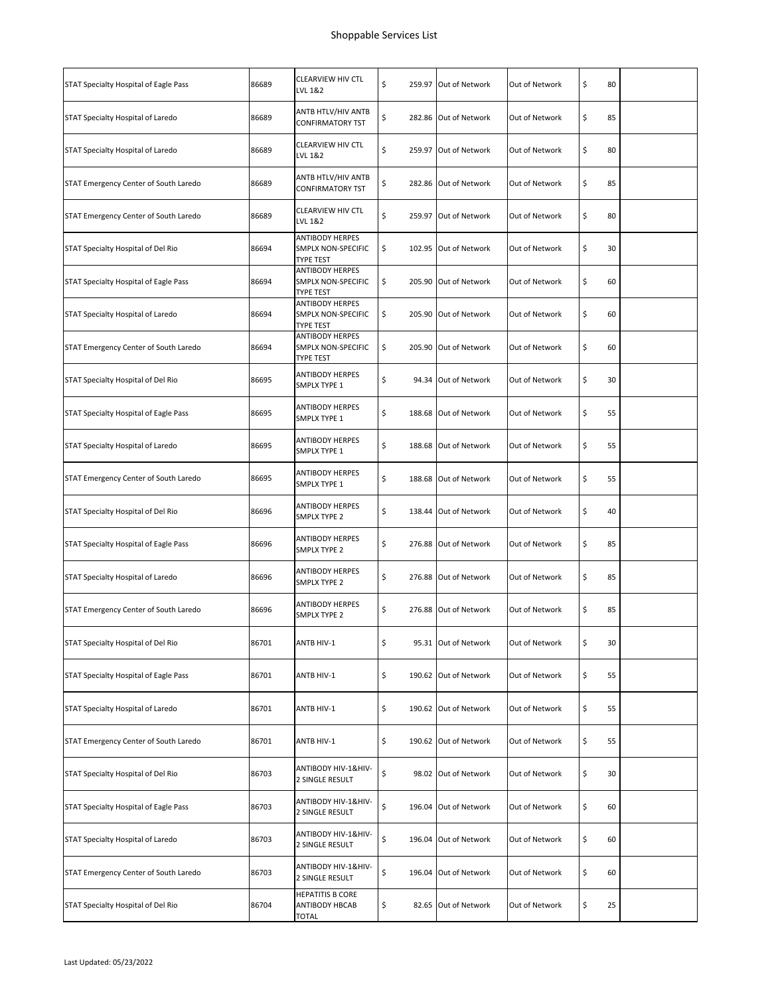| STAT Specialty Hospital of Eagle Pass | 86689 | <b>CLEARVIEW HIV CTL</b><br>LVL 1&2                       | \$<br>259.97 Out of Network | Out of Network | \$<br>80 |  |
|---------------------------------------|-------|-----------------------------------------------------------|-----------------------------|----------------|----------|--|
| STAT Specialty Hospital of Laredo     | 86689 | ANTB HTLV/HIV ANTB<br><b>CONFIRMATORY TST</b>             | \$<br>282.86 Out of Network | Out of Network | \$<br>85 |  |
| STAT Specialty Hospital of Laredo     | 86689 | CLEARVIEW HIV CTL<br>LVL 1&2                              | \$<br>259.97 Out of Network | Out of Network | \$<br>80 |  |
| STAT Emergency Center of South Laredo | 86689 | ANTB HTLV/HIV ANTB<br>CONFIRMATORY TST                    | \$<br>282.86 Out of Network | Out of Network | \$<br>85 |  |
| STAT Emergency Center of South Laredo | 86689 | CLEARVIEW HIV CTL<br>LVL 1&2                              | \$<br>259.97 Out of Network | Out of Network | \$<br>80 |  |
| STAT Specialty Hospital of Del Rio    | 86694 | <b>ANTIBODY HERPES</b><br>SMPLX NON-SPECIFIC<br>TYPE TEST | \$<br>102.95 Out of Network | Out of Network | \$<br>30 |  |
| STAT Specialty Hospital of Eagle Pass | 86694 | ANTIBODY HERPES<br>SMPLX NON-SPECIFIC<br>TYPE TEST        | \$<br>205.90 Out of Network | Out of Network | \$<br>60 |  |
| STAT Specialty Hospital of Laredo     | 86694 | <b>ANTIBODY HERPES</b><br>SMPLX NON-SPECIFIC<br>TYPE TEST | \$<br>205.90 Out of Network | Out of Network | \$<br>60 |  |
| STAT Emergency Center of South Laredo | 86694 | <b>ANTIBODY HERPES</b><br>SMPLX NON-SPECIFIC<br>TYPE TEST | \$<br>205.90 Out of Network | Out of Network | \$<br>60 |  |
| STAT Specialty Hospital of Del Rio    | 86695 | <b>ANTIBODY HERPES</b><br>SMPLX TYPE 1                    | \$<br>94.34 Out of Network  | Out of Network | \$<br>30 |  |
| STAT Specialty Hospital of Eagle Pass | 86695 | <b>ANTIBODY HERPES</b><br>SMPLX TYPE 1                    | \$<br>188.68 Out of Network | Out of Network | \$<br>55 |  |
| STAT Specialty Hospital of Laredo     | 86695 | ANTIBODY HERPES<br>SMPLX TYPE 1                           | \$<br>188.68 Out of Network | Out of Network | \$<br>55 |  |
| STAT Emergency Center of South Laredo | 86695 | ANTIBODY HERPES<br>SMPLX TYPE 1                           | \$<br>188.68 Out of Network | Out of Network | \$<br>55 |  |
| STAT Specialty Hospital of Del Rio    | 86696 | <b>ANTIBODY HERPES</b><br>SMPLX TYPE 2                    | \$<br>138.44 Out of Network | Out of Network | \$<br>40 |  |
| STAT Specialty Hospital of Eagle Pass | 86696 | <b>ANTIBODY HERPES</b><br>SMPLX TYPE 2                    | \$<br>276.88 Out of Network | Out of Network | \$<br>85 |  |
| STAT Specialty Hospital of Laredo     | 86696 | ANTIBODY HERPES<br>SMPLX TYPE 2                           | \$<br>276.88 Out of Network | Out of Network | \$<br>85 |  |
| STAT Emergency Center of South Laredo | 86696 | <b>ANTIBODY HERPES</b><br>SMPLX TYPE 2                    | \$<br>276.88 Out of Network | Out of Network | \$<br>85 |  |
| STAT Specialty Hospital of Del Rio    | 86701 | ANTB HIV-1                                                | \$<br>95.31 Out of Network  | Out of Network | \$<br>30 |  |
| STAT Specialty Hospital of Eagle Pass | 86701 | ANTB HIV-1                                                | \$<br>190.62 Out of Network | Out of Network | \$<br>55 |  |
| STAT Specialty Hospital of Laredo     | 86701 | ANTB HIV-1                                                | \$<br>190.62 Out of Network | Out of Network | \$<br>55 |  |
| STAT Emergency Center of South Laredo | 86701 | ANTB HIV-1                                                | \$<br>190.62 Out of Network | Out of Network | \$<br>55 |  |
| STAT Specialty Hospital of Del Rio    | 86703 | ANTIBODY HIV-1&HIV-<br>2 SINGLE RESULT                    | \$<br>98.02 Out of Network  | Out of Network | \$<br>30 |  |
| STAT Specialty Hospital of Eagle Pass | 86703 | ANTIBODY HIV-1&HIV-<br>2 SINGLE RESULT                    | \$<br>196.04 Out of Network | Out of Network | \$<br>60 |  |
| STAT Specialty Hospital of Laredo     | 86703 | ANTIBODY HIV-1&HIV-<br>2 SINGLE RESULT                    | \$<br>196.04 Out of Network | Out of Network | \$<br>60 |  |
| STAT Emergency Center of South Laredo | 86703 | ANTIBODY HIV-1&HIV-<br>2 SINGLE RESULT                    | \$<br>196.04 Out of Network | Out of Network | \$<br>60 |  |
| STAT Specialty Hospital of Del Rio    | 86704 | <b>HEPATITIS B CORE</b><br>ANTIBODY HBCAB<br>TOTAL        | \$<br>82.65 Out of Network  | Out of Network | \$<br>25 |  |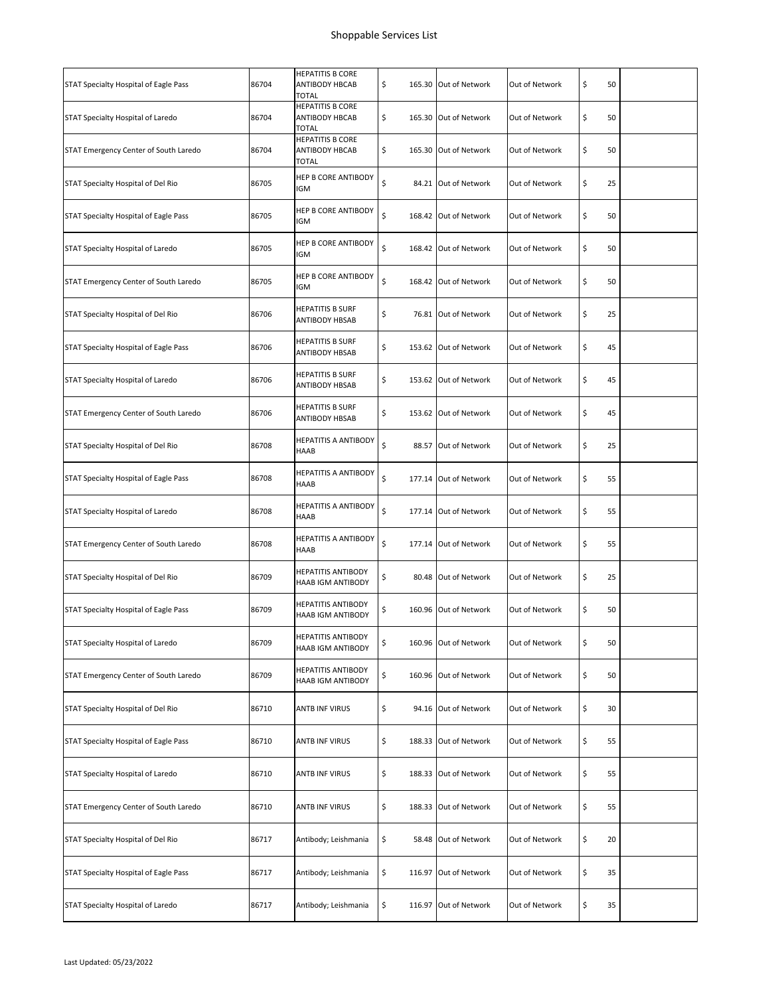| STAT Specialty Hospital of Eagle Pass | 86704 | <b>HEPATITIS B CORE</b><br>ANTIBODY HBCAB<br>TOTAL               | \$<br>165.30 Out of Network | Out of Network | \$<br>50 |  |
|---------------------------------------|-------|------------------------------------------------------------------|-----------------------------|----------------|----------|--|
| STAT Specialty Hospital of Laredo     | 86704 | <b>HEPATITIS B CORE</b><br><b>ANTIBODY HBCAB</b><br><b>TOTAL</b> | \$<br>165.30 Out of Network | Out of Network | \$<br>50 |  |
| STAT Emergency Center of South Laredo | 86704 | <b>HEPATITIS B CORE</b><br>ANTIBODY HBCAB<br><b>TOTAL</b>        | \$<br>165.30 Out of Network | Out of Network | \$<br>50 |  |
| STAT Specialty Hospital of Del Rio    | 86705 | HEP B CORE ANTIBODY<br>IGM                                       | \$<br>84.21 Out of Network  | Out of Network | \$<br>25 |  |
| STAT Specialty Hospital of Eagle Pass | 86705 | HEP B CORE ANTIBODY<br>IGM                                       | \$<br>168.42 Out of Network | Out of Network | \$<br>50 |  |
| STAT Specialty Hospital of Laredo     | 86705 | HEP B CORE ANTIBODY<br>IGM                                       | \$<br>168.42 Out of Network | Out of Network | \$<br>50 |  |
| STAT Emergency Center of South Laredo | 86705 | HEP B CORE ANTIBODY<br>IGM                                       | \$<br>168.42 Out of Network | Out of Network | \$<br>50 |  |
| STAT Specialty Hospital of Del Rio    | 86706 | <b>HEPATITIS B SURF</b><br>ANTIBODY HBSAB                        | \$<br>76.81 Out of Network  | Out of Network | \$<br>25 |  |
| STAT Specialty Hospital of Eagle Pass | 86706 | <b>HEPATITIS B SURF</b><br>ANTIBODY HBSAB                        | \$<br>153.62 Out of Network | Out of Network | \$<br>45 |  |
| STAT Specialty Hospital of Laredo     | 86706 | <b>HEPATITIS B SURF</b><br>ANTIBODY HBSAB                        | \$<br>153.62 Out of Network | Out of Network | \$<br>45 |  |
| STAT Emergency Center of South Laredo | 86706 | HEPATITIS B SURF<br><b>ANTIBODY HBSAB</b>                        | \$<br>153.62 Out of Network | Out of Network | \$<br>45 |  |
| STAT Specialty Hospital of Del Rio    | 86708 | HEPATITIS A ANTIBODY<br>HAAB                                     | \$<br>88.57 Out of Network  | Out of Network | \$<br>25 |  |
| STAT Specialty Hospital of Eagle Pass | 86708 | HEPATITIS A ANTIBODY<br>HAAB                                     | \$<br>177.14 Out of Network | Out of Network | \$<br>55 |  |
| STAT Specialty Hospital of Laredo     | 86708 | HEPATITIS A ANTIBODY<br>HAAB                                     | \$<br>177.14 Out of Network | Out of Network | \$<br>55 |  |
| STAT Emergency Center of South Laredo | 86708 | HEPATITIS A ANTIBODY<br>HAAB                                     | \$<br>177.14 Out of Network | Out of Network | \$<br>55 |  |
| STAT Specialty Hospital of Del Rio    | 86709 | HEPATITIS ANTIBODY<br>HAAB IGM ANTIBODY                          | \$<br>80.48 Out of Network  | Out of Network | \$<br>25 |  |
| STAT Specialty Hospital of Eagle Pass | 86709 | <b>HEPATITIS ANTIBODY</b><br>HAAB IGM ANTIBODY                   | \$<br>160.96 Out of Network | Out of Network | \$<br>50 |  |
| STAT Specialty Hospital of Laredo     | 86709 | <b>HEPATITIS ANTIBODY</b><br>HAAB IGM ANTIBODY                   | \$<br>160.96 Out of Network | Out of Network | \$<br>50 |  |
| STAT Emergency Center of South Laredo | 86709 | HEPATITIS ANTIBODY<br>HAAB IGM ANTIBODY                          | \$<br>160.96 Out of Network | Out of Network | \$<br>50 |  |
| STAT Specialty Hospital of Del Rio    | 86710 | ANTB INF VIRUS                                                   | \$<br>94.16 Out of Network  | Out of Network | \$<br>30 |  |
| STAT Specialty Hospital of Eagle Pass | 86710 | <b>ANTB INF VIRUS</b>                                            | \$<br>188.33 Out of Network | Out of Network | \$<br>55 |  |
| STAT Specialty Hospital of Laredo     | 86710 | <b>ANTB INF VIRUS</b>                                            | \$<br>188.33 Out of Network | Out of Network | \$<br>55 |  |
| STAT Emergency Center of South Laredo | 86710 | ANTB INF VIRUS                                                   | \$<br>188.33 Out of Network | Out of Network | \$<br>55 |  |
| STAT Specialty Hospital of Del Rio    | 86717 | Antibody; Leishmania                                             | \$<br>58.48 Out of Network  | Out of Network | \$<br>20 |  |
| STAT Specialty Hospital of Eagle Pass | 86717 | Antibody; Leishmania                                             | \$<br>116.97 Out of Network | Out of Network | \$<br>35 |  |
| STAT Specialty Hospital of Laredo     | 86717 | Antibody; Leishmania                                             | \$<br>116.97 Out of Network | Out of Network | \$<br>35 |  |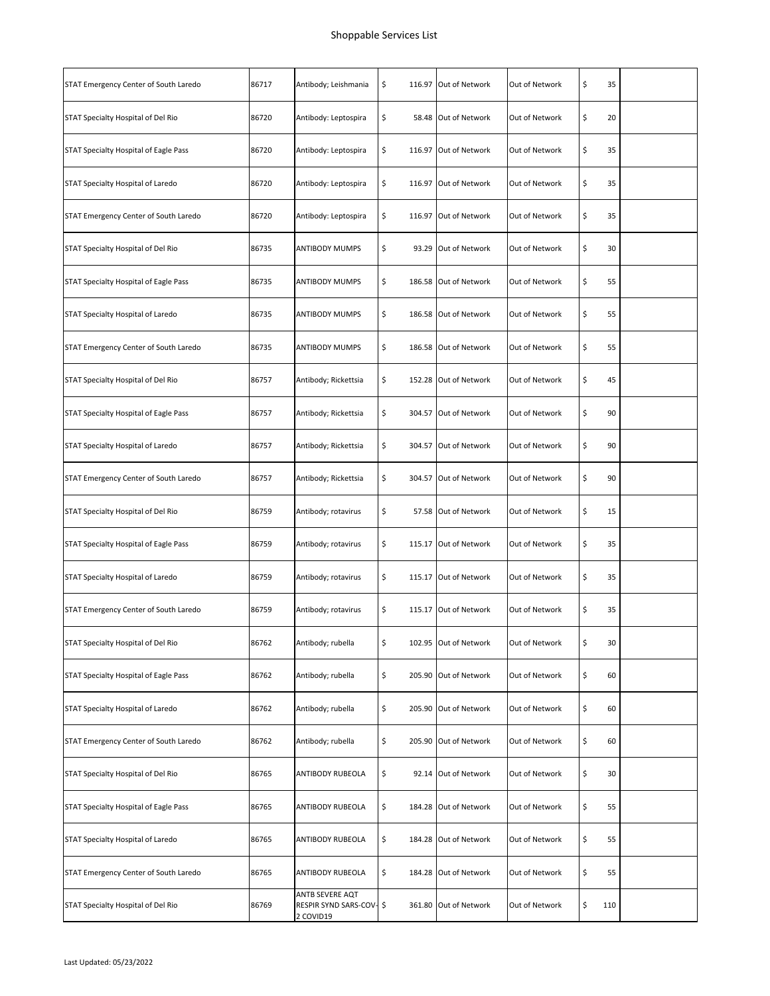| STAT Emergency Center of South Laredo | 86717 | Antibody; Leishmania                                     | \$<br>116.97 Out of Network | Out of Network | \$<br>35  |  |
|---------------------------------------|-------|----------------------------------------------------------|-----------------------------|----------------|-----------|--|
| STAT Specialty Hospital of Del Rio    | 86720 | Antibody: Leptospira                                     | \$<br>58.48 Out of Network  | Out of Network | \$<br>20  |  |
| STAT Specialty Hospital of Eagle Pass | 86720 | Antibody: Leptospira                                     | \$<br>116.97 Out of Network | Out of Network | \$<br>35  |  |
| STAT Specialty Hospital of Laredo     | 86720 | Antibody: Leptospira                                     | \$<br>116.97 Out of Network | Out of Network | \$<br>35  |  |
| STAT Emergency Center of South Laredo | 86720 | Antibody: Leptospira                                     | \$<br>116.97 Out of Network | Out of Network | \$<br>35  |  |
| STAT Specialty Hospital of Del Rio    | 86735 | <b>ANTIBODY MUMPS</b>                                    | \$<br>93.29 Out of Network  | Out of Network | \$<br>30  |  |
| STAT Specialty Hospital of Eagle Pass | 86735 | <b>ANTIBODY MUMPS</b>                                    | \$<br>186.58 Out of Network | Out of Network | \$<br>55  |  |
| STAT Specialty Hospital of Laredo     | 86735 | <b>ANTIBODY MUMPS</b>                                    | \$<br>186.58 Out of Network | Out of Network | \$<br>55  |  |
| STAT Emergency Center of South Laredo | 86735 | <b>ANTIBODY MUMPS</b>                                    | \$<br>186.58 Out of Network | Out of Network | \$<br>55  |  |
| STAT Specialty Hospital of Del Rio    | 86757 | Antibody; Rickettsia                                     | \$<br>152.28 Out of Network | Out of Network | \$<br>45  |  |
| STAT Specialty Hospital of Eagle Pass | 86757 | Antibody; Rickettsia                                     | \$<br>304.57 Out of Network | Out of Network | \$<br>90  |  |
| STAT Specialty Hospital of Laredo     | 86757 | Antibody; Rickettsia                                     | \$<br>304.57 Out of Network | Out of Network | \$<br>90  |  |
| STAT Emergency Center of South Laredo | 86757 | Antibody; Rickettsia                                     | \$<br>304.57 Out of Network | Out of Network | \$<br>90  |  |
| STAT Specialty Hospital of Del Rio    | 86759 | Antibody; rotavirus                                      | \$<br>57.58 Out of Network  | Out of Network | \$<br>15  |  |
| STAT Specialty Hospital of Eagle Pass | 86759 | Antibody; rotavirus                                      | \$<br>115.17 Out of Network | Out of Network | \$<br>35  |  |
| STAT Specialty Hospital of Laredo     | 86759 | Antibody; rotavirus                                      | \$<br>115.17 Out of Network | Out of Network | \$<br>35  |  |
| STAT Emergency Center of South Laredo | 86759 | Antibody; rotavirus                                      | \$<br>115.17 Out of Network | Out of Network | \$<br>35  |  |
| STAT Specialty Hospital of Del Rio    | 86762 | Antibody; rubella                                        | \$<br>102.95 Out of Network | Out of Network | \$<br>30  |  |
| STAT Specialty Hospital of Eagle Pass | 86762 | Antibody; rubella                                        | \$<br>205.90 Out of Network | Out of Network | \$<br>60  |  |
| STAT Specialty Hospital of Laredo     | 86762 | Antibody; rubella                                        | \$<br>205.90 Out of Network | Out of Network | \$<br>60  |  |
| STAT Emergency Center of South Laredo | 86762 | Antibody; rubella                                        | \$<br>205.90 Out of Network | Out of Network | \$<br>60  |  |
| STAT Specialty Hospital of Del Rio    | 86765 | ANTIBODY RUBEOLA                                         | \$<br>92.14 Out of Network  | Out of Network | \$<br>30  |  |
| STAT Specialty Hospital of Eagle Pass | 86765 | ANTIBODY RUBEOLA                                         | \$<br>184.28 Out of Network | Out of Network | \$<br>55  |  |
| STAT Specialty Hospital of Laredo     | 86765 | ANTIBODY RUBEOLA                                         | \$<br>184.28 Out of Network | Out of Network | \$<br>55  |  |
| STAT Emergency Center of South Laredo | 86765 | ANTIBODY RUBEOLA                                         | \$<br>184.28 Out of Network | Out of Network | \$<br>55  |  |
| STAT Specialty Hospital of Del Rio    | 86769 | ANTB SEVERE AQT<br>RESPIR SYND SARS-COV- \$<br>2 COVID19 | 361.80 Out of Network       | Out of Network | \$<br>110 |  |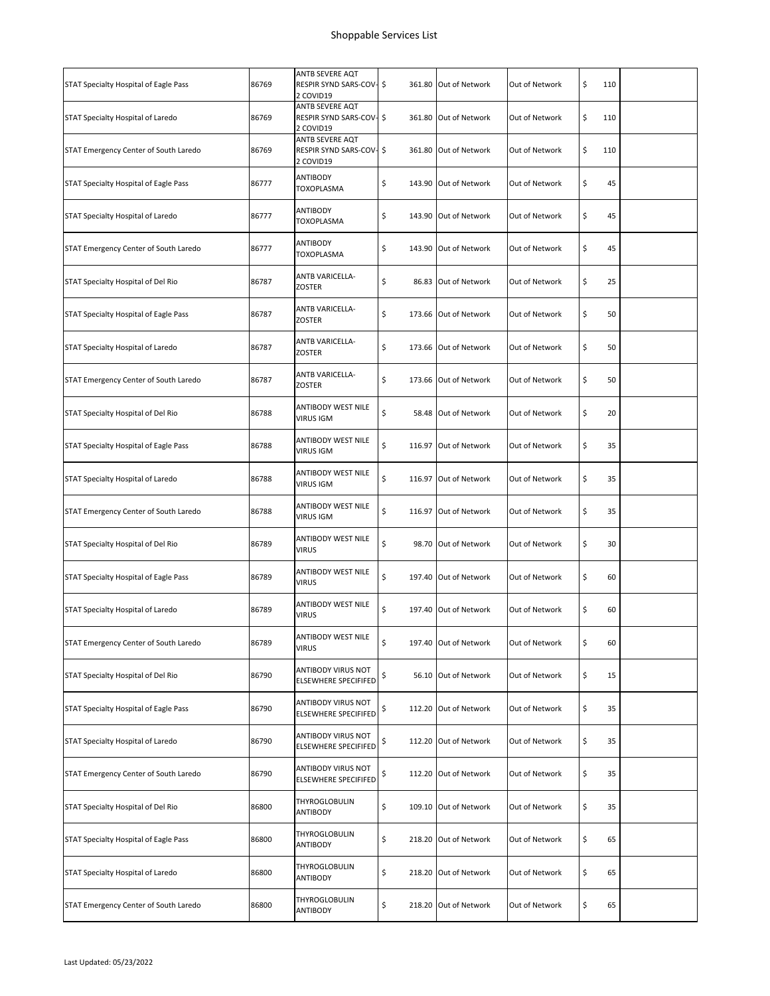| STAT Specialty Hospital of Eagle Pass | 86769 | ANTB SEVERE AQT<br>RESPIR SYND SARS-COV- \$<br>2 COVID19 | 361.80 Out of Network       | Out of Network | \$<br>110 |  |
|---------------------------------------|-------|----------------------------------------------------------|-----------------------------|----------------|-----------|--|
| STAT Specialty Hospital of Laredo     | 86769 | ANTB SEVERE AQT<br>RESPIR SYND SARS-COV- \$<br>2 COVID19 | 361.80 Out of Network       | Out of Network | \$<br>110 |  |
| STAT Emergency Center of South Laredo | 86769 | ANTB SEVERE AQT<br>RESPIR SYND SARS-COV- \$<br>2 COVID19 | 361.80 Out of Network       | Out of Network | \$<br>110 |  |
| STAT Specialty Hospital of Eagle Pass | 86777 | ANTIBODY<br>TOXOPLASMA                                   | \$<br>143.90 Out of Network | Out of Network | \$<br>45  |  |
| STAT Specialty Hospital of Laredo     | 86777 | ANTIBODY<br>TOXOPLASMA                                   | \$<br>143.90 Out of Network | Out of Network | \$<br>45  |  |
| STAT Emergency Center of South Laredo | 86777 | ANTIBODY<br>TOXOPLASMA                                   | \$<br>143.90 Out of Network | Out of Network | \$<br>45  |  |
| STAT Specialty Hospital of Del Rio    | 86787 | ANTB VARICELLA-<br>ZOSTER                                | \$<br>86.83 Out of Network  | Out of Network | \$<br>25  |  |
| STAT Specialty Hospital of Eagle Pass | 86787 | <b>ANTB VARICELLA-</b><br>ZOSTER                         | \$<br>173.66 Out of Network | Out of Network | \$<br>50  |  |
| STAT Specialty Hospital of Laredo     | 86787 | ANTB VARICELLA-<br>ZOSTER                                | \$<br>173.66 Out of Network | Out of Network | \$<br>50  |  |
| STAT Emergency Center of South Laredo | 86787 | ANTB VARICELLA-<br>ZOSTER                                | \$<br>173.66 Out of Network | Out of Network | \$<br>50  |  |
| STAT Specialty Hospital of Del Rio    | 86788 | ANTIBODY WEST NILE<br><b>VIRUS IGM</b>                   | \$<br>58.48 Out of Network  | Out of Network | \$<br>20  |  |
| STAT Specialty Hospital of Eagle Pass | 86788 | ANTIBODY WEST NILE<br><b>VIRUS IGM</b>                   | \$<br>116.97 Out of Network | Out of Network | \$<br>35  |  |
| STAT Specialty Hospital of Laredo     | 86788 | ANTIBODY WEST NILE<br><b>VIRUS IGM</b>                   | \$<br>116.97 Out of Network | Out of Network | \$<br>35  |  |
| STAT Emergency Center of South Laredo | 86788 | ANTIBODY WEST NILE<br><b>VIRUS IGM</b>                   | \$<br>116.97 Out of Network | Out of Network | \$<br>35  |  |
| STAT Specialty Hospital of Del Rio    | 86789 | ANTIBODY WEST NILE<br><b>VIRUS</b>                       | \$<br>98.70 Out of Network  | Out of Network | \$<br>30  |  |
| STAT Specialty Hospital of Eagle Pass | 86789 | ANTIBODY WEST NILE<br><b>VIRUS</b>                       | \$<br>197.40 Out of Network | Out of Network | \$<br>60  |  |
| STAT Specialty Hospital of Laredo     | 86789 | ANTIBODY WEST NILE<br><b>VIRUS</b>                       | \$<br>197.40 Out of Network | Out of Network | \$<br>60  |  |
| STAT Emergency Center of South Laredo | 86789 | ANTIBODY WEST NILE<br><b>VIRUS</b>                       | \$<br>197.40 Out of Network | Out of Network | \$<br>60  |  |
| STAT Specialty Hospital of Del Rio    | 86790 | ANTIBODY VIRUS NOT<br><b>ELSEWHERE SPECIFIFED</b>        | \$<br>56.10 Out of Network  | Out of Network | \$<br>15  |  |
| STAT Specialty Hospital of Eagle Pass | 86790 | ANTIBODY VIRUS NOT<br><b>ELSEWHERE SPECIFIFED</b>        | \$<br>112.20 Out of Network | Out of Network | \$<br>35  |  |
| STAT Specialty Hospital of Laredo     | 86790 | ANTIBODY VIRUS NOT<br><b>ELSEWHERE SPECIFIFED</b>        | \$<br>112.20 Out of Network | Out of Network | \$<br>35  |  |
| STAT Emergency Center of South Laredo | 86790 | ANTIBODY VIRUS NOT<br><b>ELSEWHERE SPECIFIFED</b>        | \$<br>112.20 Out of Network | Out of Network | \$<br>35  |  |
| STAT Specialty Hospital of Del Rio    | 86800 | THYROGLOBULIN<br>ANTIBODY                                | \$<br>109.10 Out of Network | Out of Network | \$<br>35  |  |
| STAT Specialty Hospital of Eagle Pass | 86800 | THYROGLOBULIN<br>ANTIBODY                                | \$<br>218.20 Out of Network | Out of Network | \$<br>65  |  |
| STAT Specialty Hospital of Laredo     | 86800 | THYROGLOBULIN<br>ANTIBODY                                | \$<br>218.20 Out of Network | Out of Network | \$<br>65  |  |
| STAT Emergency Center of South Laredo | 86800 | THYROGLOBULIN<br>ANTIBODY                                | \$<br>218.20 Out of Network | Out of Network | \$<br>65  |  |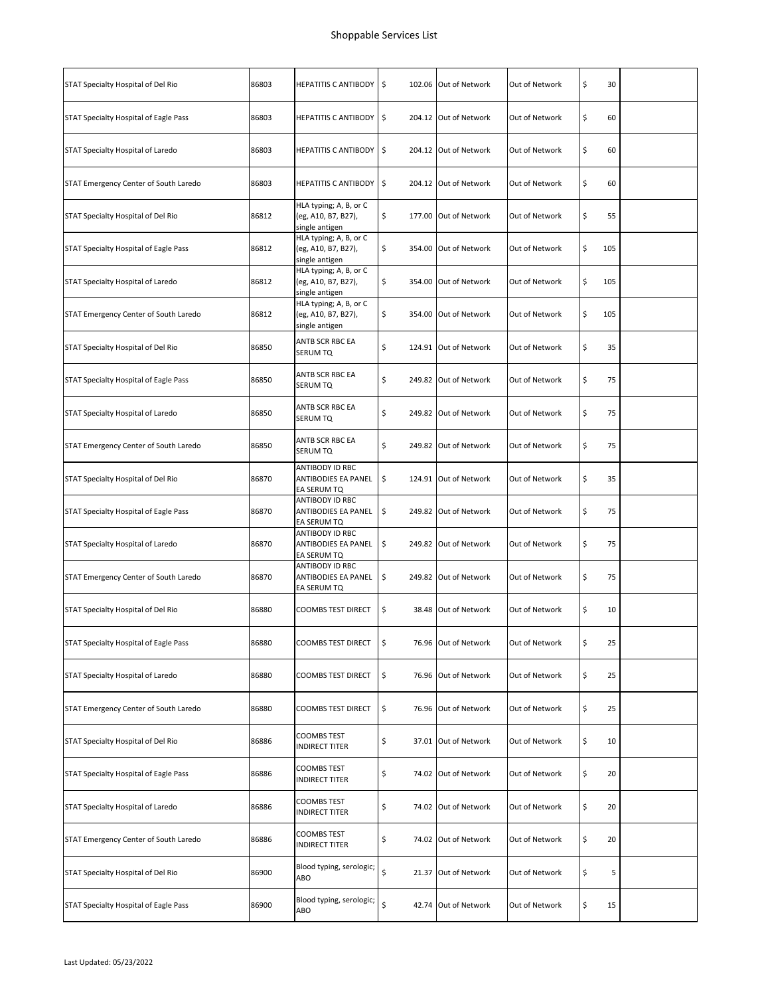| STAT Specialty Hospital of Del Rio    | 86803 | HEPATITIS C ANTIBODY 5                                          |     | 102.06 Out of Network | Out of Network | \$<br>30  |  |
|---------------------------------------|-------|-----------------------------------------------------------------|-----|-----------------------|----------------|-----------|--|
| STAT Specialty Hospital of Eagle Pass | 86803 | HEPATITIS C ANTIBODY \$                                         |     | 204.12 Out of Network | Out of Network | \$<br>60  |  |
| STAT Specialty Hospital of Laredo     | 86803 | <b>HEPATITIS C ANTIBODY</b>                                     | \$  | 204.12 Out of Network | Out of Network | \$<br>60  |  |
| STAT Emergency Center of South Laredo | 86803 | <b>HEPATITIS C ANTIBODY</b>                                     | ∣\$ | 204.12 Out of Network | Out of Network | \$<br>60  |  |
| STAT Specialty Hospital of Del Rio    | 86812 | HLA typing; A, B, or C<br>(eg, A10, B7, B27),<br>single antigen | \$  | 177.00 Out of Network | Out of Network | \$<br>55  |  |
| STAT Specialty Hospital of Eagle Pass | 86812 | HLA typing; A, B, or C<br>(eg, A10, B7, B27),<br>single antigen | \$  | 354.00 Out of Network | Out of Network | \$<br>105 |  |
| STAT Specialty Hospital of Laredo     | 86812 | HLA typing; A, B, or C<br>(eg, A10, B7, B27),<br>single antigen | \$  | 354.00 Out of Network | Out of Network | \$<br>105 |  |
| STAT Emergency Center of South Laredo | 86812 | HLA typing; A, B, or C<br>(eg, A10, B7, B27),<br>single antigen | \$  | 354.00 Out of Network | Out of Network | \$<br>105 |  |
| STAT Specialty Hospital of Del Rio    | 86850 | ANTB SCR RBC EA<br>SERUM TQ                                     | \$  | 124.91 Out of Network | Out of Network | \$<br>35  |  |
| STAT Specialty Hospital of Eagle Pass | 86850 | ANTB SCR RBC EA<br>SERUM TQ                                     | \$  | 249.82 Out of Network | Out of Network | \$<br>75  |  |
| STAT Specialty Hospital of Laredo     | 86850 | ANTB SCR RBC EA<br>SERUM TQ                                     | \$  | 249.82 Out of Network | Out of Network | \$<br>75  |  |
| STAT Emergency Center of South Laredo | 86850 | ANTB SCR RBC EA<br>SERUM TQ                                     | \$  | 249.82 Out of Network | Out of Network | \$<br>75  |  |
| STAT Specialty Hospital of Del Rio    | 86870 | ANTIBODY ID RBC<br>ANTIBODIES EA PANEL<br>EA SERUM TQ           | \$  | 124.91 Out of Network | Out of Network | \$<br>35  |  |
| STAT Specialty Hospital of Eagle Pass | 86870 | ANTIBODY ID RBC<br>ANTIBODIES EA PANEL<br>EA SERUM TQ           | \$  | 249.82 Out of Network | Out of Network | \$<br>75  |  |
| STAT Specialty Hospital of Laredo     | 86870 | ANTIBODY ID RBC<br>ANTIBODIES EA PANEL<br>EA SERUM TQ           | \$  | 249.82 Out of Network | Out of Network | \$<br>75  |  |
| STAT Emergency Center of South Laredo | 86870 | ANTIBODY ID RBC<br>ANTIBODIES EA PANEL<br>EA SERUM TQ           | \$  | 249.82 Out of Network | Out of Network | \$<br>75  |  |
| STAT Specialty Hospital of Del Rio    | 86880 | <b>COOMBS TEST DIRECT</b>                                       | \$  | 38.48 Out of Network  | Out of Network | \$<br>10  |  |
| STAT Specialty Hospital of Eagle Pass | 86880 | COOMBS TEST DIRECT                                              | \$  | 76.96 Out of Network  | Out of Network | \$<br>25  |  |
| STAT Specialty Hospital of Laredo     | 86880 | COOMBS TEST DIRECT                                              | \$  | 76.96 Out of Network  | Out of Network | \$<br>25  |  |
| STAT Emergency Center of South Laredo | 86880 | COOMBS TEST DIRECT                                              | \$  | 76.96 Out of Network  | Out of Network | \$<br>25  |  |
| STAT Specialty Hospital of Del Rio    | 86886 | COOMBS TEST<br>INDIRECT TITER                                   | \$  | 37.01 Out of Network  | Out of Network | \$<br>10  |  |
| STAT Specialty Hospital of Eagle Pass | 86886 | COOMBS TEST<br>INDIRECT TITER                                   | \$  | 74.02 Out of Network  | Out of Network | \$<br>20  |  |
| STAT Specialty Hospital of Laredo     | 86886 | COOMBS TEST<br>INDIRECT TITER                                   | \$  | 74.02 Out of Network  | Out of Network | \$<br>20  |  |
| STAT Emergency Center of South Laredo | 86886 | COOMBS TEST<br>INDIRECT TITER                                   | \$  | 74.02 Out of Network  | Out of Network | \$<br>20  |  |
| STAT Specialty Hospital of Del Rio    | 86900 | Blood typing, serologic;<br>ABO                                 | \$  | 21.37 Out of Network  | Out of Network | \$<br>5   |  |
| STAT Specialty Hospital of Eagle Pass | 86900 | Blood typing, serologic;<br>ABO                                 | \$  | 42.74 Out of Network  | Out of Network | \$<br>15  |  |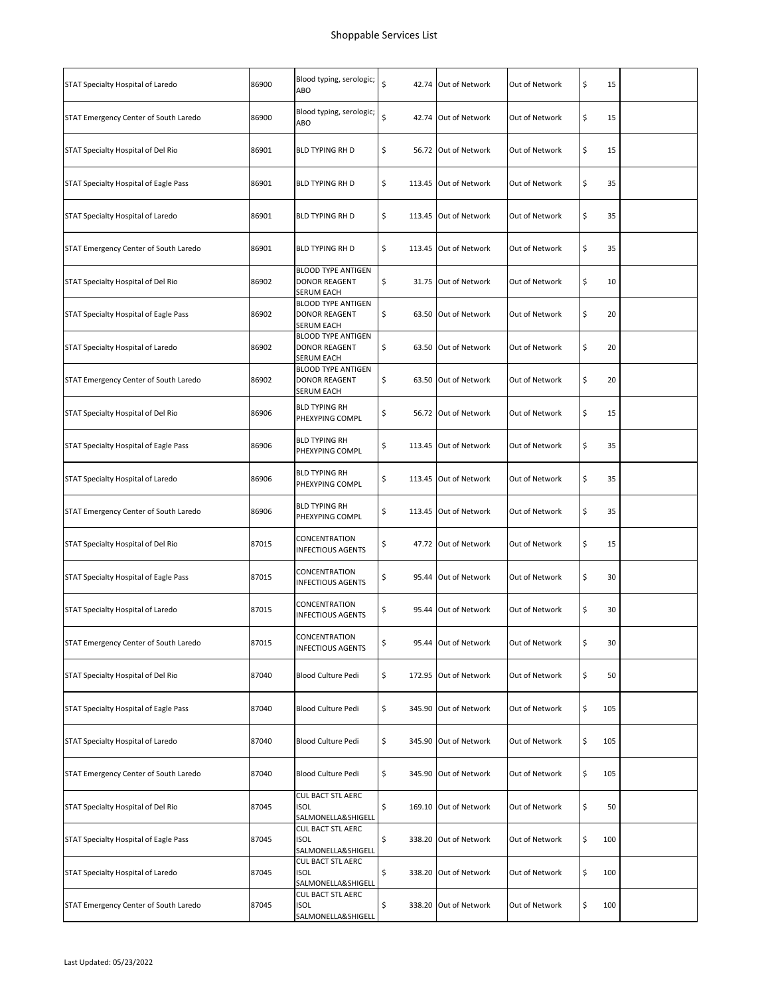| STAT Specialty Hospital of Laredo     | 86900 | Blood typing, serologic;<br>ABO                                        | \$<br>42.74 Out of Network  | Out of Network | \$<br>15  |  |
|---------------------------------------|-------|------------------------------------------------------------------------|-----------------------------|----------------|-----------|--|
| STAT Emergency Center of South Laredo | 86900 | Blood typing, serologic;<br>ABO                                        | \$<br>42.74 Out of Network  | Out of Network | \$<br>15  |  |
| STAT Specialty Hospital of Del Rio    | 86901 | <b>BLD TYPING RH D</b>                                                 | \$<br>56.72 Out of Network  | Out of Network | \$<br>15  |  |
| STAT Specialty Hospital of Eagle Pass | 86901 | <b>BLD TYPING RH D</b>                                                 | \$<br>113.45 Out of Network | Out of Network | \$<br>35  |  |
| STAT Specialty Hospital of Laredo     | 86901 | <b>BLD TYPING RH D</b>                                                 | \$<br>113.45 Out of Network | Out of Network | \$<br>35  |  |
| STAT Emergency Center of South Laredo | 86901 | <b>BLD TYPING RH D</b>                                                 | \$<br>113.45 Out of Network | Out of Network | \$<br>35  |  |
| STAT Specialty Hospital of Del Rio    | 86902 | <b>BLOOD TYPE ANTIGEN</b><br><b>DONOR REAGENT</b><br>SERUM EACH        | \$<br>31.75 Out of Network  | Out of Network | \$<br>10  |  |
| STAT Specialty Hospital of Eagle Pass | 86902 | <b>BLOOD TYPE ANTIGEN</b><br><b>DONOR REAGENT</b><br>SERUM EACH        | \$<br>63.50 Out of Network  | Out of Network | \$<br>20  |  |
| STAT Specialty Hospital of Laredo     | 86902 | <b>BLOOD TYPE ANTIGEN</b><br><b>DONOR REAGENT</b><br><b>SERUM EACH</b> | \$<br>63.50 Out of Network  | Out of Network | \$<br>20  |  |
| STAT Emergency Center of South Laredo | 86902 | <b>BLOOD TYPE ANTIGEN</b><br><b>DONOR REAGENT</b><br>SERUM EACH        | \$<br>63.50 Out of Network  | Out of Network | \$<br>20  |  |
| STAT Specialty Hospital of Del Rio    | 86906 | <b>BLD TYPING RH</b><br>PHEXYPING COMPL                                | \$<br>56.72 Out of Network  | Out of Network | \$<br>15  |  |
| STAT Specialty Hospital of Eagle Pass | 86906 | <b>BLD TYPING RH</b><br>PHEXYPING COMPL                                | \$<br>113.45 Out of Network | Out of Network | \$<br>35  |  |
| STAT Specialty Hospital of Laredo     | 86906 | <b>BLD TYPING RH</b><br>PHEXYPING COMPL                                | \$<br>113.45 Out of Network | Out of Network | \$<br>35  |  |
| STAT Emergency Center of South Laredo | 86906 | <b>BLD TYPING RH</b><br>PHEXYPING COMPL                                | \$<br>113.45 Out of Network | Out of Network | \$<br>35  |  |
| STAT Specialty Hospital of Del Rio    | 87015 | CONCENTRATION<br><b>INFECTIOUS AGENTS</b>                              | \$<br>47.72 Out of Network  | Out of Network | \$<br>15  |  |
| STAT Specialty Hospital of Eagle Pass | 87015 | CONCENTRATION<br><b>INFECTIOUS AGENTS</b>                              | \$<br>95.44 Out of Network  | Out of Network | \$<br>30  |  |
| STAT Specialty Hospital of Laredo     | 87015 | CONCENTRATION<br><b>INFECTIOUS AGENTS</b>                              | \$<br>95.44 Out of Network  | Out of Network | \$<br>30  |  |
| STAT Emergency Center of South Laredo | 87015 | CONCENTRATION<br><b>INFECTIOUS AGENTS</b>                              | \$<br>95.44 Out of Network  | Out of Network | \$<br>30  |  |
| STAT Specialty Hospital of Del Rio    | 87040 | Blood Culture Pedi                                                     | \$<br>172.95 Out of Network | Out of Network | \$<br>50  |  |
| STAT Specialty Hospital of Eagle Pass | 87040 | Blood Culture Pedi                                                     | \$<br>345.90 Out of Network | Out of Network | \$<br>105 |  |
| STAT Specialty Hospital of Laredo     | 87040 | Blood Culture Pedi                                                     | \$<br>345.90 Out of Network | Out of Network | \$<br>105 |  |
| STAT Emergency Center of South Laredo | 87040 | Blood Culture Pedi                                                     | \$<br>345.90 Out of Network | Out of Network | \$<br>105 |  |
| STAT Specialty Hospital of Del Rio    | 87045 | CUL BACT STL AERC<br><b>ISOL</b><br>SALMONELLA&SHIGELL                 | \$<br>169.10 Out of Network | Out of Network | \$<br>50  |  |
| STAT Specialty Hospital of Eagle Pass | 87045 | CUL BACT STL AERC<br><b>ISOL</b><br>SALMONELLA&SHIGELL                 | \$<br>338.20 Out of Network | Out of Network | \$<br>100 |  |
| STAT Specialty Hospital of Laredo     | 87045 | CUL BACT STL AERC<br>ISOL<br>SALMONELLA&SHIGELL                        | \$<br>338.20 Out of Network | Out of Network | \$<br>100 |  |
| STAT Emergency Center of South Laredo | 87045 | CUL BACT STL AERC<br><b>ISOL</b><br>SALMONELLA&SHIGELL                 | \$<br>338.20 Out of Network | Out of Network | \$<br>100 |  |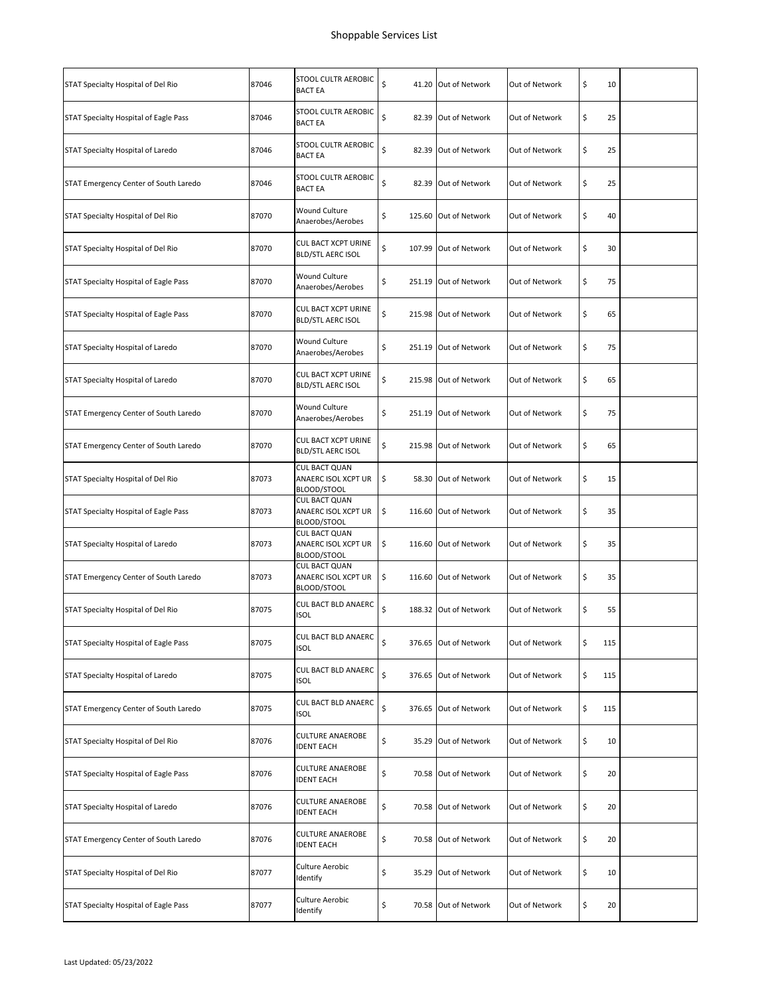| 87046 | <b>STOOL CULTR AEROBIC</b><br><b>BACT EA</b>               | \$           | Out of Network                                                                                                                                                                                                                                                                                                                                                                                                                                                                                                                                                                                                                                       | \$<br>10  |  |
|-------|------------------------------------------------------------|--------------|------------------------------------------------------------------------------------------------------------------------------------------------------------------------------------------------------------------------------------------------------------------------------------------------------------------------------------------------------------------------------------------------------------------------------------------------------------------------------------------------------------------------------------------------------------------------------------------------------------------------------------------------------|-----------|--|
| 87046 | STOOL CULTR AEROBIC<br><b>BACT EA</b>                      | \$           | Out of Network                                                                                                                                                                                                                                                                                                                                                                                                                                                                                                                                                                                                                                       | \$<br>25  |  |
| 87046 | STOOL CULTR AEROBIC<br><b>BACT EA</b>                      | \$           | Out of Network                                                                                                                                                                                                                                                                                                                                                                                                                                                                                                                                                                                                                                       | \$<br>25  |  |
| 87046 | STOOL CULTR AEROBIC<br><b>BACT EA</b>                      | \$           | Out of Network                                                                                                                                                                                                                                                                                                                                                                                                                                                                                                                                                                                                                                       | \$<br>25  |  |
| 87070 | <b>Wound Culture</b><br>Anaerobes/Aerobes                  | \$           | Out of Network                                                                                                                                                                                                                                                                                                                                                                                                                                                                                                                                                                                                                                       | \$<br>40  |  |
| 87070 | CUL BACT XCPT URINE<br><b>BLD/STL AERC ISOL</b>            | \$           | Out of Network                                                                                                                                                                                                                                                                                                                                                                                                                                                                                                                                                                                                                                       | \$<br>30  |  |
| 87070 | <b>Wound Culture</b><br>Anaerobes/Aerobes                  | \$           | Out of Network                                                                                                                                                                                                                                                                                                                                                                                                                                                                                                                                                                                                                                       | \$<br>75  |  |
| 87070 | <b>CUL BACT XCPT URINE</b><br><b>BLD/STL AERC ISOL</b>     | \$           | Out of Network                                                                                                                                                                                                                                                                                                                                                                                                                                                                                                                                                                                                                                       | \$<br>65  |  |
| 87070 | Wound Culture<br>Anaerobes/Aerobes                         | \$           | Out of Network                                                                                                                                                                                                                                                                                                                                                                                                                                                                                                                                                                                                                                       | \$<br>75  |  |
| 87070 | <b>CUL BACT XCPT URINE</b><br><b>BLD/STL AERC ISOL</b>     | \$           | Out of Network                                                                                                                                                                                                                                                                                                                                                                                                                                                                                                                                                                                                                                       | \$<br>65  |  |
| 87070 | <b>Wound Culture</b><br>Anaerobes/Aerobes                  | \$           | Out of Network                                                                                                                                                                                                                                                                                                                                                                                                                                                                                                                                                                                                                                       | \$<br>75  |  |
| 87070 | <b>CUL BACT XCPT URINE</b><br><b>BLD/STL AERC ISOL</b>     | \$           | Out of Network                                                                                                                                                                                                                                                                                                                                                                                                                                                                                                                                                                                                                                       | \$<br>65  |  |
| 87073 | <b>CUL BACT QUAN</b><br>ANAERC ISOL XCPT UR<br>BLOOD/STOOL | \$           | Out of Network                                                                                                                                                                                                                                                                                                                                                                                                                                                                                                                                                                                                                                       | \$<br>15  |  |
| 87073 | <b>CUL BACT QUAN</b><br>ANAERC ISOL XCPT UR<br>BLOOD/STOOL | \$           | Out of Network                                                                                                                                                                                                                                                                                                                                                                                                                                                                                                                                                                                                                                       | \$<br>35  |  |
| 87073 | <b>CUL BACT QUAN</b><br>ANAERC ISOL XCPT UR<br>BLOOD/STOOL | \$           | Out of Network                                                                                                                                                                                                                                                                                                                                                                                                                                                                                                                                                                                                                                       | \$<br>35  |  |
| 87073 | <b>CUL BACT QUAN</b><br>ANAERC ISOL XCPT UR<br>BLOOD/STOOL | \$           | Out of Network                                                                                                                                                                                                                                                                                                                                                                                                                                                                                                                                                                                                                                       | \$<br>35  |  |
| 87075 | <b>CUL BACT BLD ANAERC</b><br><b>ISOL</b>                  | \$           | Out of Network                                                                                                                                                                                                                                                                                                                                                                                                                                                                                                                                                                                                                                       | \$<br>55  |  |
| 87075 | CUL BACT BLD ANAERC<br>isol                                | \$<br>376.65 | Out of Network                                                                                                                                                                                                                                                                                                                                                                                                                                                                                                                                                                                                                                       | \$<br>115 |  |
| 87075 | CUL BACT BLD ANAERC<br>ISOL                                | \$           | Out of Network                                                                                                                                                                                                                                                                                                                                                                                                                                                                                                                                                                                                                                       | \$<br>115 |  |
| 87075 | CUL BACT BLD ANAERC<br>ISOL                                | \$           | Out of Network                                                                                                                                                                                                                                                                                                                                                                                                                                                                                                                                                                                                                                       | \$<br>115 |  |
| 87076 | <b>CULTURE ANAEROBE</b><br><b>IDENT EACH</b>               | \$           | Out of Network                                                                                                                                                                                                                                                                                                                                                                                                                                                                                                                                                                                                                                       | \$<br>10  |  |
| 87076 | CULTURE ANAEROBE<br>IDENT EACH                             | \$           | Out of Network                                                                                                                                                                                                                                                                                                                                                                                                                                                                                                                                                                                                                                       | \$<br>20  |  |
| 87076 | CULTURE ANAEROBE<br><b>IDENT EACH</b>                      | \$           | Out of Network                                                                                                                                                                                                                                                                                                                                                                                                                                                                                                                                                                                                                                       | \$<br>20  |  |
| 87076 | <b>CULTURE ANAEROBE</b><br><b>IDENT EACH</b>               | \$           | Out of Network                                                                                                                                                                                                                                                                                                                                                                                                                                                                                                                                                                                                                                       | \$<br>20  |  |
| 87077 | Culture Aerobic<br>Identify                                | \$           | Out of Network                                                                                                                                                                                                                                                                                                                                                                                                                                                                                                                                                                                                                                       | \$<br>10  |  |
| 87077 | Culture Aerobic<br>Identify                                | \$           | Out of Network                                                                                                                                                                                                                                                                                                                                                                                                                                                                                                                                                                                                                                       | \$<br>20  |  |
|       |                                                            |              | 41.20 Out of Network<br>82.39 Out of Network<br>82.39 Out of Network<br>82.39 Out of Network<br>125.60 Out of Network<br>107.99 Out of Network<br>251.19 Out of Network<br>215.98 Out of Network<br>251.19 Out of Network<br>215.98 Out of Network<br>251.19 Out of Network<br>215.98 Out of Network<br>58.30 Out of Network<br>116.60 Out of Network<br>116.60 Out of Network<br>116.60 Out of Network<br>188.32 Out of Network<br>Out of Network<br>376.65 Out of Network<br>376.65 Out of Network<br>35.29 Out of Network<br>70.58 Out of Network<br>70.58 Out of Network<br>70.58 Out of Network<br>35.29 Out of Network<br>70.58 Out of Network |           |  |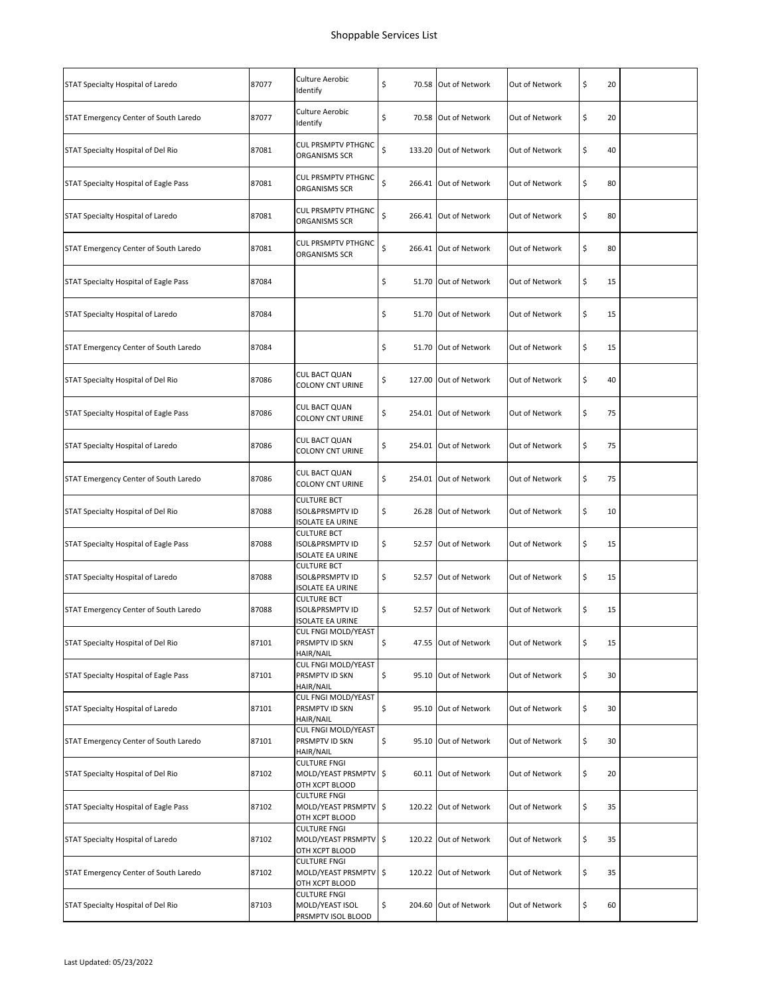| STAT Specialty Hospital of Laredo            | 87077 | Culture Aerobic<br>Identify                                                 | \$<br>70.58   | Out of Network        | Out of Network | \$<br>20 |  |
|----------------------------------------------|-------|-----------------------------------------------------------------------------|---------------|-----------------------|----------------|----------|--|
| STAT Emergency Center of South Laredo        | 87077 | Culture Aerobic<br>Identify                                                 | \$            | 70.58 Out of Network  | Out of Network | \$<br>20 |  |
| STAT Specialty Hospital of Del Rio           | 87081 | <b>CUL PRSMPTV PTHGNC</b><br>ORGANISMS SCR                                  | \$<br>133.20  | Out of Network        | Out of Network | \$<br>40 |  |
| STAT Specialty Hospital of Eagle Pass        | 87081 | <b>CUL PRSMPTV PTHGNC</b><br>ORGANISMS SCR                                  | \$<br>266.41  | Out of Network        | Out of Network | \$<br>80 |  |
| STAT Specialty Hospital of Laredo            | 87081 | <b>CUL PRSMPTV PTHGNC</b><br>ORGANISMS SCR                                  | \$<br>266.41  | Out of Network        | Out of Network | \$<br>80 |  |
| STAT Emergency Center of South Laredo        | 87081 | CUL PRSMPTV PTHGNC<br>ORGANISMS SCR                                         | \$<br>266.41  | Out of Network        | Out of Network | \$<br>80 |  |
| STAT Specialty Hospital of Eagle Pass        | 87084 |                                                                             | \$            | 51.70 Out of Network  | Out of Network | \$<br>15 |  |
| STAT Specialty Hospital of Laredo            | 87084 |                                                                             | \$            | 51.70 Out of Network  | Out of Network | \$<br>15 |  |
| STAT Emergency Center of South Laredo        | 87084 |                                                                             | \$            | 51.70 Out of Network  | Out of Network | \$<br>15 |  |
| STAT Specialty Hospital of Del Rio           | 87086 | <b>CUL BACT QUAN</b><br>COLONY CNT URINE                                    | \$<br>127.00  | Out of Network        | Out of Network | \$<br>40 |  |
| STAT Specialty Hospital of Eagle Pass        | 87086 | <b>CUL BACT QUAN</b><br><b>COLONY CNT URINE</b>                             | \$            | 254.01 Out of Network | Out of Network | \$<br>75 |  |
| STAT Specialty Hospital of Laredo            | 87086 | <b>CUL BACT QUAN</b><br><b>COLONY CNT URINE</b>                             | \$<br>254.01  | Out of Network        | Out of Network | \$<br>75 |  |
| STAT Emergency Center of South Laredo        | 87086 | <b>CUL BACT QUAN</b><br><b>COLONY CNT URINE</b>                             | \$<br>254.01  | Out of Network        | Out of Network | \$<br>75 |  |
| STAT Specialty Hospital of Del Rio           | 87088 | <b>CULTURE BCT</b><br><b>ISOL&amp;PRSMPTV ID</b><br><b>ISOLATE EA URINE</b> | \$            | 26.28 Out of Network  | Out of Network | \$<br>10 |  |
| STAT Specialty Hospital of Eagle Pass        | 87088 | <b>CULTURE BCT</b><br><b>ISOL&amp;PRSMPTV ID</b><br><b>ISOLATE EA URINE</b> | \$            | 52.57 Out of Network  | Out of Network | \$<br>15 |  |
| STAT Specialty Hospital of Laredo            | 87088 | <b>CULTURE BCT</b><br><b>ISOL&amp;PRSMPTV ID</b><br>ISOLATE EA URINE        | \$<br>52.57   | Out of Network        | Out of Network | \$<br>15 |  |
| STAT Emergency Center of South Laredo        | 87088 | <b>CULTURE BCT</b><br><b>ISOL&amp;PRSMPTV ID</b><br>ISOLATE EA URINE        | \$            | 52.57 Out of Network  | Out of Network | \$<br>15 |  |
| STAT Specialty Hospital of Del Rio           | 87101 | CUL FNGI MOLD/YEAST<br>PRSMPTV ID SKN<br>HAIR/NAIL                          | \$<br>47.55   | Out of Network        | Out of Network | \$<br>15 |  |
| <b>STAT Specialty Hospital of Eagle Pass</b> | 87101 | <b>CUL FNGI MOLD/YEAST</b><br>PRSMPTV ID SKN<br>HAIR/NAIL                   | \$            | 95.10 Out of Network  | Out of Network | \$<br>30 |  |
| STAT Specialty Hospital of Laredo            | 87101 | CUL FNGI MOLD/YEAST<br>PRSMPTV ID SKN<br>HAIR/NAIL                          | \$            | 95.10 Out of Network  | Out of Network | \$<br>30 |  |
| STAT Emergency Center of South Laredo        | 87101 | CUL FNGI MOLD/YEAST<br>PRSMPTV ID SKN<br>HAIR/NAIL                          | \$            | 95.10 Out of Network  | Out of Network | \$<br>30 |  |
| STAT Specialty Hospital of Del Rio           | 87102 | <b>CULTURE FNGI</b><br>MOLD/YEAST PRSMPTV<br>OTH XCPT BLOOD                 | $\frac{1}{2}$ | 60.11 Out of Network  | Out of Network | \$<br>20 |  |
| STAT Specialty Hospital of Eagle Pass        | 87102 | <b>CULTURE FNGI</b><br>MOLD/YEAST PRSMPTV<br>OTH XCPT BLOOD                 | $\frac{1}{2}$ | 120.22 Out of Network | Out of Network | \$<br>35 |  |
| STAT Specialty Hospital of Laredo            | 87102 | <b>CULTURE FNGI</b><br>MOLD/YEAST PRSMPTV<br>OTH XCPT BLOOD                 | $\frac{1}{2}$ | 120.22 Out of Network | Out of Network | \$<br>35 |  |
| STAT Emergency Center of South Laredo        | 87102 | <b>CULTURE FNGI</b><br>MOLD/YEAST PRSMPTV<br>OTH XCPT BLOOD                 | $\sqrt{5}$    | 120.22 Out of Network | Out of Network | \$<br>35 |  |
| STAT Specialty Hospital of Del Rio           | 87103 | <b>CULTURE FNGI</b><br>MOLD/YEAST ISOL<br>PRSMPTV ISOL BLOOD                | \$            | 204.60 Out of Network | Out of Network | \$<br>60 |  |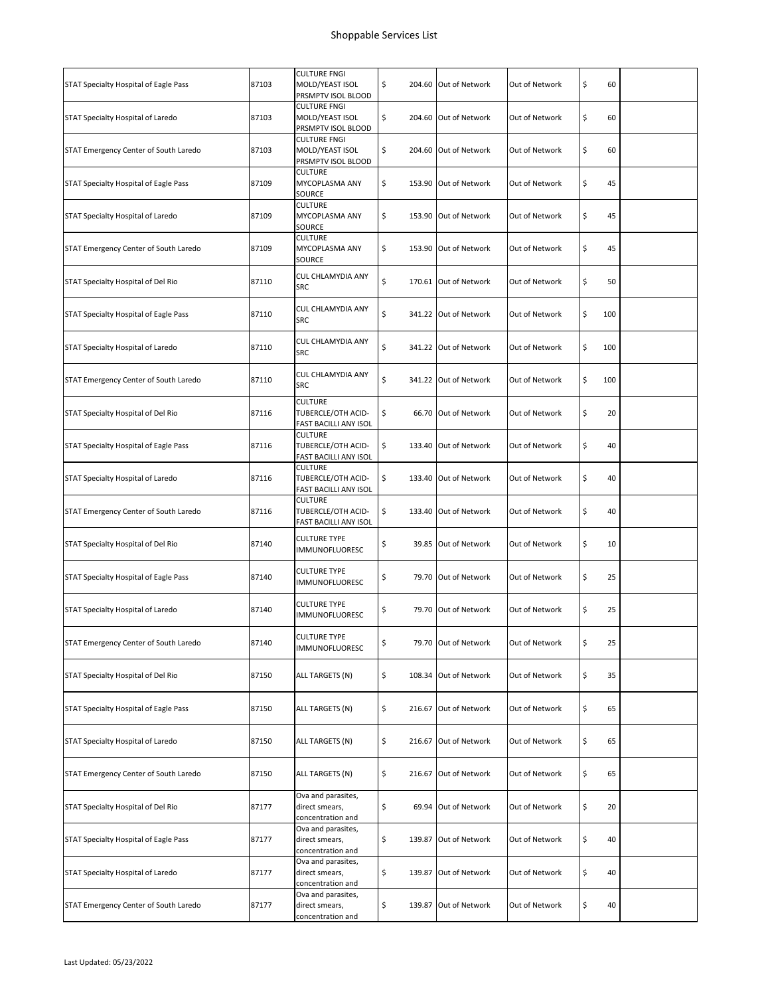|                                       |       | <b>CULTURE FNGI</b>                                           |                             |                |           |  |
|---------------------------------------|-------|---------------------------------------------------------------|-----------------------------|----------------|-----------|--|
| STAT Specialty Hospital of Eagle Pass | 87103 | MOLD/YEAST ISOL<br>PRSMPTV ISOL BLOOD                         | \$<br>204.60 Out of Network | Out of Network | \$<br>60  |  |
| STAT Specialty Hospital of Laredo     | 87103 | <b>CULTURE FNGI</b><br>MOLD/YEAST ISOL<br>PRSMPTV ISOL BLOOD  | \$<br>204.60 Out of Network | Out of Network | \$<br>60  |  |
| STAT Emergency Center of South Laredo | 87103 | <b>CULTURE FNGI</b><br>MOLD/YEAST ISOL<br>PRSMPTV ISOL BLOOD  | \$<br>204.60 Out of Network | Out of Network | \$<br>60  |  |
| STAT Specialty Hospital of Eagle Pass | 87109 | <b>CULTURE</b><br>MYCOPLASMA ANY<br>SOURCE                    | \$<br>153.90 Out of Network | Out of Network | \$<br>45  |  |
| STAT Specialty Hospital of Laredo     | 87109 | <b>CULTURE</b><br>MYCOPLASMA ANY<br>SOURCE                    | \$<br>153.90 Out of Network | Out of Network | \$<br>45  |  |
| STAT Emergency Center of South Laredo | 87109 | <b>CULTURE</b><br>MYCOPLASMA ANY<br>SOURCE                    | \$<br>153.90 Out of Network | Out of Network | \$<br>45  |  |
| STAT Specialty Hospital of Del Rio    | 87110 | CUL CHLAMYDIA ANY<br>SRC                                      | \$<br>170.61 Out of Network | Out of Network | \$<br>50  |  |
| STAT Specialty Hospital of Eagle Pass | 87110 | <b>CUL CHLAMYDIA ANY</b><br>SRC                               | \$<br>341.22 Out of Network | Out of Network | \$<br>100 |  |
| STAT Specialty Hospital of Laredo     | 87110 | CUL CHLAMYDIA ANY<br>SRC                                      | \$<br>341.22 Out of Network | Out of Network | \$<br>100 |  |
| STAT Emergency Center of South Laredo | 87110 | CUL CHLAMYDIA ANY<br>SRC                                      | \$<br>341.22 Out of Network | Out of Network | \$<br>100 |  |
| STAT Specialty Hospital of Del Rio    | 87116 | <b>CULTURE</b><br>TUBERCLE/OTH ACID-<br>FAST BACILLI ANY ISOL | \$<br>66.70 Out of Network  | Out of Network | \$<br>20  |  |
| STAT Specialty Hospital of Eagle Pass | 87116 | <b>CULTURE</b><br>TUBERCLE/OTH ACID-<br>FAST BACILLI ANY ISOL | \$<br>133.40 Out of Network | Out of Network | \$<br>40  |  |
| STAT Specialty Hospital of Laredo     | 87116 | <b>CULTURE</b><br>TUBERCLE/OTH ACID-<br>FAST BACILLI ANY ISOL | \$<br>133.40 Out of Network | Out of Network | \$<br>40  |  |
| STAT Emergency Center of South Laredo | 87116 | <b>CULTURE</b><br>TUBERCLE/OTH ACID-<br>FAST BACILLI ANY ISOL | \$<br>133.40 Out of Network | Out of Network | \$<br>40  |  |
| STAT Specialty Hospital of Del Rio    | 87140 | <b>CULTURE TYPE</b><br>IMMUNOFLUORESC                         | \$<br>39.85 Out of Network  | Out of Network | \$<br>10  |  |
| STAT Specialty Hospital of Eagle Pass | 87140 | <b>CULTURE TYPE</b><br><b>IMMUNOFLUORESC</b>                  | \$<br>79.70 Out of Network  | Out of Network | \$<br>25  |  |
| STAT Specialty Hospital of Laredo     | 87140 | <b>CULTURE TYPE</b><br><b>IMMUNOFLUORESC</b>                  | \$<br>79.70 Out of Network  | Out of Network | \$<br>25  |  |
| STAT Emergency Center of South Laredo | 87140 | <b>CULTURE TYPE</b><br><b>IMMUNOFLUORESC</b>                  | \$<br>79.70 Out of Network  | Out of Network | \$<br>25  |  |
| STAT Specialty Hospital of Del Rio    | 87150 | ALL TARGETS (N)                                               | \$<br>108.34 Out of Network | Out of Network | \$<br>35  |  |
| STAT Specialty Hospital of Eagle Pass | 87150 | ALL TARGETS (N)                                               | \$<br>216.67 Out of Network | Out of Network | \$<br>65  |  |
| STAT Specialty Hospital of Laredo     | 87150 | ALL TARGETS (N)                                               | \$<br>216.67 Out of Network | Out of Network | \$<br>65  |  |
| STAT Emergency Center of South Laredo | 87150 | ALL TARGETS (N)                                               | \$<br>216.67 Out of Network | Out of Network | \$<br>65  |  |
| STAT Specialty Hospital of Del Rio    | 87177 | Ova and parasites,<br>direct smears,<br>concentration and     | \$<br>69.94 Out of Network  | Out of Network | \$<br>20  |  |
| STAT Specialty Hospital of Eagle Pass | 87177 | Ova and parasites,<br>direct smears,<br>concentration and     | \$<br>139.87 Out of Network | Out of Network | \$<br>40  |  |
| STAT Specialty Hospital of Laredo     | 87177 | Ova and parasites,<br>direct smears,<br>concentration and     | \$<br>139.87 Out of Network | Out of Network | \$<br>40  |  |
| STAT Emergency Center of South Laredo | 87177 | Ova and parasites,<br>direct smears,<br>concentration and     | \$<br>139.87 Out of Network | Out of Network | \$<br>40  |  |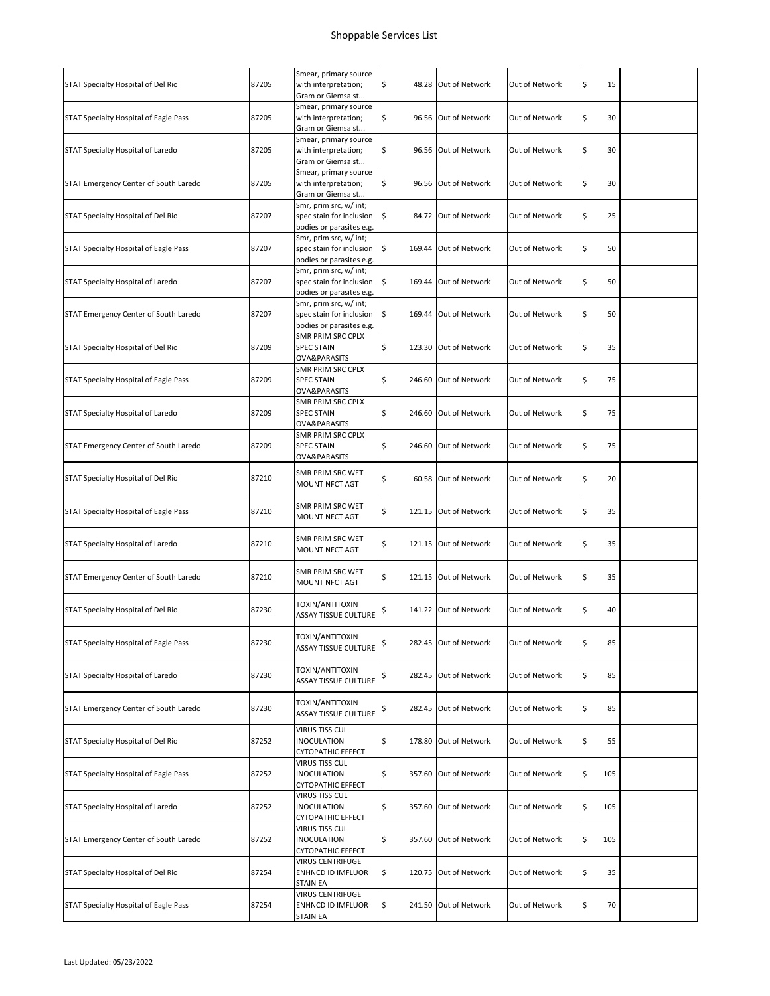| STAT Specialty Hospital of Del Rio    | 87205 | Smear, primary source<br>with interpretation;<br>Gram or Giemsa st             | \$<br>48.28 Out of Network  | Out of Network | \$<br>15  |  |
|---------------------------------------|-------|--------------------------------------------------------------------------------|-----------------------------|----------------|-----------|--|
| STAT Specialty Hospital of Eagle Pass | 87205 | Smear, primary source<br>with interpretation;<br>Gram or Giemsa st             | \$<br>96.56 Out of Network  | Out of Network | \$<br>30  |  |
| STAT Specialty Hospital of Laredo     | 87205 | Smear, primary source<br>with interpretation;<br>Gram or Giemsa st             | \$<br>96.56 Out of Network  | Out of Network | \$<br>30  |  |
| STAT Emergency Center of South Laredo | 87205 | Smear, primary source<br>with interpretation;<br>Gram or Giemsa st             | \$<br>96.56 Out of Network  | Out of Network | \$<br>30  |  |
| STAT Specialty Hospital of Del Rio    | 87207 | Smr, prim src, w/ int;<br>spec stain for inclusion<br>bodies or parasites e.g. | \$<br>84.72 Out of Network  | Out of Network | \$<br>25  |  |
| STAT Specialty Hospital of Eagle Pass | 87207 | Smr, prim src, w/ int;<br>spec stain for inclusion<br>bodies or parasites e.g. | \$<br>169.44 Out of Network | Out of Network | \$<br>50  |  |
| STAT Specialty Hospital of Laredo     | 87207 | Smr, prim src, w/ int;<br>spec stain for inclusion<br>bodies or parasites e.g. | \$<br>169.44 Out of Network | Out of Network | \$<br>50  |  |
| STAT Emergency Center of South Laredo | 87207 | Smr, prim src, w/ int;<br>spec stain for inclusion<br>bodies or parasites e.g. | \$<br>169.44 Out of Network | Out of Network | \$<br>50  |  |
| STAT Specialty Hospital of Del Rio    | 87209 | <b>SMR PRIM SRC CPLX</b><br><b>SPEC STAIN</b><br>OVA&PARASITS                  | \$<br>123.30 Out of Network | Out of Network | \$<br>35  |  |
| STAT Specialty Hospital of Eagle Pass | 87209 | SMR PRIM SRC CPLX<br><b>SPEC STAIN</b><br>OVA&PARASITS                         | \$<br>246.60 Out of Network | Out of Network | \$<br>75  |  |
| STAT Specialty Hospital of Laredo     | 87209 | SMR PRIM SRC CPLX<br><b>SPEC STAIN</b><br>OVA&PARASITS                         | \$<br>246.60 Out of Network | Out of Network | \$<br>75  |  |
| STAT Emergency Center of South Laredo | 87209 | SMR PRIM SRC CPLX<br><b>SPEC STAIN</b><br>OVA&PARASITS                         | \$<br>246.60 Out of Network | Out of Network | \$<br>75  |  |
| STAT Specialty Hospital of Del Rio    | 87210 | SMR PRIM SRC WET<br>MOUNT NFCT AGT                                             | \$<br>60.58 Out of Network  | Out of Network | \$<br>20  |  |
| STAT Specialty Hospital of Eagle Pass | 87210 | SMR PRIM SRC WET<br>MOUNT NFCT AGT                                             | \$<br>121.15 Out of Network | Out of Network | \$<br>35  |  |
| STAT Specialty Hospital of Laredo     | 87210 | SMR PRIM SRC WET<br>MOUNT NFCT AGT                                             | \$<br>121.15 Out of Network | Out of Network | \$<br>35  |  |
| STAT Emergency Center of South Laredo | 87210 | SMR PRIM SRC WET<br>MOUNT NFCT AGT                                             | \$<br>121.15 Out of Network | Out of Network | \$<br>35  |  |
| STAT Specialty Hospital of Del Rio    | 87230 | TOXIN/ANTITOXIN<br><b>ASSAY TISSUE CULTURE</b>                                 | \$<br>141.22 Out of Network | Out of Network | \$<br>40  |  |
| STAT Specialty Hospital of Eagle Pass | 87230 | TOXIN/ANTITOXIN<br><b>ASSAY TISSUE CULTURE</b>                                 | \$<br>282.45 Out of Network | Out of Network | \$<br>85  |  |
| STAT Specialty Hospital of Laredo     | 87230 | TOXIN/ANTITOXIN<br><b>ASSAY TISSUE CULTURE</b>                                 | \$<br>282.45 Out of Network | Out of Network | \$<br>85  |  |
| STAT Emergency Center of South Laredo | 87230 | TOXIN/ANTITOXIN<br>ASSAY TISSUE CULTURE                                        | \$<br>282.45 Out of Network | Out of Network | \$<br>85  |  |
| STAT Specialty Hospital of Del Rio    | 87252 | VIRUS TISS CUL<br><b>INOCULATION</b><br>CYTOPATHIC EFFECT                      | \$<br>178.80 Out of Network | Out of Network | \$<br>55  |  |
| STAT Specialty Hospital of Eagle Pass | 87252 | VIRUS TISS CUL<br>INOCULATION<br>CYTOPATHIC EFFECT                             | \$<br>357.60 Out of Network | Out of Network | \$<br>105 |  |
| STAT Specialty Hospital of Laredo     | 87252 | VIRUS TISS CUL<br>INOCULATION<br>CYTOPATHIC EFFECT                             | \$<br>357.60 Out of Network | Out of Network | \$<br>105 |  |
| STAT Emergency Center of South Laredo | 87252 | VIRUS TISS CUL<br>INOCULATION<br><b>CYTOPATHIC EFFECT</b>                      | \$<br>357.60 Out of Network | Out of Network | \$<br>105 |  |
| STAT Specialty Hospital of Del Rio    | 87254 | VIRUS CENTRIFUGE<br>ENHNCD ID IMFLUOR<br>STAIN EA                              | \$<br>120.75 Out of Network | Out of Network | \$<br>35  |  |
| STAT Specialty Hospital of Eagle Pass | 87254 | <b>VIRUS CENTRIFUGE</b><br>ENHNCD ID IMFLUOR<br>STAIN EA                       | \$<br>241.50 Out of Network | Out of Network | \$<br>70  |  |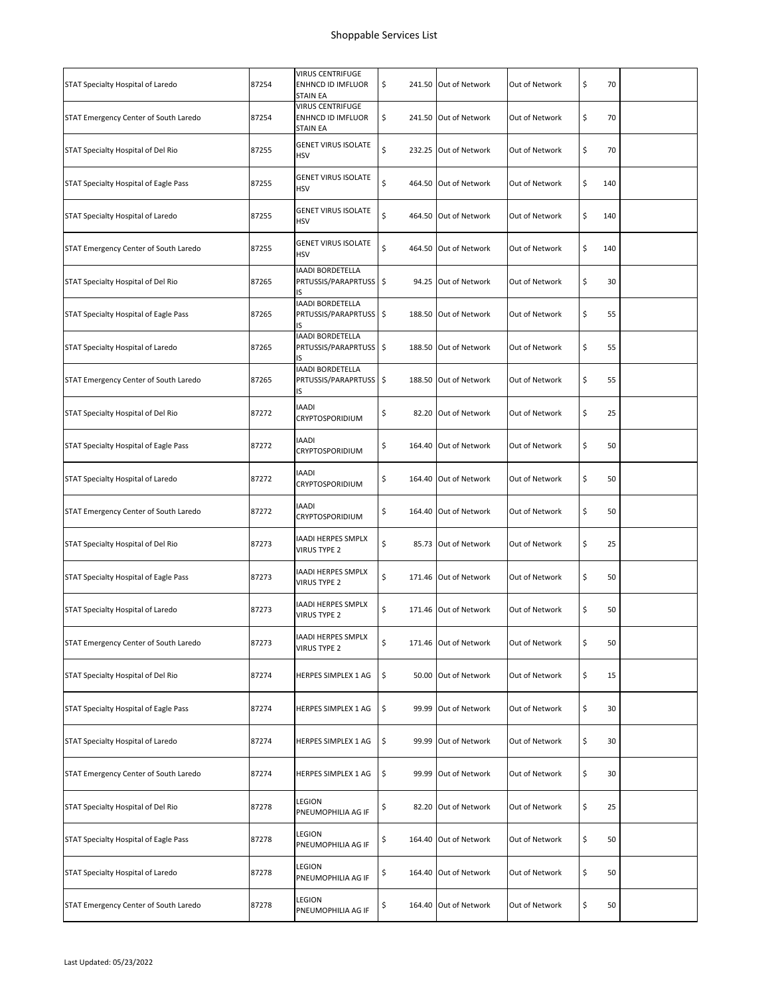|                                       |       | VIRUS CENTRIFUGE                                         |                             |                |           |  |
|---------------------------------------|-------|----------------------------------------------------------|-----------------------------|----------------|-----------|--|
| STAT Specialty Hospital of Laredo     | 87254 | ENHNCD ID IMFLUOR<br>STAIN EA                            | \$<br>241.50 Out of Network | Out of Network | \$<br>70  |  |
| STAT Emergency Center of South Laredo | 87254 | <b>VIRUS CENTRIFUGE</b><br>ENHNCD ID IMFLUOR<br>STAIN EA | \$<br>241.50 Out of Network | Out of Network | \$<br>70  |  |
| STAT Specialty Hospital of Del Rio    | 87255 | <b>GENET VIRUS ISOLATE</b><br><b>HSV</b>                 | \$<br>232.25 Out of Network | Out of Network | \$<br>70  |  |
| STAT Specialty Hospital of Eagle Pass | 87255 | <b>GENET VIRUS ISOLATE</b><br>HSV                        | \$<br>464.50 Out of Network | Out of Network | \$<br>140 |  |
| STAT Specialty Hospital of Laredo     | 87255 | <b>GENET VIRUS ISOLATE</b><br><b>HSV</b>                 | \$<br>464.50 Out of Network | Out of Network | \$<br>140 |  |
| STAT Emergency Center of South Laredo | 87255 | <b>GENET VIRUS ISOLATE</b><br>HSV                        | \$<br>464.50 Out of Network | Out of Network | \$<br>140 |  |
| STAT Specialty Hospital of Del Rio    | 87265 | <b>IAADI BORDETELLA</b><br>PRTUSSIS/PARAPRTUSS \$<br>IS  | 94.25 Out of Network        | Out of Network | \$<br>30  |  |
| STAT Specialty Hospital of Eagle Pass | 87265 | <b>IAADI BORDETELLA</b><br>PRTUSSIS/PARAPRTUSS \$<br>IS  | 188.50 Out of Network       | Out of Network | \$<br>55  |  |
| STAT Specialty Hospital of Laredo     | 87265 | <b>IAADI BORDETELLA</b><br>PRTUSSIS/PARAPRTUSS \$<br>IS  | 188.50 Out of Network       | Out of Network | \$<br>55  |  |
| STAT Emergency Center of South Laredo | 87265 | <b>IAADI BORDETELLA</b><br>PRTUSSIS/PARAPRTUSS \$<br>IS  | 188.50 Out of Network       | Out of Network | \$<br>55  |  |
| STAT Specialty Hospital of Del Rio    | 87272 | <b>IAADI</b><br>CRYPTOSPORIDIUM                          | \$<br>82.20 Out of Network  | Out of Network | \$<br>25  |  |
| STAT Specialty Hospital of Eagle Pass | 87272 | <b>IAADI</b><br>CRYPTOSPORIDIUM                          | \$<br>164.40 Out of Network | Out of Network | \$<br>50  |  |
| STAT Specialty Hospital of Laredo     | 87272 | <b>IAADI</b><br>CRYPTOSPORIDIUM                          | \$<br>164.40 Out of Network | Out of Network | \$<br>50  |  |
| STAT Emergency Center of South Laredo | 87272 | <b>IAADI</b><br>CRYPTOSPORIDIUM                          | \$<br>164.40 Out of Network | Out of Network | \$<br>50  |  |
| STAT Specialty Hospital of Del Rio    | 87273 | IAADI HERPES SMPLX<br>VIRUS TYPE 2                       | \$<br>85.73 Out of Network  | Out of Network | \$<br>25  |  |
| STAT Specialty Hospital of Eagle Pass | 87273 | IAADI HERPES SMPLX<br>VIRUS TYPE 2                       | \$<br>171.46 Out of Network | Out of Network | \$<br>50  |  |
| STAT Specialty Hospital of Laredo     | 87273 | IAADI HERPES SMPLX<br><b>VIRUS TYPE 2</b>                | \$<br>171.46 Out of Network | Out of Network | \$<br>50  |  |
| STAT Emergency Center of South Laredo | 87273 | IAADI HERPES SMPLX<br>VIRUS TYPE 2                       | \$<br>171.46 Out of Network | Out of Network | \$<br>50  |  |
| STAT Specialty Hospital of Del Rio    | 87274 | HERPES SIMPLEX 1 AG                                      | \$<br>50.00 Out of Network  | Out of Network | \$<br>15  |  |
| STAT Specialty Hospital of Eagle Pass | 87274 | HERPES SIMPLEX 1 AG                                      | \$<br>99.99 Out of Network  | Out of Network | \$<br>30  |  |
| STAT Specialty Hospital of Laredo     | 87274 | HERPES SIMPLEX 1 AG                                      | \$<br>99.99 Out of Network  | Out of Network | \$<br>30  |  |
| STAT Emergency Center of South Laredo | 87274 | HERPES SIMPLEX 1 AG                                      | \$<br>99.99 Out of Network  | Out of Network | \$<br>30  |  |
| STAT Specialty Hospital of Del Rio    | 87278 | LEGION<br>PNEUMOPHILIA AG IF                             | \$<br>82.20 Out of Network  | Out of Network | \$<br>25  |  |
| STAT Specialty Hospital of Eagle Pass | 87278 | LEGION<br>PNEUMOPHILIA AG IF                             | \$<br>164.40 Out of Network | Out of Network | \$<br>50  |  |
| STAT Specialty Hospital of Laredo     | 87278 | legion<br>PNEUMOPHILIA AG IF                             | \$<br>164.40 Out of Network | Out of Network | \$<br>50  |  |
| STAT Emergency Center of South Laredo | 87278 | LEGION<br>PNEUMOPHILIA AG IF                             | \$<br>164.40 Out of Network | Out of Network | \$<br>50  |  |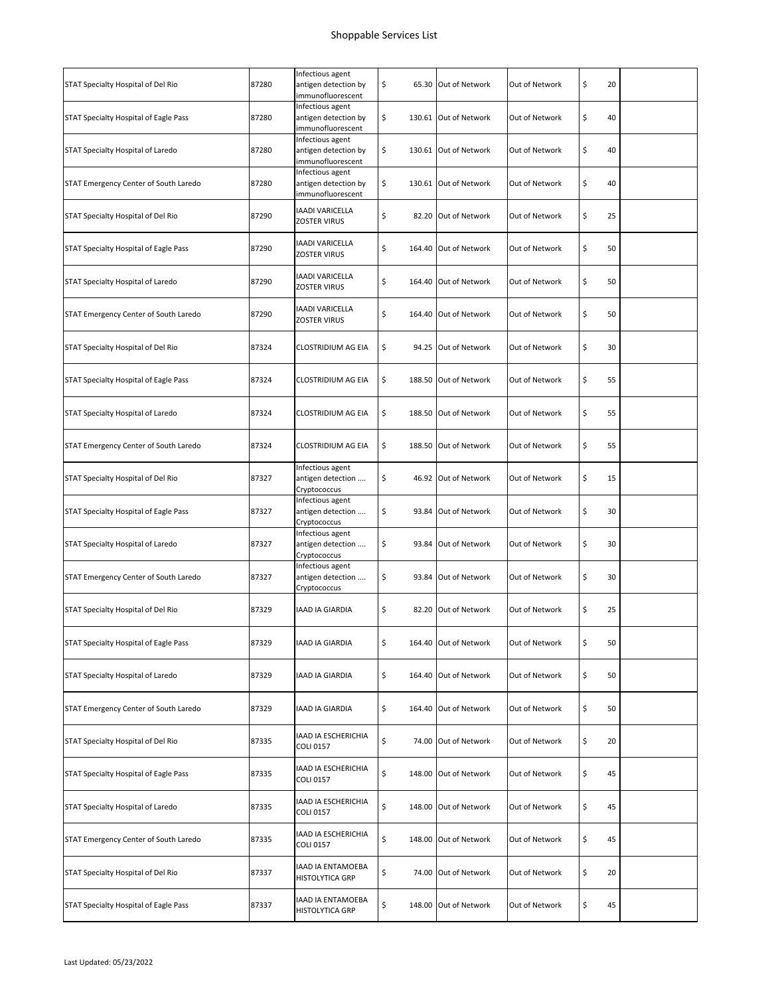| STAT Specialty Hospital of Del Rio    | 87280 | Infectious agent<br>antigen detection by<br>immunofluorescent | \$<br>65.30 Out of Network  | Out of Network | \$<br>20 |  |
|---------------------------------------|-------|---------------------------------------------------------------|-----------------------------|----------------|----------|--|
| STAT Specialty Hospital of Eagle Pass | 87280 | Infectious agent<br>antigen detection by<br>immunofluorescent | \$<br>130.61 Out of Network | Out of Network | \$<br>40 |  |
| STAT Specialty Hospital of Laredo     | 87280 | Infectious agent<br>antigen detection by<br>immunofluorescent | \$<br>130.61 Out of Network | Out of Network | \$<br>40 |  |
| STAT Emergency Center of South Laredo | 87280 | Infectious agent<br>antigen detection by<br>immunofluorescent | \$<br>130.61 Out of Network | Out of Network | \$<br>40 |  |
| STAT Specialty Hospital of Del Rio    | 87290 | IAADI VARICELLA<br>ZOSTER VIRUS                               | \$<br>82.20 Out of Network  | Out of Network | \$<br>25 |  |
| STAT Specialty Hospital of Eagle Pass | 87290 | IAADI VARICELLA<br>ZOSTER VIRUS                               | \$<br>164.40 Out of Network | Out of Network | \$<br>50 |  |
| STAT Specialty Hospital of Laredo     | 87290 | IAADI VARICELLA<br>ZOSTER VIRUS                               | \$<br>164.40 Out of Network | Out of Network | \$<br>50 |  |
| STAT Emergency Center of South Laredo | 87290 | IAADI VARICELLA<br>ZOSTER VIRUS                               | \$<br>164.40 Out of Network | Out of Network | \$<br>50 |  |
| STAT Specialty Hospital of Del Rio    | 87324 | CLOSTRIDIUM AG EIA                                            | \$<br>94.25 Out of Network  | Out of Network | \$<br>30 |  |
| STAT Specialty Hospital of Eagle Pass | 87324 | CLOSTRIDIUM AG EIA                                            | \$<br>188.50 Out of Network | Out of Network | \$<br>55 |  |
| STAT Specialty Hospital of Laredo     | 87324 | CLOSTRIDIUM AG EIA                                            | \$<br>188.50 Out of Network | Out of Network | \$<br>55 |  |
| STAT Emergency Center of South Laredo | 87324 | CLOSTRIDIUM AG EIA                                            | \$<br>188.50 Out of Network | Out of Network | \$<br>55 |  |
| STAT Specialty Hospital of Del Rio    | 87327 | Infectious agent<br>antigen detection<br>Cryptococcus         | \$<br>46.92 Out of Network  | Out of Network | \$<br>15 |  |
| STAT Specialty Hospital of Eagle Pass | 87327 | Infectious agent<br>antigen detection<br>Cryptococcus         | \$<br>93.84 Out of Network  | Out of Network | \$<br>30 |  |
| STAT Specialty Hospital of Laredo     | 87327 | Infectious agent<br>antigen detection<br>Cryptococcus         | \$<br>93.84 Out of Network  | Out of Network | \$<br>30 |  |
| STAT Emergency Center of South Laredo | 87327 | Infectious agent<br>antigen detection<br>Cryptococcus         | \$<br>93.84 Out of Network  | Out of Network | \$<br>30 |  |
| STAT Specialty Hospital of Del Rio    | 87329 | IAAD IA GIARDIA                                               | \$<br>82.20 Out of Network  | Out of Network | \$<br>25 |  |
| STAT Specialty Hospital of Eagle Pass | 87329 | IAAD IA GIARDIA                                               | \$<br>164.40 Out of Network | Out of Network | \$<br>50 |  |
| STAT Specialty Hospital of Laredo     | 87329 | IAAD IA GIARDIA                                               | \$<br>164.40 Out of Network | Out of Network | \$<br>50 |  |
| STAT Emergency Center of South Laredo | 87329 | IAAD IA GIARDIA                                               | \$<br>164.40 Out of Network | Out of Network | \$<br>50 |  |
| STAT Specialty Hospital of Del Rio    | 87335 | IAAD IA ESCHERICHIA<br><b>COLI 0157</b>                       | \$<br>74.00 Out of Network  | Out of Network | \$<br>20 |  |
| STAT Specialty Hospital of Eagle Pass | 87335 | IAAD IA ESCHERICHIA<br><b>COLI 0157</b>                       | \$<br>148.00 Out of Network | Out of Network | \$<br>45 |  |
| STAT Specialty Hospital of Laredo     | 87335 | IAAD IA ESCHERICHIA<br>COLI 0157                              | \$<br>148.00 Out of Network | Out of Network | \$<br>45 |  |
| STAT Emergency Center of South Laredo | 87335 | IAAD IA ESCHERICHIA<br><b>COLI 0157</b>                       | \$<br>148.00 Out of Network | Out of Network | \$<br>45 |  |
| STAT Specialty Hospital of Del Rio    | 87337 | IAAD IA ENTAMOEBA<br>HISTOLYTICA GRP                          | \$<br>74.00 Out of Network  | Out of Network | \$<br>20 |  |
| STAT Specialty Hospital of Eagle Pass | 87337 | IAAD IA ENTAMOEBA<br>HISTOLYTICA GRP                          | \$<br>148.00 Out of Network | Out of Network | \$<br>45 |  |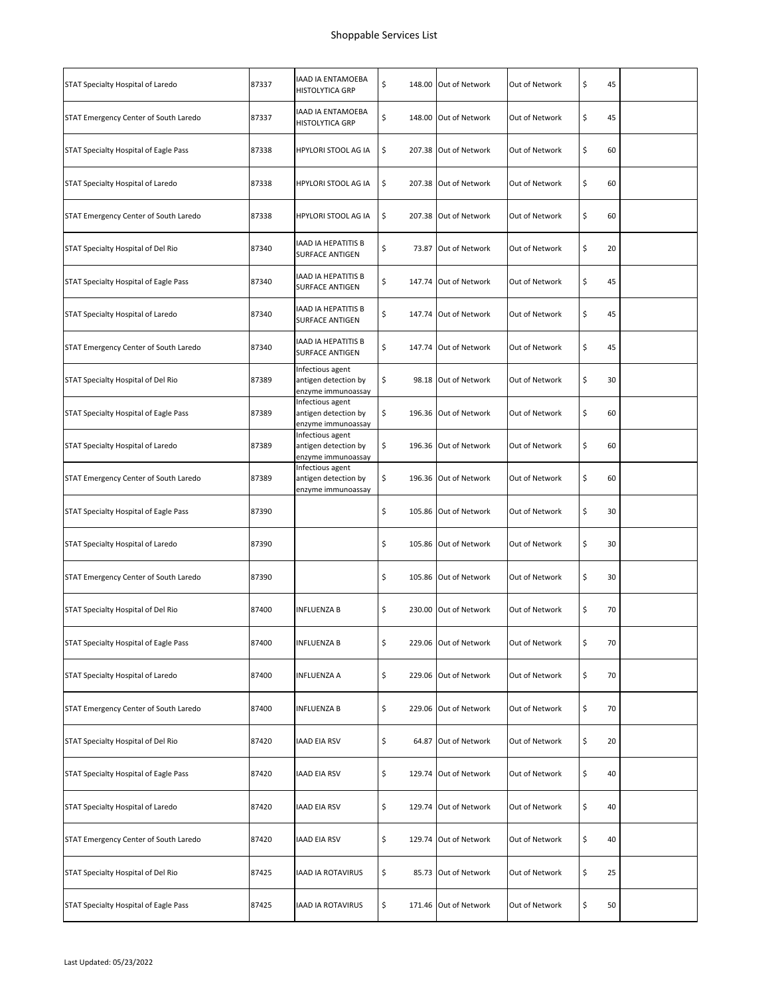| STAT Specialty Hospital of Laredo     | 87337 | IAAD IA ENTAMOEBA<br>HISTOLYTICA GRP                           | \$           | 148.00 Out of Network | Out of Network | \$<br>45 |  |
|---------------------------------------|-------|----------------------------------------------------------------|--------------|-----------------------|----------------|----------|--|
| STAT Emergency Center of South Laredo | 87337 | <b>IAAD IA ENTAMOEBA</b><br>HISTOLYTICA GRP                    | \$           | 148.00 Out of Network | Out of Network | \$<br>45 |  |
| STAT Specialty Hospital of Eagle Pass | 87338 | HPYLORI STOOL AG IA                                            | \$<br>207.38 | Out of Network        | Out of Network | \$<br>60 |  |
| STAT Specialty Hospital of Laredo     | 87338 | <b>HPYLORI STOOL AG IA</b>                                     | \$           | 207.38 Out of Network | Out of Network | \$<br>60 |  |
| STAT Emergency Center of South Laredo | 87338 | HPYLORI STOOL AG IA                                            | \$           | 207.38 Out of Network | Out of Network | \$<br>60 |  |
| STAT Specialty Hospital of Del Rio    | 87340 | IAAD IA HEPATITIS B<br>SURFACE ANTIGEN                         | \$<br>73.87  | Out of Network        | Out of Network | \$<br>20 |  |
| STAT Specialty Hospital of Eagle Pass | 87340 | IAAD IA HEPATITIS B<br>SURFACE ANTIGEN                         | \$           | 147.74 Out of Network | Out of Network | \$<br>45 |  |
| STAT Specialty Hospital of Laredo     | 87340 | <b>IAAD IA HEPATITIS B</b><br><b>SURFACE ANTIGEN</b>           | \$           | 147.74 Out of Network | Out of Network | \$<br>45 |  |
| STAT Emergency Center of South Laredo | 87340 | <b>IAAD IA HEPATITIS B</b><br><b>SURFACE ANTIGEN</b>           | \$           | 147.74 Out of Network | Out of Network | \$<br>45 |  |
| STAT Specialty Hospital of Del Rio    | 87389 | Infectious agent<br>antigen detection by<br>enzyme immunoassay | \$           | 98.18 Out of Network  | Out of Network | \$<br>30 |  |
| STAT Specialty Hospital of Eagle Pass | 87389 | Infectious agent<br>antigen detection by<br>enzyme immunoassay | \$           | 196.36 Out of Network | Out of Network | \$<br>60 |  |
| STAT Specialty Hospital of Laredo     | 87389 | Infectious agent<br>antigen detection by<br>enzyme immunoassay | \$           | 196.36 Out of Network | Out of Network | \$<br>60 |  |
| STAT Emergency Center of South Laredo | 87389 | Infectious agent<br>antigen detection by<br>enzyme immunoassay | \$           | 196.36 Out of Network | Out of Network | \$<br>60 |  |
| STAT Specialty Hospital of Eagle Pass | 87390 |                                                                | \$           | 105.86 Out of Network | Out of Network | \$<br>30 |  |
| STAT Specialty Hospital of Laredo     | 87390 |                                                                | \$           | 105.86 Out of Network | Out of Network | \$<br>30 |  |
| STAT Emergency Center of South Laredo | 87390 |                                                                | \$           | 105.86 Out of Network | Out of Network | \$<br>30 |  |
| STAT Specialty Hospital of Del Rio    | 87400 | <b>INFLUENZA B</b>                                             | \$           | 230.00 Out of Network | Out of Network | \$<br>70 |  |
| STAT Specialty Hospital of Eagle Pass | 87400 | <b>INFLUENZA B</b>                                             | \$           | 229.06 Out of Network | Out of Network | \$<br>70 |  |
| STAT Specialty Hospital of Laredo     | 87400 | <b>INFLUENZA A</b>                                             | \$           | 229.06 Out of Network | Out of Network | \$<br>70 |  |
| STAT Emergency Center of South Laredo | 87400 | INFLUENZA B                                                    | \$           | 229.06 Out of Network | Out of Network | \$<br>70 |  |
| STAT Specialty Hospital of Del Rio    | 87420 | <b>IAAD EIA RSV</b>                                            | \$           | 64.87 Out of Network  | Out of Network | \$<br>20 |  |
| STAT Specialty Hospital of Eagle Pass | 87420 | <b>IAAD EIA RSV</b>                                            | \$           | 129.74 Out of Network | Out of Network | \$<br>40 |  |
| STAT Specialty Hospital of Laredo     | 87420 | <b>IAAD EIA RSV</b>                                            | \$           | 129.74 Out of Network | Out of Network | \$<br>40 |  |
| STAT Emergency Center of South Laredo | 87420 | <b>IAAD EIA RSV</b>                                            | \$           | 129.74 Out of Network | Out of Network | \$<br>40 |  |
| STAT Specialty Hospital of Del Rio    | 87425 | <b>IAAD IA ROTAVIRUS</b>                                       | \$           | 85.73 Out of Network  | Out of Network | \$<br>25 |  |
| STAT Specialty Hospital of Eagle Pass | 87425 | IAAD IA ROTAVIRUS                                              | \$           | 171.46 Out of Network | Out of Network | \$<br>50 |  |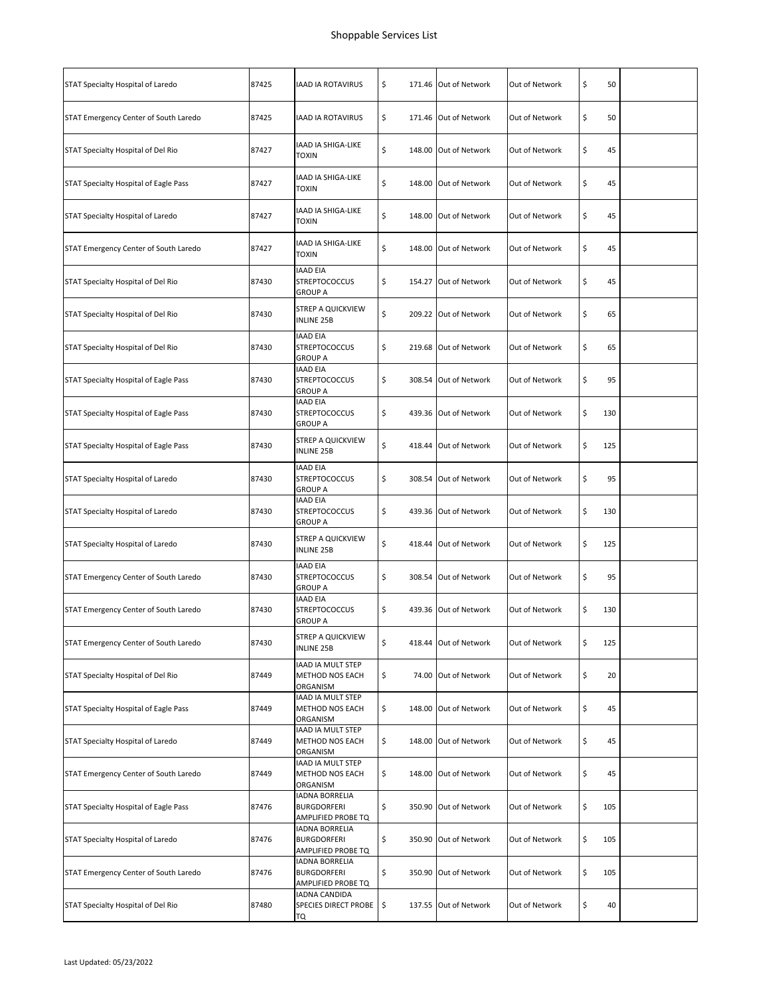| STAT Specialty Hospital of Laredo     | 87425 | <b>IAAD IA ROTAVIRUS</b>                                          | \$           | 171.46 Out of Network | Out of Network | \$<br>50  |  |
|---------------------------------------|-------|-------------------------------------------------------------------|--------------|-----------------------|----------------|-----------|--|
| STAT Emergency Center of South Laredo | 87425 | <b>IAAD IA ROTAVIRUS</b>                                          | \$           | 171.46 Out of Network | Out of Network | \$<br>50  |  |
| STAT Specialty Hospital of Del Rio    | 87427 | IAAD IA SHIGA-LIKE<br><b>TOXIN</b>                                | \$           | 148.00 Out of Network | Out of Network | \$<br>45  |  |
| STAT Specialty Hospital of Eagle Pass | 87427 | IAAD IA SHIGA-LIKE<br><b>TOXIN</b>                                | \$           | 148.00 Out of Network | Out of Network | \$<br>45  |  |
| STAT Specialty Hospital of Laredo     | 87427 | IAAD IA SHIGA-LIKE<br><b>TOXIN</b>                                | \$           | 148.00 Out of Network | Out of Network | \$<br>45  |  |
| STAT Emergency Center of South Laredo | 87427 | IAAD IA SHIGA-LIKE<br>TOXIN                                       | \$<br>148.00 | Out of Network        | Out of Network | \$<br>45  |  |
| STAT Specialty Hospital of Del Rio    | 87430 | <b>IAAD EIA</b><br><b>STREPTOCOCCUS</b><br><b>GROUP A</b>         | \$           | 154.27 Out of Network | Out of Network | \$<br>45  |  |
| STAT Specialty Hospital of Del Rio    | 87430 | <b>STREP A QUICKVIEW</b><br><b>INLINE 25B</b>                     | \$           | 209.22 Out of Network | Out of Network | \$<br>65  |  |
| STAT Specialty Hospital of Del Rio    | 87430 | <b>IAAD EIA</b><br><b>STREPTOCOCCUS</b><br>GROUP A                | \$           | 219.68 Out of Network | Out of Network | \$<br>65  |  |
| STAT Specialty Hospital of Eagle Pass | 87430 | <b>IAAD EIA</b><br><b>STREPTOCOCCUS</b><br><b>GROUP A</b>         | \$           | 308.54 Out of Network | Out of Network | \$<br>95  |  |
| STAT Specialty Hospital of Eagle Pass | 87430 | <b>IAAD EIA</b><br><b>STREPTOCOCCUS</b><br>GROUP A                | \$           | 439.36 Out of Network | Out of Network | \$<br>130 |  |
| STAT Specialty Hospital of Eagle Pass | 87430 | <b>STREP A QUICKVIEW</b><br><b>INLINE 25B</b>                     | \$           | 418.44 Out of Network | Out of Network | \$<br>125 |  |
| STAT Specialty Hospital of Laredo     | 87430 | IAAD EIA<br><b>STREPTOCOCCUS</b><br><b>GROUP A</b>                | \$           | 308.54 Out of Network | Out of Network | \$<br>95  |  |
| STAT Specialty Hospital of Laredo     | 87430 | <b>IAAD EIA</b><br><b>STREPTOCOCCUS</b><br><b>GROUP A</b>         | \$           | 439.36 Out of Network | Out of Network | \$<br>130 |  |
| STAT Specialty Hospital of Laredo     | 87430 | <b>STREP A QUICKVIEW</b><br><b>INLINE 25B</b>                     | \$           | 418.44 Out of Network | Out of Network | \$<br>125 |  |
| STAT Emergency Center of South Laredo | 87430 | <b>IAAD EIA</b><br><b>STREPTOCOCCUS</b><br>GROUP A                | \$           | 308.54 Out of Network | Out of Network | \$<br>95  |  |
| STAT Emergency Center of South Laredo | 87430 | <b>IAAD EIA</b><br><b>STREPTOCOCCUS</b><br><b>GROUP A</b>         | \$           | 439.36 Out of Network | Out of Network | \$<br>130 |  |
| STAT Emergency Center of South Laredo | 87430 | <b>STREP A QUICKVIEW</b><br><b>INLINE 25B</b>                     | \$           | 418.44 Out of Network | Out of Network | \$<br>125 |  |
| STAT Specialty Hospital of Del Rio    | 87449 | <b>IAAD IA MULT STEP</b><br>METHOD NOS EACH<br>ORGANISM           | \$           | 74.00 Out of Network  | Out of Network | \$<br>20  |  |
| STAT Specialty Hospital of Eagle Pass | 87449 | IAAD IA MULT STEP<br>METHOD NOS EACH<br>ORGANISM                  | \$           | 148.00 Out of Network | Out of Network | \$<br>45  |  |
| STAT Specialty Hospital of Laredo     | 87449 | IAAD IA MULT STEP<br>METHOD NOS EACH<br>ORGANISM                  | \$           | 148.00 Out of Network | Out of Network | \$<br>45  |  |
| STAT Emergency Center of South Laredo | 87449 | IAAD IA MULT STEP<br>METHOD NOS EACH<br>ORGANISM                  | \$           | 148.00 Out of Network | Out of Network | \$<br>45  |  |
| STAT Specialty Hospital of Eagle Pass | 87476 | <b>IADNA BORRELIA</b><br><b>BURGDORFERI</b><br>AMPLIFIED PROBE TQ | \$           | 350.90 Out of Network | Out of Network | \$<br>105 |  |
| STAT Specialty Hospital of Laredo     | 87476 | <b>IADNA BORRELIA</b><br><b>BURGDORFERI</b><br>AMPLIFIED PROBE TQ | \$           | 350.90 Out of Network | Out of Network | \$<br>105 |  |
| STAT Emergency Center of South Laredo | 87476 | <b>IADNA BORRELIA</b><br><b>BURGDORFERI</b><br>AMPLIFIED PROBE TQ | \$           | 350.90 Out of Network | Out of Network | \$<br>105 |  |
| STAT Specialty Hospital of Del Rio    | 87480 | <b>IADNA CANDIDA</b><br>SPECIES DIRECT PROBE<br>TQ                | \$           | 137.55 Out of Network | Out of Network | \$<br>40  |  |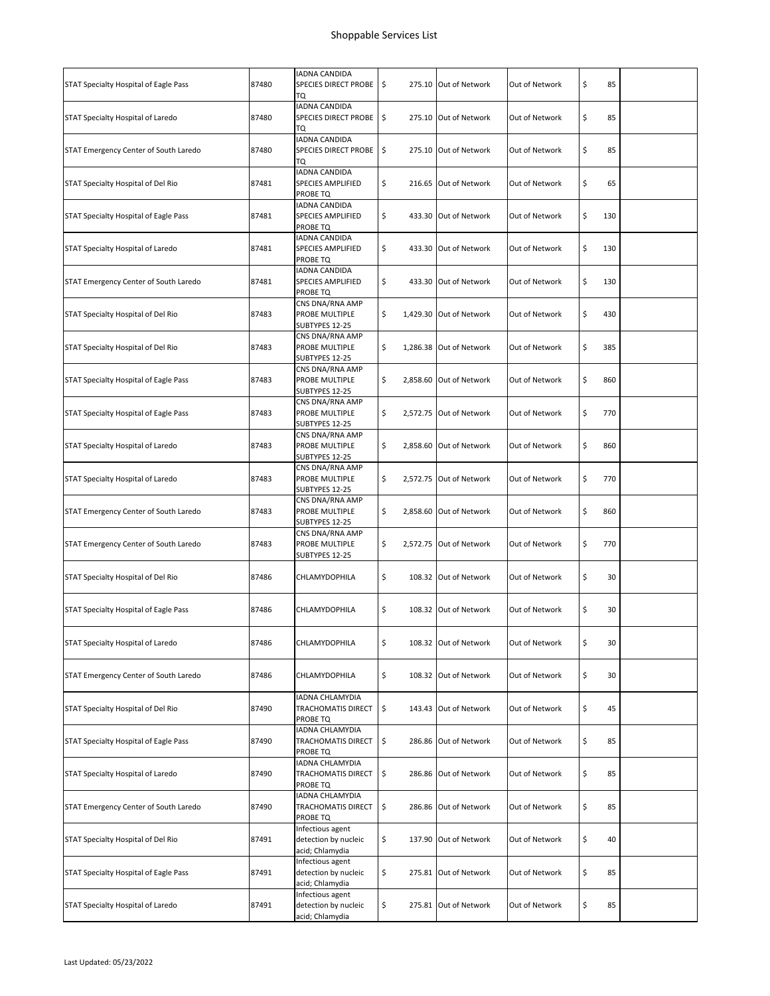| STAT Specialty Hospital of Eagle Pass | 87480 | <b>IADNA CANDIDA</b><br>SPECIES DIRECT PROBE<br>TQ          | \$           | 275.10 Out of Network   | Out of Network | \$<br>85     |  |
|---------------------------------------|-------|-------------------------------------------------------------|--------------|-------------------------|----------------|--------------|--|
| STAT Specialty Hospital of Laredo     | 87480 | <b>IADNA CANDIDA</b><br>SPECIES DIRECT PROBE<br>TQ          | \$           | 275.10 Out of Network   | Out of Network | \$<br>85     |  |
| STAT Emergency Center of South Laredo | 87480 | <b>IADNA CANDIDA</b><br>SPECIES DIRECT PROBE<br>TQ          | \$           | 275.10 Out of Network   | Out of Network | \$<br>85     |  |
| STAT Specialty Hospital of Del Rio    | 87481 | IADNA CANDIDA<br>SPECIES AMPLIFIED<br>PROBE TQ              | \$           | 216.65 Out of Network   | Out of Network | \$<br>65     |  |
| STAT Specialty Hospital of Eagle Pass | 87481 | IADNA CANDIDA<br>SPECIES AMPLIFIED<br>PROBE TQ              | \$           | 433.30 Out of Network   | Out of Network | \$<br>130    |  |
| STAT Specialty Hospital of Laredo     | 87481 | IADNA CANDIDA<br><b>SPECIES AMPLIFIED</b><br>PROBE TQ       | \$           | 433.30 Out of Network   | Out of Network | \$<br>130    |  |
| STAT Emergency Center of South Laredo | 87481 | IADNA CANDIDA<br>SPECIES AMPLIFIED<br>PROBE TQ              | \$           | 433.30 Out of Network   | Out of Network | \$<br>130    |  |
| STAT Specialty Hospital of Del Rio    | 87483 | CNS DNA/RNA AMP<br>PROBE MULTIPLE<br>SUBTYPES 12-25         | \$           | 1,429.30 Out of Network | Out of Network | \$<br>430    |  |
| STAT Specialty Hospital of Del Rio    | 87483 | CNS DNA/RNA AMP<br>PROBE MULTIPLE<br>SUBTYPES 12-25         | \$           | 1,286.38 Out of Network | Out of Network | \$<br>385    |  |
| STAT Specialty Hospital of Eagle Pass | 87483 | CNS DNA/RNA AMP<br>PROBE MULTIPLE<br>SUBTYPES 12-25         | \$           | 2,858.60 Out of Network | Out of Network | \$<br>860    |  |
| STAT Specialty Hospital of Eagle Pass | 87483 | CNS DNA/RNA AMP<br>PROBE MULTIPLE<br>SUBTYPES 12-25         | \$           | 2,572.75 Out of Network | Out of Network | \$<br>770    |  |
| STAT Specialty Hospital of Laredo     | 87483 | CNS DNA/RNA AMP<br>PROBE MULTIPLE<br>SUBTYPES 12-25         | \$           | 2,858.60 Out of Network | Out of Network | \$<br>860    |  |
| STAT Specialty Hospital of Laredo     | 87483 | CNS DNA/RNA AMP<br>PROBE MULTIPLE<br>SUBTYPES 12-25         | \$           | 2,572.75 Out of Network | Out of Network | \$<br>770    |  |
| STAT Emergency Center of South Laredo | 87483 | CNS DNA/RNA AMP<br>PROBE MULTIPLE<br>SUBTYPES 12-25         | \$           | 2,858.60 Out of Network | Out of Network | \$<br>860    |  |
| STAT Emergency Center of South Laredo | 87483 | CNS DNA/RNA AMP<br>PROBE MULTIPLE<br>SUBTYPES 12-25         | \$           | 2,572.75 Out of Network | Out of Network | \$<br>770    |  |
| STAT Specialty Hospital of Del Rio    | 87486 | <b>CHLAMYDOPHILA</b>                                        | \$           | 108.32 Out of Network   | Out of Network | \$<br>30     |  |
| STAT Specialty Hospital of Eagle Pass | 87486 | <b>CHLAMYDOPHILA</b>                                        | \$           | 108.32 Out of Network   | Out of Network | \$<br>30     |  |
| STAT Specialty Hospital of Laredo     | 87486 | CHLAMYDOPHILA                                               | \$           | 108.32 Out of Network   | Out of Network | \$<br>$30\,$ |  |
| STAT Emergency Center of South Laredo | 87486 | CHLAMYDOPHILA                                               | \$           | 108.32 Out of Network   | Out of Network | \$<br>30     |  |
| STAT Specialty Hospital of Del Rio    | 87490 | IADNA CHLAMYDIA<br>TRACHOMATIS DIRECT<br>PROBE TQ           | \$           | 143.43 Out of Network   | Out of Network | \$<br>45     |  |
| STAT Specialty Hospital of Eagle Pass | 87490 | <b>IADNA CHLAMYDIA</b><br>TRACHOMATIS DIRECT<br>PROBE TQ    | \$           | 286.86 Out of Network   | Out of Network | \$<br>85     |  |
| STAT Specialty Hospital of Laredo     | 87490 | <b>IADNA CHLAMYDIA</b><br>TRACHOMATIS DIRECT<br>PROBE TQ    | \$           | 286.86 Out of Network   | Out of Network | \$<br>85     |  |
| STAT Emergency Center of South Laredo | 87490 | IADNA CHLAMYDIA<br>TRACHOMATIS DIRECT<br>PROBE TQ           | \$<br>286.86 | Out of Network          | Out of Network | \$<br>85     |  |
| STAT Specialty Hospital of Del Rio    | 87491 | Infectious agent<br>detection by nucleic<br>acid; Chlamydia | \$           | 137.90 Out of Network   | Out of Network | \$<br>40     |  |
| STAT Specialty Hospital of Eagle Pass | 87491 | Infectious agent<br>detection by nucleic<br>acid; Chlamydia | \$           | 275.81 Out of Network   | Out of Network | \$<br>85     |  |
| STAT Specialty Hospital of Laredo     | 87491 | Infectious agent<br>detection by nucleic<br>acid; Chlamydia | \$           | 275.81 Out of Network   | Out of Network | \$<br>85     |  |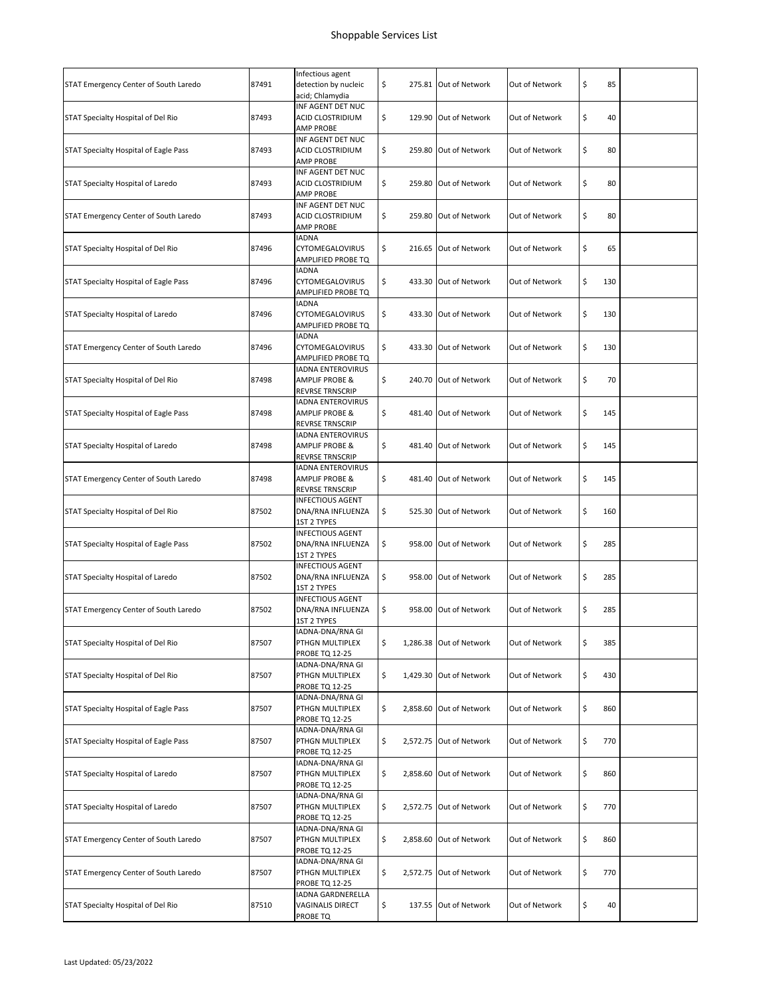| STAT Emergency Center of South Laredo | 87491 | Infectious agent<br>detection by nucleic<br>acid; Chlamydia                     | \$ | 275.81 Out of Network   | Out of Network | \$<br>85  |  |
|---------------------------------------|-------|---------------------------------------------------------------------------------|----|-------------------------|----------------|-----------|--|
| STAT Specialty Hospital of Del Rio    | 87493 | INF AGENT DET NUC<br>ACID CLOSTRIDIUM<br><b>AMP PROBE</b>                       | \$ | 129.90 Out of Network   | Out of Network | \$<br>40  |  |
| STAT Specialty Hospital of Eagle Pass | 87493 | INF AGENT DET NUC<br>ACID CLOSTRIDIUM<br><b>AMP PROBE</b>                       | \$ | 259.80 Out of Network   | Out of Network | \$<br>80  |  |
| STAT Specialty Hospital of Laredo     | 87493 | INF AGENT DET NUC<br>ACID CLOSTRIDIUM<br><b>AMP PROBE</b>                       | \$ | 259.80 Out of Network   | Out of Network | \$<br>80  |  |
| STAT Emergency Center of South Laredo | 87493 | INF AGENT DET NUC<br>ACID CLOSTRIDIUM<br><b>AMP PROBE</b>                       | \$ | 259.80 Out of Network   | Out of Network | \$<br>80  |  |
| STAT Specialty Hospital of Del Rio    | 87496 | <b>IADNA</b><br><b>CYTOMEGALOVIRUS</b><br>AMPLIFIED PROBE TQ                    | \$ | 216.65 Out of Network   | Out of Network | \$<br>65  |  |
| STAT Specialty Hospital of Eagle Pass | 87496 | <b>IADNA</b><br>CYTOMEGALOVIRUS<br>AMPLIFIED PROBE TQ                           | \$ | 433.30 Out of Network   | Out of Network | \$<br>130 |  |
| STAT Specialty Hospital of Laredo     | 87496 | <b>IADNA</b><br>CYTOMEGALOVIRUS<br>AMPLIFIED PROBE TQ                           | \$ | 433.30 Out of Network   | Out of Network | \$<br>130 |  |
| STAT Emergency Center of South Laredo | 87496 | <b>IADNA</b><br><b>CYTOMEGALOVIRUS</b><br>AMPLIFIED PROBE TQ                    | \$ | 433.30 Out of Network   | Out of Network | \$<br>130 |  |
| STAT Specialty Hospital of Del Rio    | 87498 | <b>IADNA ENTEROVIRUS</b><br><b>AMPLIF PROBE &amp;</b><br><b>REVRSE TRNSCRIP</b> | \$ | 240.70 Out of Network   | Out of Network | \$<br>70  |  |
| STAT Specialty Hospital of Eagle Pass | 87498 | <b>IADNA ENTEROVIRUS</b><br>AMPLIF PROBE &<br><b>REVRSE TRNSCRIP</b>            | \$ | 481.40 Out of Network   | Out of Network | \$<br>145 |  |
| STAT Specialty Hospital of Laredo     | 87498 | IADNA ENTEROVIRUS<br>AMPLIF PROBE &<br><b>REVRSE TRNSCRIP</b>                   | \$ | 481.40 Out of Network   | Out of Network | \$<br>145 |  |
| STAT Emergency Center of South Laredo | 87498 | <b>IADNA ENTEROVIRUS</b><br>AMPLIF PROBE &<br>REVRSE TRNSCRIP                   | \$ | 481.40 Out of Network   | Out of Network | \$<br>145 |  |
| STAT Specialty Hospital of Del Rio    | 87502 | <b>INFECTIOUS AGENT</b><br>DNA/RNA INFLUENZA<br><b>1ST 2 TYPES</b>              | \$ | 525.30 Out of Network   | Out of Network | \$<br>160 |  |
| STAT Specialty Hospital of Eagle Pass | 87502 | <b>INFECTIOUS AGENT</b><br>DNA/RNA INFLUENZA<br>1ST 2 TYPES                     | \$ | 958.00 Out of Network   | Out of Network | \$<br>285 |  |
| STAT Specialty Hospital of Laredo     | 87502 | <b>INFECTIOUS AGENT</b><br>DNA/RNA INFLUENZA<br><b>1ST 2 TYPES</b>              | \$ | 958.00 Out of Network   | Out of Network | \$<br>285 |  |
| STAT Emergency Center of South Laredo | 87502 | <b>INFECTIOUS AGENT</b><br>DNA/RNA INFLUENZA<br>1ST 2 TYPES                     | \$ | 958.00 Out of Network   | Out of Network | \$<br>285 |  |
| STAT Specialty Hospital of Del Rio    | 87507 | IADNA-DNA/RNA GI<br>PTHGN MULTIPLEX<br>PROBE TQ 12-25                           | \$ | 1,286.38 Out of Network | Out of Network | \$<br>385 |  |
| STAT Specialty Hospital of Del Rio    | 87507 | IADNA-DNA/RNA GI<br>PTHGN MULTIPLEX<br><b>PROBE TQ 12-25</b>                    | \$ | 1,429.30 Out of Network | Out of Network | \$<br>430 |  |
| STAT Specialty Hospital of Eagle Pass | 87507 | IADNA-DNA/RNA GI<br>PTHGN MULTIPLEX<br><b>PROBE TQ 12-25</b>                    | \$ | 2,858.60 Out of Network | Out of Network | \$<br>860 |  |
| STAT Specialty Hospital of Eagle Pass | 87507 | IADNA-DNA/RNA GI<br>PTHGN MULTIPLEX<br><b>PROBE TQ 12-25</b>                    | \$ | 2,572.75 Out of Network | Out of Network | \$<br>770 |  |
| STAT Specialty Hospital of Laredo     | 87507 | IADNA-DNA/RNA GI<br>PTHGN MULTIPLEX<br><b>PROBE TQ 12-25</b>                    | \$ | 2,858.60 Out of Network | Out of Network | \$<br>860 |  |
| STAT Specialty Hospital of Laredo     | 87507 | IADNA-DNA/RNA GI<br>PTHGN MULTIPLEX<br>PROBE TQ 12-25                           | \$ | 2,572.75 Out of Network | Out of Network | \$<br>770 |  |
| STAT Emergency Center of South Laredo | 87507 | IADNA-DNA/RNA GI<br>PTHGN MULTIPLEX<br>PROBE TQ 12-25                           | \$ | 2,858.60 Out of Network | Out of Network | \$<br>860 |  |
| STAT Emergency Center of South Laredo | 87507 | IADNA-DNA/RNA GI<br>PTHGN MULTIPLEX<br><b>PROBE TQ 12-25</b>                    | \$ | 2,572.75 Out of Network | Out of Network | \$<br>770 |  |
| STAT Specialty Hospital of Del Rio    | 87510 | IADNA GARDNERELLA<br>VAGINALIS DIRECT<br>PROBE TQ                               | \$ | 137.55 Out of Network   | Out of Network | \$<br>40  |  |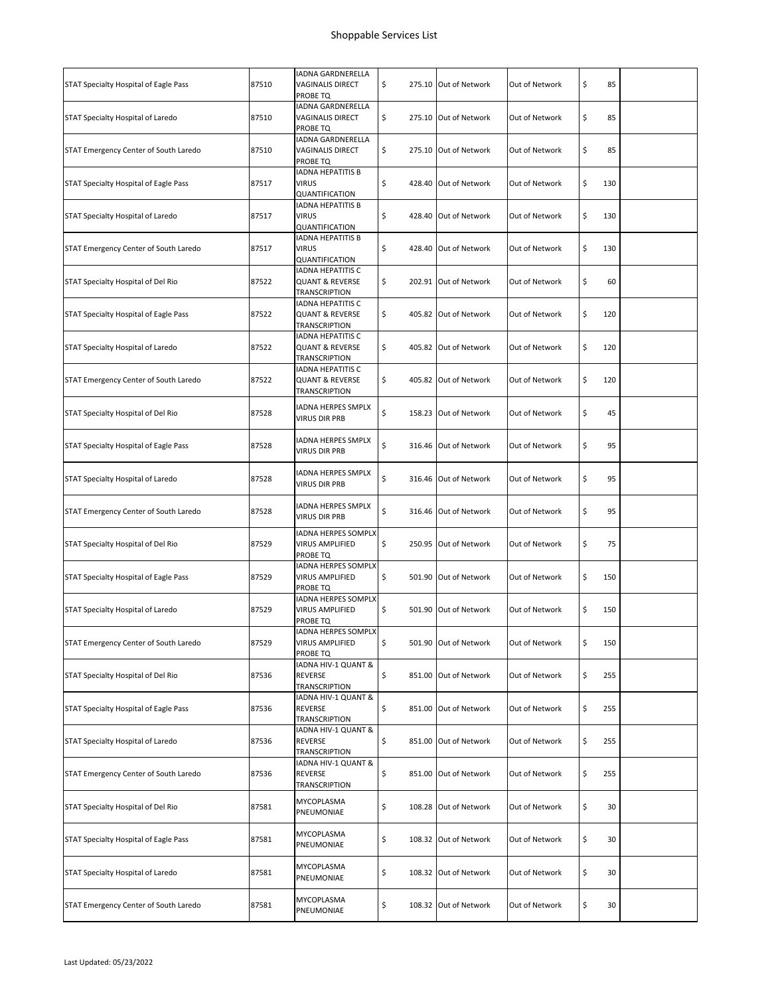|                                       |       | <b>IADNA GARDNERELLA</b>                                                       |    |                       |                |           |  |
|---------------------------------------|-------|--------------------------------------------------------------------------------|----|-----------------------|----------------|-----------|--|
| STAT Specialty Hospital of Eagle Pass | 87510 | <b>VAGINALIS DIRECT</b><br>PROBE TQ                                            | \$ | 275.10 Out of Network | Out of Network | \$<br>85  |  |
| STAT Specialty Hospital of Laredo     | 87510 | IADNA GARDNERELLA<br><b>VAGINALIS DIRECT</b><br>PROBE TQ                       | \$ | 275.10 Out of Network | Out of Network | \$<br>85  |  |
| STAT Emergency Center of South Laredo | 87510 | <b>IADNA GARDNERELLA</b><br>VAGINALIS DIRECT<br>PROBE TQ                       | \$ | 275.10 Out of Network | Out of Network | \$<br>85  |  |
| STAT Specialty Hospital of Eagle Pass | 87517 | <b>IADNA HEPATITIS B</b><br><b>VIRUS</b><br>QUANTIFICATION                     | \$ | 428.40 Out of Network | Out of Network | \$<br>130 |  |
| STAT Specialty Hospital of Laredo     | 87517 | <b>IADNA HEPATITIS B</b><br><b>VIRUS</b><br>QUANTIFICATION                     | \$ | 428.40 Out of Network | Out of Network | \$<br>130 |  |
| STAT Emergency Center of South Laredo | 87517 | <b>IADNA HEPATITIS B</b><br><b>VIRUS</b><br>QUANTIFICATION                     | \$ | 428.40 Out of Network | Out of Network | \$<br>130 |  |
| STAT Specialty Hospital of Del Rio    | 87522 | IADNA HEPATITIS C<br><b>QUANT &amp; REVERSE</b><br>TRANSCRIPTION               | \$ | 202.91 Out of Network | Out of Network | \$<br>60  |  |
| STAT Specialty Hospital of Eagle Pass | 87522 | IADNA HEPATITIS C<br><b>QUANT &amp; REVERSE</b><br>TRANSCRIPTION               | \$ | 405.82 Out of Network | Out of Network | \$<br>120 |  |
| STAT Specialty Hospital of Laredo     | 87522 | <b>IADNA HEPATITIS C</b><br><b>QUANT &amp; REVERSE</b><br><b>TRANSCRIPTION</b> | \$ | 405.82 Out of Network | Out of Network | \$<br>120 |  |
| STAT Emergency Center of South Laredo | 87522 | <b>IADNA HEPATITIS C</b><br><b>QUANT &amp; REVERSE</b><br>TRANSCRIPTION        | \$ | 405.82 Out of Network | Out of Network | \$<br>120 |  |
| STAT Specialty Hospital of Del Rio    | 87528 | <b>IADNA HERPES SMPLX</b><br><b>VIRUS DIR PRB</b>                              | \$ | 158.23 Out of Network | Out of Network | \$<br>45  |  |
| STAT Specialty Hospital of Eagle Pass | 87528 | IADNA HERPES SMPLX<br><b>VIRUS DIR PRB</b>                                     | \$ | 316.46 Out of Network | Out of Network | \$<br>95  |  |
| STAT Specialty Hospital of Laredo     | 87528 | <b>IADNA HERPES SMPLX</b><br><b>VIRUS DIR PRB</b>                              | \$ | 316.46 Out of Network | Out of Network | \$<br>95  |  |
| STAT Emergency Center of South Laredo | 87528 | <b>IADNA HERPES SMPLX</b><br><b>VIRUS DIR PRB</b>                              | \$ | 316.46 Out of Network | Out of Network | \$<br>95  |  |
| STAT Specialty Hospital of Del Rio    | 87529 | IADNA HERPES SOMPLX<br>VIRUS AMPLIFIED<br>PROBE TQ                             | \$ | 250.95 Out of Network | Out of Network | \$<br>75  |  |
| STAT Specialty Hospital of Eagle Pass | 87529 | <b>IADNA HERPES SOMPLX</b><br><b>VIRUS AMPLIFIED</b><br>PROBE TQ               | \$ | 501.90 Out of Network | Out of Network | \$<br>150 |  |
| STAT Specialty Hospital of Laredo     | 87529 | IADNA HERPES SOMPLX<br><b>VIRUS AMPLIFIED</b><br>PROBE TQ                      | \$ | 501.90 Out of Network | Out of Network | \$<br>150 |  |
| STAT Emergency Center of South Laredo | 87529 | IADNA HERPES SOMPLX<br><b>VIRUS AMPLIFIED</b><br>PROBE TQ                      | \$ | 501.90 Out of Network | Out of Network | \$<br>150 |  |
| STAT Specialty Hospital of Del Rio    | 87536 | IADNA HIV-1 QUANT &<br>REVERSE<br>TRANSCRIPTION                                | \$ | 851.00 Out of Network | Out of Network | \$<br>255 |  |
| STAT Specialty Hospital of Eagle Pass | 87536 | IADNA HIV-1 QUANT &<br>REVERSE<br>TRANSCRIPTION                                | \$ | 851.00 Out of Network | Out of Network | \$<br>255 |  |
| STAT Specialty Hospital of Laredo     | 87536 | IADNA HIV-1 QUANT &<br>REVERSE<br>TRANSCRIPTION                                | \$ | 851.00 Out of Network | Out of Network | \$<br>255 |  |
| STAT Emergency Center of South Laredo | 87536 | IADNA HIV-1 QUANT &<br>REVERSE<br>TRANSCRIPTION                                | \$ | 851.00 Out of Network | Out of Network | \$<br>255 |  |
| STAT Specialty Hospital of Del Rio    | 87581 | MYCOPLASMA<br>PNEUMONIAE                                                       | \$ | 108.28 Out of Network | Out of Network | \$<br>30  |  |
| STAT Specialty Hospital of Eagle Pass | 87581 | MYCOPLASMA<br>PNEUMONIAE                                                       | \$ | 108.32 Out of Network | Out of Network | \$<br>30  |  |
| STAT Specialty Hospital of Laredo     | 87581 | MYCOPLASMA<br>PNEUMONIAE                                                       | \$ | 108.32 Out of Network | Out of Network | \$<br>30  |  |
| STAT Emergency Center of South Laredo | 87581 | MYCOPLASMA<br>PNEUMONIAE                                                       | \$ | 108.32 Out of Network | Out of Network | \$<br>30  |  |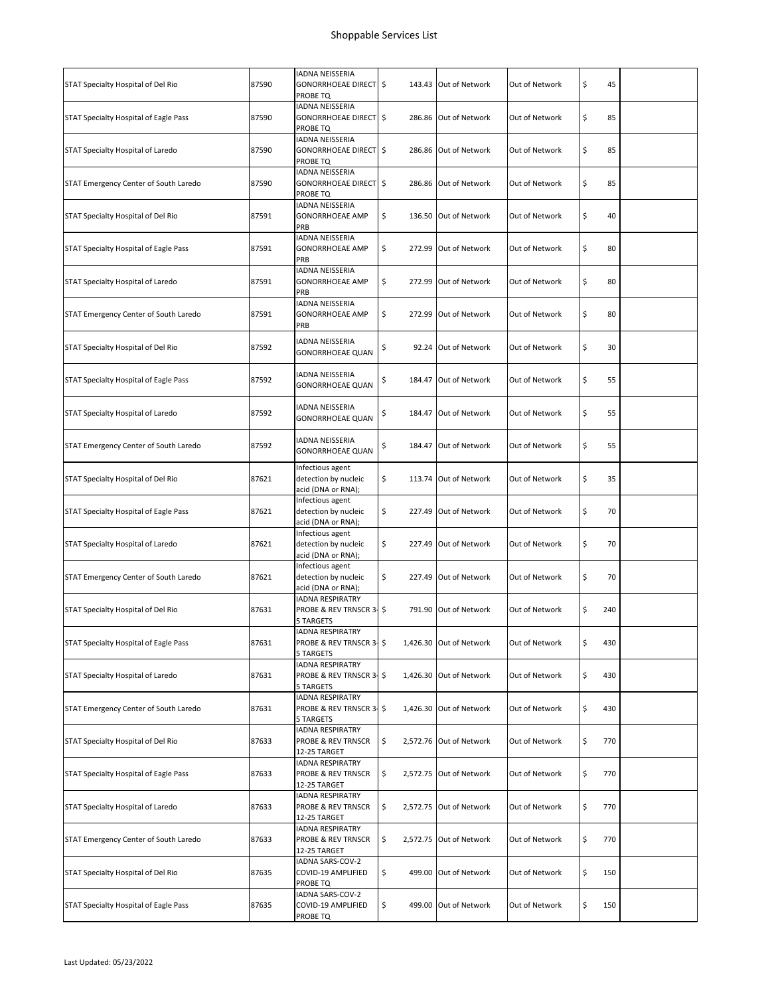|                                       |       | <b>IADNA NEISSERIA</b>                                                   |      |        |                         |                |           |  |
|---------------------------------------|-------|--------------------------------------------------------------------------|------|--------|-------------------------|----------------|-----------|--|
| STAT Specialty Hospital of Del Rio    | 87590 | GONORRHOEAE DIRECT<br>PROBE TQ                                           | l \$ |        | 143.43 Out of Network   | Out of Network | \$<br>45  |  |
| STAT Specialty Hospital of Eagle Pass | 87590 | IADNA NEISSERIA<br>GONORRHOEAE DIRECT S<br>PROBE TQ                      |      |        | 286.86 Out of Network   | Out of Network | \$<br>85  |  |
| STAT Specialty Hospital of Laredo     | 87590 | IADNA NEISSERIA<br>GONORRHOEAE DIRECT \$<br>PROBE TQ                     |      | 286.86 | Out of Network          | Out of Network | \$<br>85  |  |
| STAT Emergency Center of South Laredo | 87590 | IADNA NEISSERIA<br><b>GONORRHOEAE DIRECT \$</b><br>PROBE TQ              |      |        | 286.86 Out of Network   | Out of Network | \$<br>85  |  |
| STAT Specialty Hospital of Del Rio    | 87591 | IADNA NEISSERIA<br><b>GONORRHOEAE AMP</b><br>PRB                         | \$   |        | 136.50 Out of Network   | Out of Network | \$<br>40  |  |
| STAT Specialty Hospital of Eagle Pass | 87591 | <b>IADNA NEISSERIA</b><br>GONORRHOEAE AMP<br>PRB                         | \$   |        | 272.99 Out of Network   | Out of Network | \$<br>80  |  |
| STAT Specialty Hospital of Laredo     | 87591 | <b>IADNA NEISSERIA</b><br><b>GONORRHOEAE AMP</b><br>PRB                  | \$   |        | 272.99 Out of Network   | Out of Network | \$<br>80  |  |
| STAT Emergency Center of South Laredo | 87591 | IADNA NEISSERIA<br><b>GONORRHOEAE AMP</b><br>PRB                         | \$   |        | 272.99 Out of Network   | Out of Network | \$<br>80  |  |
| STAT Specialty Hospital of Del Rio    | 87592 | <b>IADNA NEISSERIA</b><br>GONORRHOEAE QUAN                               | \$   |        | 92.24 Out of Network    | Out of Network | \$<br>30  |  |
| STAT Specialty Hospital of Eagle Pass | 87592 | IADNA NEISSERIA<br>GONORRHOEAE QUAN                                      | \$   |        | 184.47 Out of Network   | Out of Network | \$<br>55  |  |
| STAT Specialty Hospital of Laredo     | 87592 | IADNA NEISSERIA<br><b>GONORRHOEAE QUAN</b>                               | \$   | 184.47 | Out of Network          | Out of Network | \$<br>55  |  |
| STAT Emergency Center of South Laredo | 87592 | IADNA NEISSERIA<br>GONORRHOEAE QUAN                                      | \$   |        | 184.47 Out of Network   | Out of Network | \$<br>55  |  |
| STAT Specialty Hospital of Del Rio    | 87621 | Infectious agent<br>detection by nucleic<br>acid (DNA or RNA);           | \$   |        | 113.74 Out of Network   | Out of Network | \$<br>35  |  |
| STAT Specialty Hospital of Eagle Pass | 87621 | Infectious agent<br>detection by nucleic<br>acid (DNA or RNA);           | \$   |        | 227.49 Out of Network   | Out of Network | \$<br>70  |  |
| STAT Specialty Hospital of Laredo     | 87621 | Infectious agent<br>detection by nucleic<br>acid (DNA or RNA);           | \$   |        | 227.49 Out of Network   | Out of Network | \$<br>70  |  |
| STAT Emergency Center of South Laredo | 87621 | Infectious agent<br>detection by nucleic<br>acid (DNA or RNA);           | \$   |        | 227.49 Out of Network   | Out of Network | \$<br>70  |  |
| STAT Specialty Hospital of Del Rio    | 87631 | IADNA RESPIRATRY<br>PROBE & REV TRNSCR 3- \$<br>5 TARGETS                |      |        | 791.90 Out of Network   | Out of Network | \$<br>240 |  |
| STAT Specialty Hospital of Eagle Pass | 87631 | <b>IADNA RESPIRATRY</b><br>PROBE & REV TRNSCR 3-\$<br>5 TARGETS          |      |        | 1,426.30 Out of Network | Out of Network | \$<br>430 |  |
| STAT Specialty Hospital of Laredo     | 87631 | <b>IADNA RESPIRATRY</b><br>PROBE & REV TRNSCR 3- \$<br>5 TARGETS         |      |        | 1,426.30 Out of Network | Out of Network | \$<br>430 |  |
| STAT Emergency Center of South Laredo | 87631 | <b>IADNA RESPIRATRY</b><br>PROBE & REV TRNSCR 3-\$<br>5 TARGETS          |      |        | 1,426.30 Out of Network | Out of Network | \$<br>430 |  |
| STAT Specialty Hospital of Del Rio    | 87633 | <b>IADNA RESPIRATRY</b><br>PROBE & REV TRNSCR<br>12-25 TARGET            | \$   |        | 2,572.76 Out of Network | Out of Network | \$<br>770 |  |
| STAT Specialty Hospital of Eagle Pass | 87633 | <b>IADNA RESPIRATRY</b><br><b>PROBE &amp; REV TRNSCR</b><br>12-25 TARGET | \$   |        | 2,572.75 Out of Network | Out of Network | \$<br>770 |  |
| STAT Specialty Hospital of Laredo     | 87633 | IADNA RESPIRATRY<br>PROBE & REV TRNSCR<br>12-25 TARGET                   | \$   |        | 2,572.75 Out of Network | Out of Network | \$<br>770 |  |
| STAT Emergency Center of South Laredo | 87633 | <b>IADNA RESPIRATRY</b><br>PROBE & REV TRNSCR<br>12-25 TARGET            | \$   |        | 2,572.75 Out of Network | Out of Network | \$<br>770 |  |
| STAT Specialty Hospital of Del Rio    | 87635 | IADNA SARS-COV-2<br>COVID-19 AMPLIFIED<br>PROBE TQ                       | \$   |        | 499.00 Out of Network   | Out of Network | \$<br>150 |  |
| STAT Specialty Hospital of Eagle Pass | 87635 | IADNA SARS-COV-2<br>COVID-19 AMPLIFIED<br>PROBE TQ                       | \$   |        | 499.00 Out of Network   | Out of Network | \$<br>150 |  |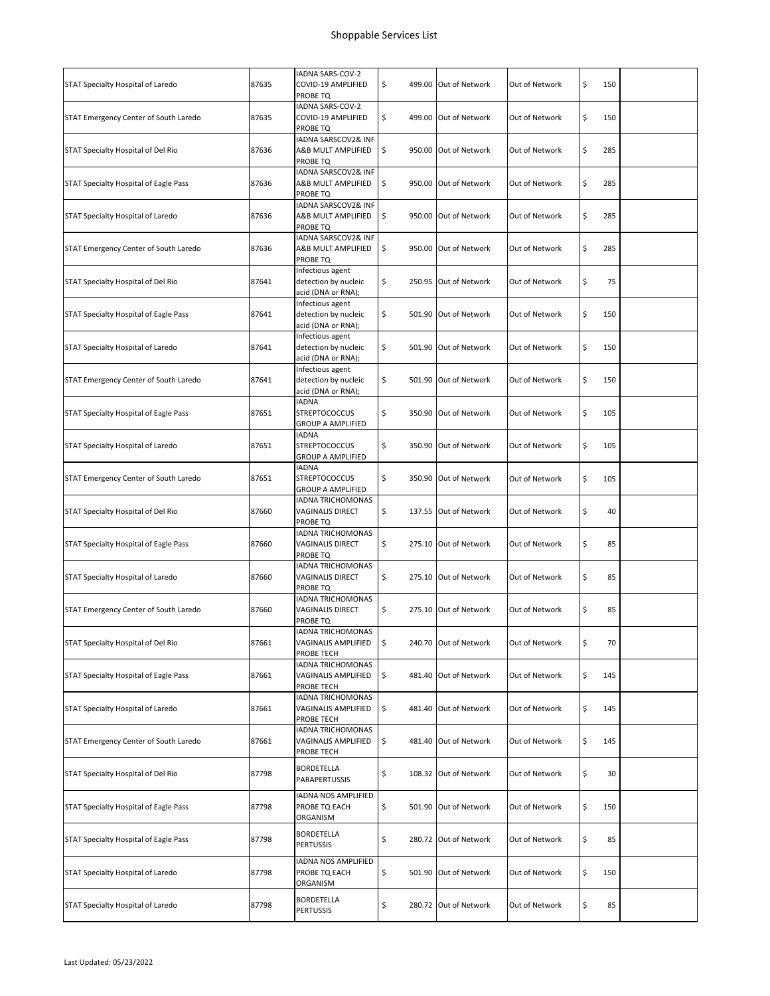|                                       |       | IADNA SARS-COV-2                                                 |                             |                |           |  |
|---------------------------------------|-------|------------------------------------------------------------------|-----------------------------|----------------|-----------|--|
| STAT Specialty Hospital of Laredo     | 87635 | COVID-19 AMPLIFIED<br>PROBE TQ                                   | \$<br>499.00 Out of Network | Out of Network | \$<br>150 |  |
| STAT Emergency Center of South Laredo | 87635 | IADNA SARS-COV-2<br>COVID-19 AMPLIFIED<br>PROBE TQ               | \$<br>499.00 Out of Network | Out of Network | \$<br>150 |  |
| STAT Specialty Hospital of Del Rio    | 87636 | IADNA SARSCOV2& INF<br>A&B MULT AMPLIFIED<br>PROBE TQ            | \$<br>950.00 Out of Network | Out of Network | \$<br>285 |  |
| STAT Specialty Hospital of Eagle Pass | 87636 | IADNA SARSCOV2& INF<br>A&B MULT AMPLIFIED<br>PROBE TQ            | \$<br>950.00 Out of Network | Out of Network | \$<br>285 |  |
| STAT Specialty Hospital of Laredo     | 87636 | IADNA SARSCOV2& INF<br>A&B MULT AMPLIFIED<br>PROBE TQ            | \$<br>950.00 Out of Network | Out of Network | \$<br>285 |  |
| STAT Emergency Center of South Laredo | 87636 | IADNA SARSCOV2& INF<br>A&B MULT AMPLIFIED<br>PROBE TQ            | \$<br>950.00 Out of Network | Out of Network | \$<br>285 |  |
| STAT Specialty Hospital of Del Rio    | 87641 | Infectious agent<br>detection by nucleic<br>acid (DNA or RNA);   | \$<br>250.95 Out of Network | Out of Network | \$<br>75  |  |
| STAT Specialty Hospital of Eagle Pass | 87641 | Infectious agent<br>detection by nucleic<br>acid (DNA or RNA);   | \$<br>501.90 Out of Network | Out of Network | \$<br>150 |  |
| STAT Specialty Hospital of Laredo     | 87641 | Infectious agent<br>detection by nucleic<br>acid (DNA or RNA);   | \$<br>501.90 Out of Network | Out of Network | \$<br>150 |  |
| STAT Emergency Center of South Laredo | 87641 | Infectious agent<br>detection by nucleic<br>acid (DNA or RNA);   | \$<br>501.90 Out of Network | Out of Network | \$<br>150 |  |
| STAT Specialty Hospital of Eagle Pass | 87651 | <b>IADNA</b><br><b>STREPTOCOCCUS</b><br><b>GROUP A AMPLIFIED</b> | \$<br>350.90 Out of Network | Out of Network | \$<br>105 |  |
| STAT Specialty Hospital of Laredo     | 87651 | <b>IADNA</b><br><b>STREPTOCOCCUS</b><br><b>GROUP A AMPLIFIED</b> | \$<br>350.90 Out of Network | Out of Network | \$<br>105 |  |
| STAT Emergency Center of South Laredo | 87651 | <b>IADNA</b><br><b>STREPTOCOCCUS</b><br><b>GROUP A AMPLIFIED</b> | \$<br>350.90 Out of Network | Out of Network | \$<br>105 |  |
| STAT Specialty Hospital of Del Rio    | 87660 | <b>IADNA TRICHOMONAS</b><br>VAGINALIS DIRECT<br>PROBE TQ         | \$<br>137.55 Out of Network | Out of Network | \$<br>40  |  |
| STAT Specialty Hospital of Eagle Pass | 87660 | <b>IADNA TRICHOMONAS</b><br><b>VAGINALIS DIRECT</b><br>PROBE TQ  | \$<br>275.10 Out of Network | Out of Network | \$<br>85  |  |
| STAT Specialty Hospital of Laredo     | 87660 | <b>IADNA TRICHOMONAS</b><br><b>VAGINALIS DIRECT</b><br>PROBE TQ  | \$<br>275.10 Out of Network | Out of Network | \$<br>85  |  |
| STAT Emergency Center of South Laredo | 87660 | IADNA TRICHOMONAS<br><b>VAGINALIS DIRECT</b><br>PROBE TQ         | \$<br>275.10 Out of Network | Out of Network | \$<br>85  |  |
| STAT Specialty Hospital of Del Rio    | 87661 | IADNA TRICHOMONAS<br>VAGINALIS AMPLIFIED<br>PROBE TECH           | \$<br>240.70 Out of Network | Out of Network | \$<br>70  |  |
| STAT Specialty Hospital of Eagle Pass | 87661 | IADNA TRICHOMONAS<br>VAGINALIS AMPLIFIED<br>PROBE TECH           | \$<br>481.40 Out of Network | Out of Network | \$<br>145 |  |
| STAT Specialty Hospital of Laredo     | 87661 | <b>IADNA TRICHOMONAS</b><br>VAGINALIS AMPLIFIED<br>PROBE TECH    | \$<br>481.40 Out of Network | Out of Network | \$<br>145 |  |
| STAT Emergency Center of South Laredo | 87661 | <b>IADNA TRICHOMONAS</b><br>VAGINALIS AMPLIFIED<br>PROBE TECH    | \$<br>481.40 Out of Network | Out of Network | \$<br>145 |  |
| STAT Specialty Hospital of Del Rio    | 87798 | BORDETELLA<br>PARAPERTUSSIS                                      | \$<br>108.32 Out of Network | Out of Network | \$<br>30  |  |
| STAT Specialty Hospital of Eagle Pass | 87798 | IADNA NOS AMPLIFIED<br>PROBE TQ EACH<br>ORGANISM                 | \$<br>501.90 Out of Network | Out of Network | \$<br>150 |  |
| STAT Specialty Hospital of Eagle Pass | 87798 | BORDETELLA<br>PERTUSSIS                                          | \$<br>280.72 Out of Network | Out of Network | \$<br>85  |  |
| STAT Specialty Hospital of Laredo     | 87798 | IADNA NOS AMPLIFIED<br>PROBE TQ EACH<br>ORGANISM                 | \$<br>501.90 Out of Network | Out of Network | \$<br>150 |  |
| STAT Specialty Hospital of Laredo     | 87798 | BORDETELLA<br>PERTUSSIS                                          | \$<br>280.72 Out of Network | Out of Network | \$<br>85  |  |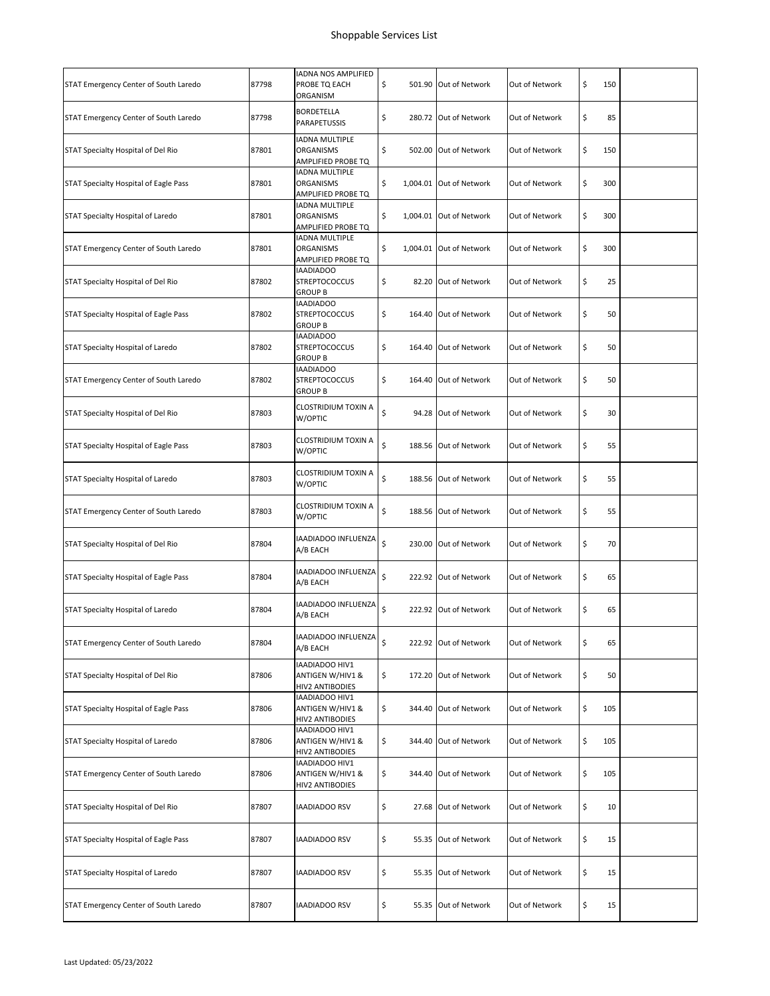| STAT Emergency Center of South Laredo | 87798 | IADNA NOS AMPLIFIED<br>PROBE TQ EACH<br>ORGANISM           | \$ | 501.90 Out of Network   | Out of Network | \$<br>150 |  |
|---------------------------------------|-------|------------------------------------------------------------|----|-------------------------|----------------|-----------|--|
| STAT Emergency Center of South Laredo | 87798 | BORDETELLA<br>PARAPETUSSIS                                 | \$ | 280.72 Out of Network   | Out of Network | \$<br>85  |  |
| STAT Specialty Hospital of Del Rio    | 87801 | IADNA MULTIPLE<br>ORGANISMS<br>AMPLIFIED PROBE TQ          | \$ | 502.00 Out of Network   | Out of Network | \$<br>150 |  |
| STAT Specialty Hospital of Eagle Pass | 87801 | <b>IADNA MULTIPLE</b><br>ORGANISMS<br>AMPLIFIED PROBE TQ   | \$ | 1,004.01 Out of Network | Out of Network | \$<br>300 |  |
| STAT Specialty Hospital of Laredo     | 87801 | <b>IADNA MULTIPLE</b><br>ORGANISMS<br>AMPLIFIED PROBE TQ   | \$ | 1.004.01 Out of Network | Out of Network | \$<br>300 |  |
| STAT Emergency Center of South Laredo | 87801 | <b>IADNA MULTIPLE</b><br>ORGANISMS<br>AMPLIFIED PROBE TQ   | \$ | 1,004.01 Out of Network | Out of Network | \$<br>300 |  |
| STAT Specialty Hospital of Del Rio    | 87802 | IAADIADOO<br><b>STREPTOCOCCUS</b><br><b>GROUP B</b>        | \$ | 82.20 Out of Network    | Out of Network | \$<br>25  |  |
| STAT Specialty Hospital of Eagle Pass | 87802 | IAADIADOO<br><b>STREPTOCOCCUS</b><br><b>GROUP B</b>        | \$ | 164.40 Out of Network   | Out of Network | \$<br>50  |  |
| STAT Specialty Hospital of Laredo     | 87802 | IAADIADOO<br><b>STREPTOCOCCUS</b><br><b>GROUP B</b>        | \$ | 164.40 Out of Network   | Out of Network | \$<br>50  |  |
| STAT Emergency Center of South Laredo | 87802 | <b>IAADIADOO</b><br><b>STREPTOCOCCUS</b><br><b>GROUP B</b> | \$ | 164.40 Out of Network   | Out of Network | \$<br>50  |  |
| STAT Specialty Hospital of Del Rio    | 87803 | CLOSTRIDIUM TOXIN A<br>W/OPTIC                             | \$ | 94.28 Out of Network    | Out of Network | \$<br>30  |  |
| STAT Specialty Hospital of Eagle Pass | 87803 | CLOSTRIDIUM TOXIN A<br>W/OPTIC                             | \$ | 188.56 Out of Network   | Out of Network | \$<br>55  |  |
| STAT Specialty Hospital of Laredo     | 87803 | CLOSTRIDIUM TOXIN A<br>W/OPTIC                             | \$ | 188.56 Out of Network   | Out of Network | \$<br>55  |  |
| STAT Emergency Center of South Laredo | 87803 | CLOSTRIDIUM TOXIN A<br>W/OPTIC                             | \$ | 188.56 Out of Network   | Out of Network | \$<br>55  |  |
| STAT Specialty Hospital of Del Rio    | 87804 | IAADIADOO INFLUENZA<br>A/B EACH                            | \$ | 230.00 Out of Network   | Out of Network | \$<br>70  |  |
| STAT Specialty Hospital of Eagle Pass | 87804 | IAADIADOO INFLUENZA<br>A/B EACH                            | \$ | 222.92 Out of Network   | Out of Network | \$<br>65  |  |
| STAT Specialty Hospital of Laredo     | 87804 | IAADIADOO INFLUENZA<br>A/B EACH                            | \$ | 222.92 Out of Network   | Out of Network | \$<br>65  |  |
| STAT Emergency Center of South Laredo | 87804 | IAADIADOO INFLUENZA<br>A/B EACH                            | \$ | 222.92 Out of Network   | Out of Network | \$<br>65  |  |
| STAT Specialty Hospital of Del Rio    | 87806 | IAADIADOO HIV1<br>ANTIGEN W/HIV1 &<br>HIV2 ANTIBODIES      | \$ | 172.20 Out of Network   | Out of Network | \$<br>50  |  |
| STAT Specialty Hospital of Eagle Pass | 87806 | IAADIADOO HIV1<br>ANTIGEN W/HIV1 &<br>HIV2 ANTIBODIES      | \$ | 344.40 Out of Network   | Out of Network | \$<br>105 |  |
| STAT Specialty Hospital of Laredo     | 87806 | IAADIADOO HIV1<br>ANTIGEN W/HIV1 &<br>HIV2 ANTIBODIES      | \$ | 344.40 Out of Network   | Out of Network | \$<br>105 |  |
| STAT Emergency Center of South Laredo | 87806 | IAADIADOO HIV1<br>ANTIGEN W/HIV1 &<br>HIV2 ANTIBODIES      | \$ | 344.40 Out of Network   | Out of Network | \$<br>105 |  |
| STAT Specialty Hospital of Del Rio    | 87807 | IAADIADOO RSV                                              | \$ | 27.68 Out of Network    | Out of Network | \$<br>10  |  |
| STAT Specialty Hospital of Eagle Pass | 87807 | IAADIADOO RSV                                              | \$ | 55.35 Out of Network    | Out of Network | \$<br>15  |  |
| STAT Specialty Hospital of Laredo     | 87807 | IAADIADOO RSV                                              | \$ | 55.35 Out of Network    | Out of Network | \$<br>15  |  |
| STAT Emergency Center of South Laredo | 87807 | IAADIADOO RSV                                              | \$ | 55.35 Out of Network    | Out of Network | \$<br>15  |  |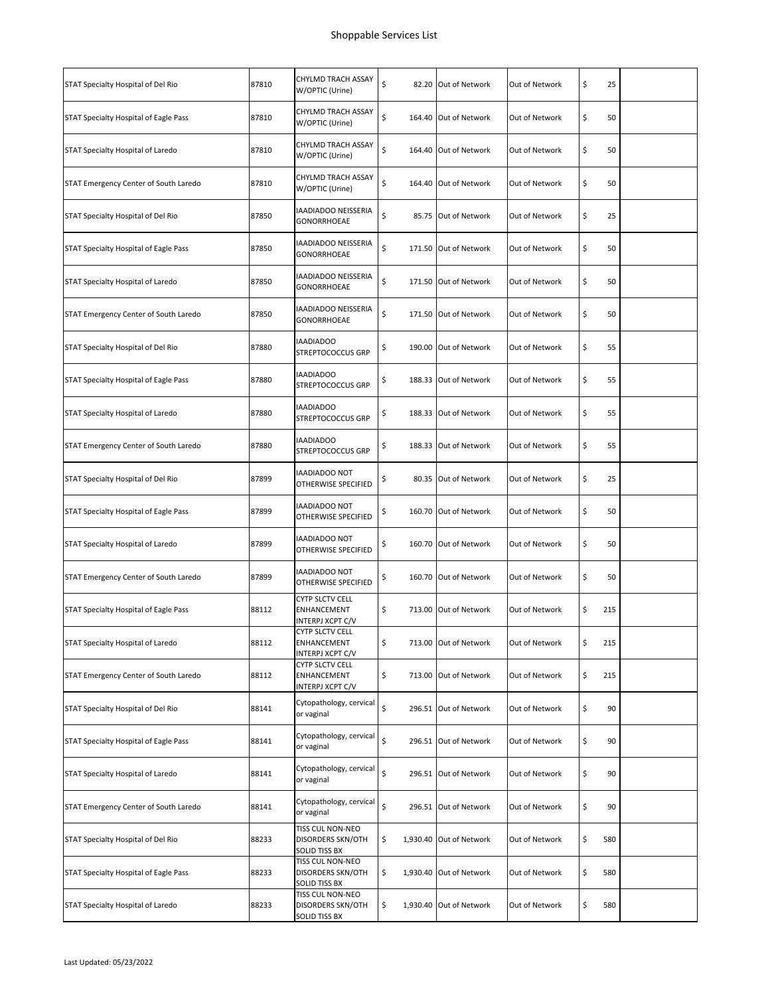| STAT Specialty Hospital of Del Rio    | 87810 | CHYLMD TRACH ASSAY<br>W/OPTIC (Urine)                     | \$<br>82.20 Out of Network    | Out of Network | \$<br>25  |  |
|---------------------------------------|-------|-----------------------------------------------------------|-------------------------------|----------------|-----------|--|
| STAT Specialty Hospital of Eagle Pass | 87810 | CHYLMD TRACH ASSAY<br>W/OPTIC (Urine)                     | \$<br>164.40 Out of Network   | Out of Network | \$<br>50  |  |
| STAT Specialty Hospital of Laredo     | 87810 | CHYLMD TRACH ASSAY<br>W/OPTIC (Urine)                     | \$<br>164.40 Out of Network   | Out of Network | \$<br>50  |  |
| STAT Emergency Center of South Laredo | 87810 | CHYLMD TRACH ASSAY<br>W/OPTIC (Urine)                     | \$<br>164.40 Out of Network   | Out of Network | \$<br>50  |  |
| STAT Specialty Hospital of Del Rio    | 87850 | IAADIADOO NEISSERIA<br>GONORRHOEAE                        | \$<br>85.75 Out of Network    | Out of Network | \$<br>25  |  |
| STAT Specialty Hospital of Eagle Pass | 87850 | IAADIADOO NEISSERIA<br>GONORRHOEAE                        | \$<br>171.50 Out of Network   | Out of Network | \$<br>50  |  |
| STAT Specialty Hospital of Laredo     | 87850 | IAADIADOO NEISSERIA<br>GONORRHOEAE                        | \$<br>171.50 Out of Network   | Out of Network | \$<br>50  |  |
| STAT Emergency Center of South Laredo | 87850 | IAADIADOO NEISSERIA<br>GONORRHOEAE                        | \$<br>171.50 Out of Network   | Out of Network | \$<br>50  |  |
| STAT Specialty Hospital of Del Rio    | 87880 | <b>IAADIADOO</b><br>STREPTOCOCCUS GRP                     | \$<br>190.00 Out of Network   | Out of Network | \$<br>55  |  |
| STAT Specialty Hospital of Eagle Pass | 87880 | IAADIADOO<br><b>STREPTOCOCCUS GRP</b>                     | \$<br>188.33 Out of Network   | Out of Network | \$<br>55  |  |
| STAT Specialty Hospital of Laredo     | 87880 | <b>IAADIADOO</b><br><b>STREPTOCOCCUS GRP</b>              | \$<br>188.33 Out of Network   | Out of Network | \$<br>55  |  |
| STAT Emergency Center of South Laredo | 87880 | IAADIADOO<br>STREPTOCOCCUS GRP                            | \$<br>188.33 Out of Network   | Out of Network | \$<br>55  |  |
| STAT Specialty Hospital of Del Rio    | 87899 | IAADIADOO NOT<br>OTHERWISE SPECIFIED                      | \$<br>80.35 Out of Network    | Out of Network | \$<br>25  |  |
| STAT Specialty Hospital of Eagle Pass | 87899 | IAADIADOO NOT<br>OTHERWISE SPECIFIED                      | \$<br>160.70 Out of Network   | Out of Network | \$<br>50  |  |
| STAT Specialty Hospital of Laredo     | 87899 | IAADIADOO NOT<br>OTHERWISE SPECIFIED                      | \$<br>160.70 Out of Network   | Out of Network | \$<br>50  |  |
| STAT Emergency Center of South Laredo | 87899 | IAADIADOO NOT<br>OTHERWISE SPECIFIED                      | \$<br>160.70 Out of Network   | Out of Network | \$<br>50  |  |
| STAT Specialty Hospital of Eagle Pass | 88112 | <b>CYTP SLCTV CELL</b><br>ENHANCEMENT<br>INTERPJ XCPT C/V | \$<br>713.00 Out of Network   | Out of Network | \$<br>215 |  |
| STAT Specialty Hospital of Laredo     | 88112 | CYTP SLCTV CELL<br>ENHANCEMENT<br>INTERPJ XCPT C/V        | \$<br>713.00 Out of Network   | Out of Network | \$<br>215 |  |
| STAT Emergency Center of South Laredo | 88112 | CYTP SLCTV CELL<br>ENHANCEMENT<br>INTERPJ XCPT C/V        | \$<br>713.00 Out of Network   | Out of Network | \$<br>215 |  |
| STAT Specialty Hospital of Del Rio    | 88141 | Cytopathology, cervical<br>or vaginal                     | \$<br>296.51 Out of Network   | Out of Network | \$<br>90  |  |
| STAT Specialty Hospital of Eagle Pass | 88141 | Cytopathology, cervical<br>or vaginal                     | \$<br>296.51 Out of Network   | Out of Network | \$<br>90  |  |
| STAT Specialty Hospital of Laredo     | 88141 | Cytopathology, cervical<br>or vaginal                     | \$<br>296.51 Out of Network   | Out of Network | \$<br>90  |  |
| STAT Emergency Center of South Laredo | 88141 | Cytopathology, cervical<br>or vaginal                     | \$<br>296.51 Out of Network   | Out of Network | \$<br>90  |  |
| STAT Specialty Hospital of Del Rio    | 88233 | TISS CUL NON-NEO<br>DISORDERS SKN/OTH<br>SOLID TISS BX    | \$<br>1,930.40 Out of Network | Out of Network | \$<br>580 |  |
| STAT Specialty Hospital of Eagle Pass | 88233 | TISS CUL NON-NEO<br>DISORDERS SKN/OTH<br>SOLID TISS BX    | \$<br>1,930.40 Out of Network | Out of Network | \$<br>580 |  |
| STAT Specialty Hospital of Laredo     | 88233 | TISS CUL NON-NEO<br>DISORDERS SKN/OTH<br>SOLID TISS BX    | \$<br>1,930.40 Out of Network | Out of Network | \$<br>580 |  |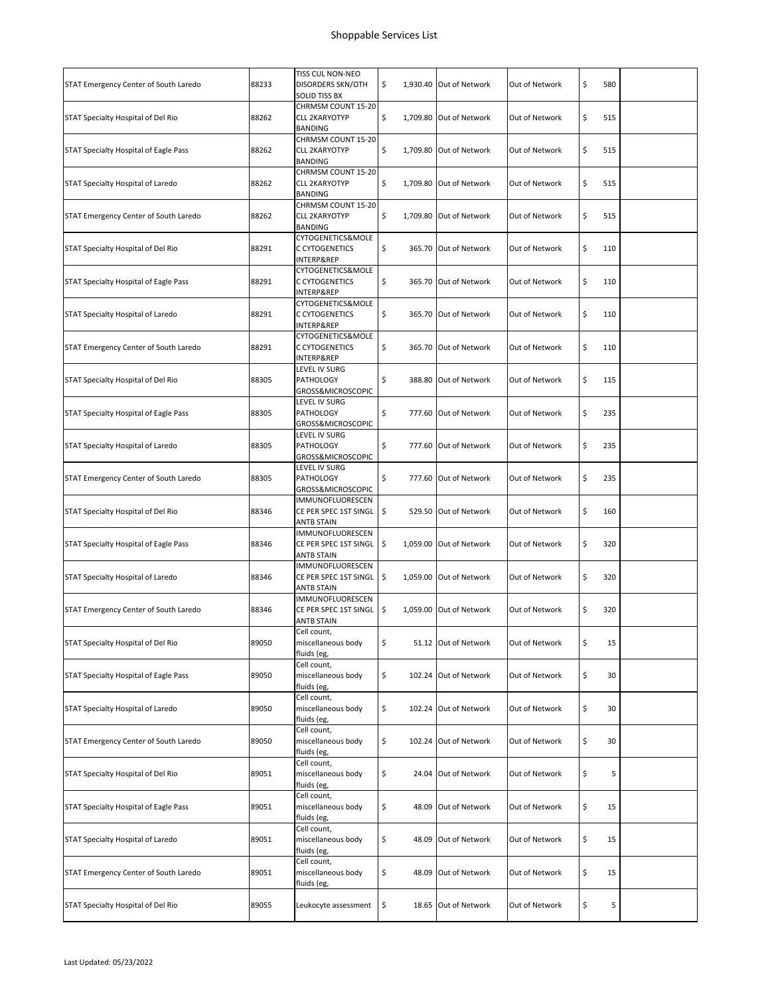| STAT Emergency Center of South Laredo | 88233 | TISS CUL NON-NEO<br><b>DISORDERS SKN/OTH</b><br>SOLID TISS BX  | \$          | 1,930.40 Out of Network | Out of Network | \$<br>580 |  |
|---------------------------------------|-------|----------------------------------------------------------------|-------------|-------------------------|----------------|-----------|--|
| STAT Specialty Hospital of Del Rio    | 88262 | CHRMSM COUNT 15-20<br><b>CLL 2KARYOTYP</b><br><b>BANDING</b>   | \$          | 1,709.80 Out of Network | Out of Network | \$<br>515 |  |
| STAT Specialty Hospital of Eagle Pass | 88262 | CHRMSM COUNT 15-20<br><b>CLL 2KARYOTYP</b><br><b>BANDING</b>   | \$          | 1,709.80 Out of Network | Out of Network | \$<br>515 |  |
| STAT Specialty Hospital of Laredo     | 88262 | CHRMSM COUNT 15-20<br><b>CLL 2KARYOTYP</b><br>BANDING          | \$          | 1,709.80 Out of Network | Out of Network | \$<br>515 |  |
| STAT Emergency Center of South Laredo | 88262 | CHRMSM COUNT 15-20<br><b>CLL 2KARYOTYP</b><br><b>BANDING</b>   | \$          | 1,709.80 Out of Network | Out of Network | \$<br>515 |  |
| STAT Specialty Hospital of Del Rio    | 88291 | CYTOGENETICS&MOLE<br>C CYTOGENETICS<br>INTERP&REP              | \$          | 365.70 Out of Network   | Out of Network | \$<br>110 |  |
| STAT Specialty Hospital of Eagle Pass | 88291 | CYTOGENETICS&MOLE<br>C CYTOGENETICS<br>INTERP&REP              | \$          | 365.70 Out of Network   | Out of Network | \$<br>110 |  |
| STAT Specialty Hospital of Laredo     | 88291 | CYTOGENETICS&MOLE<br>C CYTOGENETICS<br>INTERP&REP              | \$          | 365.70 Out of Network   | Out of Network | \$<br>110 |  |
| STAT Emergency Center of South Laredo | 88291 | CYTOGENETICS&MOLE<br>C CYTOGENETICS<br>INTERP&REP              | \$          | 365.70 Out of Network   | Out of Network | \$<br>110 |  |
| STAT Specialty Hospital of Del Rio    | 88305 | LEVEL IV SURG<br>PATHOLOGY<br>GROSS&MICROSCOPIC                | \$          | 388.80 Out of Network   | Out of Network | \$<br>115 |  |
| STAT Specialty Hospital of Eagle Pass | 88305 | LEVEL IV SURG<br>PATHOLOGY<br>GROSS&MICROSCOPIC                | \$          | 777.60 Out of Network   | Out of Network | \$<br>235 |  |
| STAT Specialty Hospital of Laredo     | 88305 | LEVEL IV SURG<br>PATHOLOGY<br>GROSS&MICROSCOPIC                | \$          | 777.60 Out of Network   | Out of Network | \$<br>235 |  |
| STAT Emergency Center of South Laredo | 88305 | LEVEL IV SURG<br>PATHOLOGY<br>GROSS&MICROSCOPIC                | \$          | 777.60 Out of Network   | Out of Network | \$<br>235 |  |
| STAT Specialty Hospital of Del Rio    | 88346 | IMMUNOFLUORESCEN<br>CE PER SPEC 1ST SINGL<br><b>ANTB STAIN</b> | \$          | 529.50 Out of Network   | Out of Network | \$<br>160 |  |
| STAT Specialty Hospital of Eagle Pass | 88346 | IMMUNOFLUORESCEN<br>CE PER SPEC 1ST SINGL<br><b>ANTB STAIN</b> | \$          | 1,059.00 Out of Network | Out of Network | \$<br>320 |  |
| STAT Specialty Hospital of Laredo     | 88346 | IMMUNOFLUORESCEN<br>CE PER SPEC 1ST SINGL<br><b>ANTB STAIN</b> | \$          | 1,059.00 Out of Network | Out of Network | \$<br>320 |  |
| STAT Emergency Center of South Laredo | 88346 | IMMUNOFLUORESCEN<br>CE PER SPEC 1ST SINGL<br><b>ANTB STAIN</b> | \$          | 1,059.00 Out of Network | Out of Network | \$<br>320 |  |
| STAT Specialty Hospital of Del Rio    | 89050 | Cell count,<br>miscellaneous body<br>fluids (eg,               | \$          | 51.12 Out of Network    | Out of Network | \$<br>15  |  |
| STAT Specialty Hospital of Eagle Pass | 89050 | Cell count,<br>miscellaneous body<br>fluids (eg,               | \$          | 102.24 Out of Network   | Out of Network | \$<br>30  |  |
| STAT Specialty Hospital of Laredo     | 89050 | Cell count,<br>miscellaneous body<br>fluids (eg,               | \$          | 102.24 Out of Network   | Out of Network | \$<br>30  |  |
| STAT Emergency Center of South Laredo | 89050 | Cell count,<br>miscellaneous body<br>fluids (eg,               | \$          | 102.24 Out of Network   | Out of Network | \$<br>30  |  |
| STAT Specialty Hospital of Del Rio    | 89051 | Cell count,<br>miscellaneous body<br>fluids (eg,               | \$          | 24.04 Out of Network    | Out of Network | \$<br>5   |  |
| STAT Specialty Hospital of Eagle Pass | 89051 | Cell count,<br>miscellaneous body<br>fluids (eg,               | \$          | 48.09 Out of Network    | Out of Network | \$<br>15  |  |
| STAT Specialty Hospital of Laredo     | 89051 | Cell count,<br>miscellaneous body<br>fluids (eg,               | \$          | 48.09 Out of Network    | Out of Network | \$<br>15  |  |
| STAT Emergency Center of South Laredo | 89051 | Cell count,<br>miscellaneous body<br>fluids (eg,               | \$<br>48.09 | Out of Network          | Out of Network | \$<br>15  |  |
| STAT Specialty Hospital of Del Rio    | 89055 | Leukocyte assessment                                           | \$          | 18.65 Out of Network    | Out of Network | \$<br>5   |  |